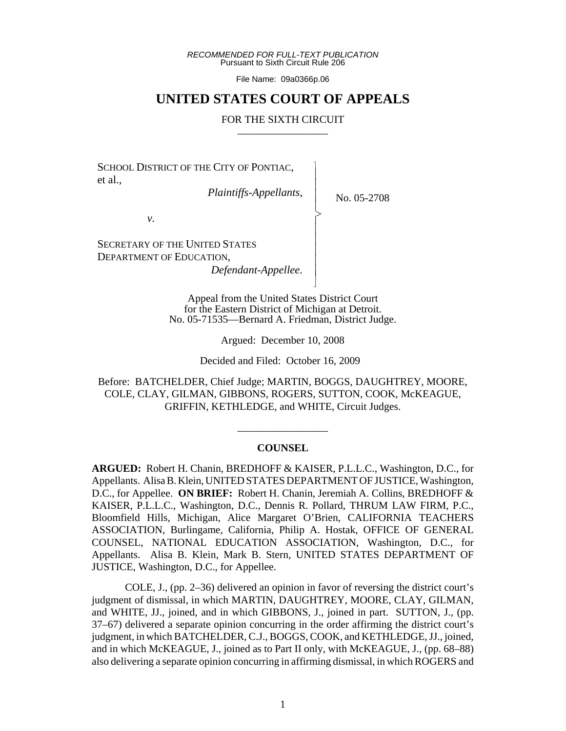*RECOMMENDED FOR FULL-TEXT PUBLICATION* Pursuant to Sixth Circuit Rule 206

File Name: 09a0366p.06

## **UNITED STATES COURT OF APPEALS**

#### FOR THE SIXTH CIRCUIT

 $\overline{\phantom{a}}$ - - - > , - - - - - N

SCHOOL DISTRICT OF THE CITY OF PONTIAC, et al.,

*Plaintiffs-Appellants,*

No. 05-2708

*v.*

SECRETARY OF THE UNITED STATES DEPARTMENT OF EDUCATION, *Defendant-Appellee.*

> Appeal from the United States District Court for the Eastern District of Michigan at Detroit. No. 05-71535—Bernard A. Friedman, District Judge.

> > Argued: December 10, 2008

Decided and Filed: October 16, 2009

Before: BATCHELDER, Chief Judge; MARTIN, BOGGS, DAUGHTREY, MOORE, COLE, CLAY, GILMAN, GIBBONS, ROGERS, SUTTON, COOK, McKEAGUE, GRIFFIN, KETHLEDGE, and WHITE, Circuit Judges.

#### **COUNSEL**

\_\_\_\_\_\_\_\_\_\_\_\_\_\_\_\_\_

**ARGUED:** Robert H. Chanin, BREDHOFF & KAISER, P.L.L.C., Washington, D.C., for Appellants. Alisa B. Klein, UNITED STATES DEPARTMENT OF JUSTICE, Washington, D.C., for Appellee. **ON BRIEF:** Robert H. Chanin, Jeremiah A. Collins, BREDHOFF & KAISER, P.L.L.C., Washington, D.C., Dennis R. Pollard, THRUM LAW FIRM, P.C., Bloomfield Hills, Michigan, Alice Margaret O'Brien, CALIFORNIA TEACHERS ASSOCIATION, Burlingame, California, Philip A. Hostak, OFFICE OF GENERAL COUNSEL, NATIONAL EDUCATION ASSOCIATION, Washington, D.C., for Appellants. Alisa B. Klein, Mark B. Stern, UNITED STATES DEPARTMENT OF JUSTICE, Washington, D.C., for Appellee.

COLE, J., (pp. 2–36) delivered an opinion in favor of reversing the district court's judgment of dismissal, in which MARTIN, DAUGHTREY, MOORE, CLAY, GILMAN, and WHITE, JJ., joined, and in which GIBBONS, J., joined in part. SUTTON, J., (pp. 37–67) delivered a separate opinion concurring in the order affirming the district court's judgment, in which BATCHELDER, C.J., BOGGS, COOK, and KETHLEDGE, JJ., joined, and in which McKEAGUE, J., joined as to Part II only, with McKEAGUE, J., (pp. 68–88) also delivering a separate opinion concurring in affirming dismissal, in which ROGERS and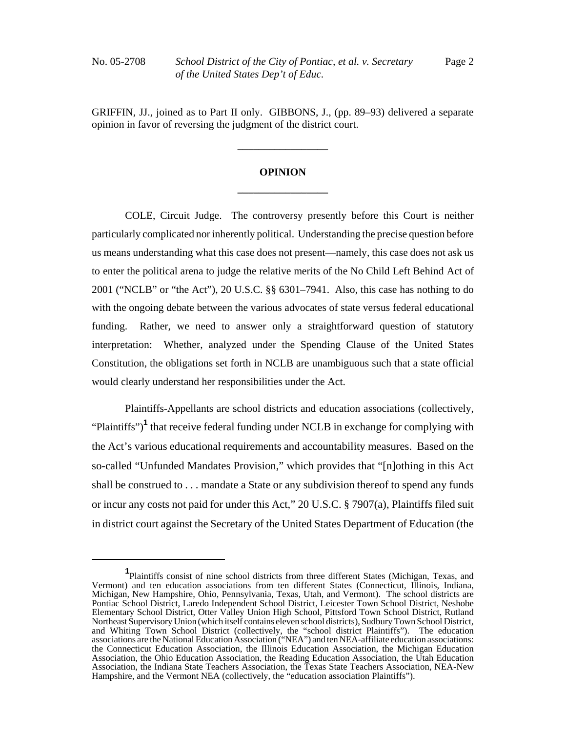Page 2

GRIFFIN, JJ., joined as to Part II only. GIBBONS, J., (pp. 89–93) delivered a separate opinion in favor of reversing the judgment of the district court.

# **OPINION \_\_\_\_\_\_\_\_\_\_\_\_\_\_\_\_\_**

**\_\_\_\_\_\_\_\_\_\_\_\_\_\_\_\_\_**

COLE, Circuit Judge. The controversy presently before this Court is neither particularly complicated nor inherently political. Understanding the precise question before us means understanding what this case does not present—namely, this case does not ask us to enter the political arena to judge the relative merits of the No Child Left Behind Act of 2001 ("NCLB" or "the Act"), 20 U.S.C. §§ 6301–7941. Also, this case has nothing to do with the ongoing debate between the various advocates of state versus federal educational funding. Rather, we need to answer only a straightforward question of statutory interpretation: Whether, analyzed under the Spending Clause of the United States Constitution, the obligations set forth in NCLB are unambiguous such that a state official would clearly understand her responsibilities under the Act.

Plaintiffs-Appellants are school districts and education associations (collectively, "Plaintiffs")<sup>1</sup> that receive federal funding under NCLB in exchange for complying with the Act's various educational requirements and accountability measures. Based on the so-called "Unfunded Mandates Provision," which provides that "[n]othing in this Act shall be construed to . . . mandate a State or any subdivision thereof to spend any funds or incur any costs not paid for under this Act," 20 U.S.C. § 7907(a), Plaintiffs filed suit in district court against the Secretary of the United States Department of Education (the

**<sup>1</sup>** Plaintiffs consist of nine school districts from three different States (Michigan, Texas, and Vermont) and ten education associations from ten different States (Connecticut, Illinois, Indiana, Michigan, New Hampshire, Ohio, Pennsylvania, Texas, Utah, and Vermont). The school districts are Pontiac School District, Laredo Independent School District, Leicester Town School District, Neshobe Elementary School District, Otter Valley Union High School, Pittsford Town School District, Rutland Northeast Supervisory Union (which itself contains eleven school districts), Sudbury Town School District, and Whiting Town School District (collectively, the "school district Plaintiffs"). The education associations are the National Education Association ("NEA") and ten NEA-affiliate education associations: the Connecticut Education Association, the Illinois Education Association, the Michigan Education Association, the Ohio Education Association, the Reading Education Association, the Utah Education Association, the Indiana State Teachers Association, the Texas State Teachers Association, NEA-New Hampshire, and the Vermont NEA (collectively, the "education association Plaintiffs").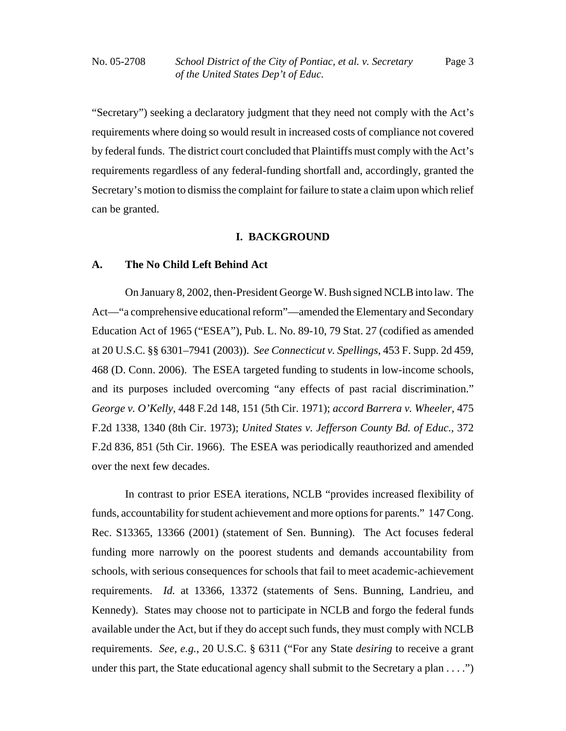"Secretary") seeking a declaratory judgment that they need not comply with the Act's requirements where doing so would result in increased costs of compliance not covered by federal funds. The district court concluded that Plaintiffs must comply with the Act's requirements regardless of any federal-funding shortfall and, accordingly, granted the Secretary's motion to dismiss the complaint for failure to state a claim upon which relief can be granted.

#### **I. BACKGROUND**

### **A. The No Child Left Behind Act**

On January 8, 2002, then-President George W. Bush signed NCLB into law. The Act—"a comprehensive educational reform"—amended the Elementary and Secondary Education Act of 1965 ("ESEA"), Pub. L. No. 89-10, 79 Stat. 27 (codified as amended at 20 U.S.C. §§ 6301–7941 (2003)). *See Connecticut v. Spellings*, 453 F. Supp. 2d 459, 468 (D. Conn. 2006). The ESEA targeted funding to students in low-income schools, and its purposes included overcoming "any effects of past racial discrimination." *George v. O'Kelly*, 448 F.2d 148, 151 (5th Cir. 1971); *accord Barrera v. Wheeler*, 475 F.2d 1338, 1340 (8th Cir. 1973); *United States v. Jefferson County Bd. of Educ.*, 372 F.2d 836, 851 (5th Cir. 1966). The ESEA was periodically reauthorized and amended over the next few decades.

In contrast to prior ESEA iterations, NCLB "provides increased flexibility of funds, accountability for student achievement and more options for parents." 147 Cong. Rec. S13365, 13366 (2001) (statement of Sen. Bunning). The Act focuses federal funding more narrowly on the poorest students and demands accountability from schools, with serious consequences for schools that fail to meet academic-achievement requirements. *Id.* at 13366, 13372 (statements of Sens. Bunning, Landrieu, and Kennedy). States may choose not to participate in NCLB and forgo the federal funds available under the Act, but if they do accept such funds, they must comply with NCLB requirements. *See, e.g.*, 20 U.S.C. § 6311 ("For any State *desiring* to receive a grant under this part, the State educational agency shall submit to the Secretary a plan . . . .")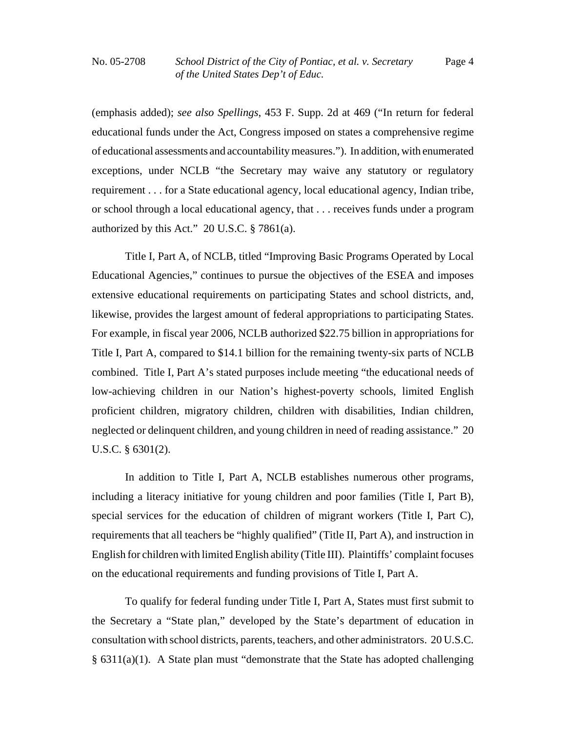(emphasis added); *see also Spellings*, 453 F. Supp. 2d at 469 ("In return for federal educational funds under the Act, Congress imposed on states a comprehensive regime of educational assessments and accountability measures."). In addition, with enumerated exceptions, under NCLB "the Secretary may waive any statutory or regulatory requirement . . . for a State educational agency, local educational agency, Indian tribe, or school through a local educational agency, that . . . receives funds under a program authorized by this Act." 20 U.S.C. § 7861(a).

Title I, Part A, of NCLB, titled "Improving Basic Programs Operated by Local Educational Agencies," continues to pursue the objectives of the ESEA and imposes extensive educational requirements on participating States and school districts, and, likewise, provides the largest amount of federal appropriations to participating States. For example, in fiscal year 2006, NCLB authorized \$22.75 billion in appropriations for Title I, Part A, compared to \$14.1 billion for the remaining twenty-six parts of NCLB combined. Title I, Part A's stated purposes include meeting "the educational needs of low-achieving children in our Nation's highest-poverty schools, limited English proficient children, migratory children, children with disabilities, Indian children, neglected or delinquent children, and young children in need of reading assistance." 20 U.S.C. § 6301(2).

In addition to Title I, Part A, NCLB establishes numerous other programs, including a literacy initiative for young children and poor families (Title I, Part B), special services for the education of children of migrant workers (Title I, Part C), requirements that all teachers be "highly qualified" (Title II, Part A), and instruction in English for children with limited English ability (Title III). Plaintiffs' complaint focuses on the educational requirements and funding provisions of Title I, Part A.

To qualify for federal funding under Title I, Part A, States must first submit to the Secretary a "State plan," developed by the State's department of education in consultation with school districts, parents, teachers, and other administrators. 20 U.S.C. § 6311(a)(1). A State plan must "demonstrate that the State has adopted challenging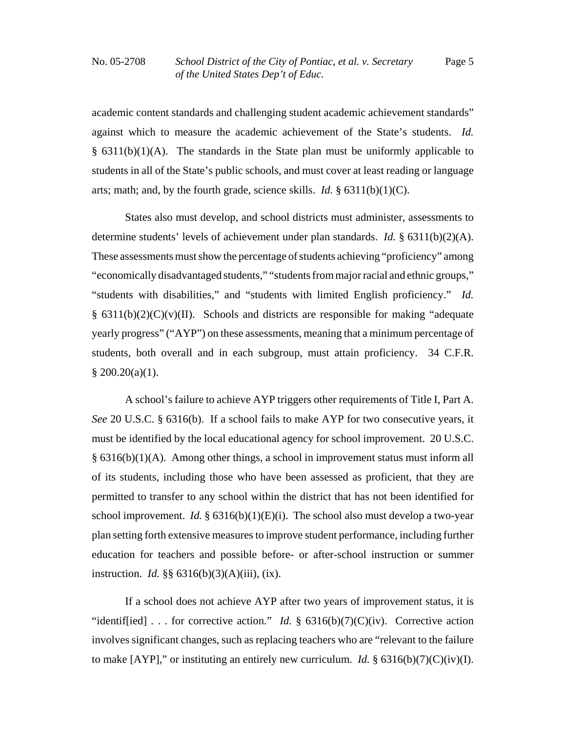academic content standards and challenging student academic achievement standards" against which to measure the academic achievement of the State's students. *Id.*  $§ 6311(b)(1)(A)$ . The standards in the State plan must be uniformly applicable to students in all of the State's public schools, and must cover at least reading or language arts; math; and, by the fourth grade, science skills. *Id.* § 6311(b)(1)(C).

States also must develop, and school districts must administer, assessments to determine students' levels of achievement under plan standards. *Id.* § 6311(b)(2)(A). These assessments must show the percentage of students achieving "proficiency" among "economically disadvantaged students," "students from major racial and ethnic groups," "students with disabilities," and "students with limited English proficiency." *Id.*  $§ 6311(b)(2)(C)(v)(II)$ . Schools and districts are responsible for making "adequate yearly progress" ("AYP") on these assessments, meaning that a minimum percentage of students, both overall and in each subgroup, must attain proficiency. 34 C.F.R.  $§ 200.20(a)(1).$ 

A school's failure to achieve AYP triggers other requirements of Title I, Part A. *See* 20 U.S.C. § 6316(b). If a school fails to make AYP for two consecutive years, it must be identified by the local educational agency for school improvement. 20 U.S.C.  $§ 6316(b)(1)(A)$ . Among other things, a school in improvement status must inform all of its students, including those who have been assessed as proficient, that they are permitted to transfer to any school within the district that has not been identified for school improvement. *Id.*  $\S 6316(b)(1)(E)(i)$ . The school also must develop a two-year plan setting forth extensive measures to improve student performance, including further education for teachers and possible before- or after-school instruction or summer instruction. *Id.* §§ 6316(b)(3)(A)(iii), (ix).

If a school does not achieve AYP after two years of improvement status, it is "identified] . . . for corrective action." *Id.*  $\S$  6316(b)(7)(C)(iv). Corrective action involves significant changes, such as replacing teachers who are "relevant to the failure to make  $[AYP]$ ," or instituting an entirely new curriculum. *Id.*  $\S 6316(b)(7)(C)(iv)(I)$ .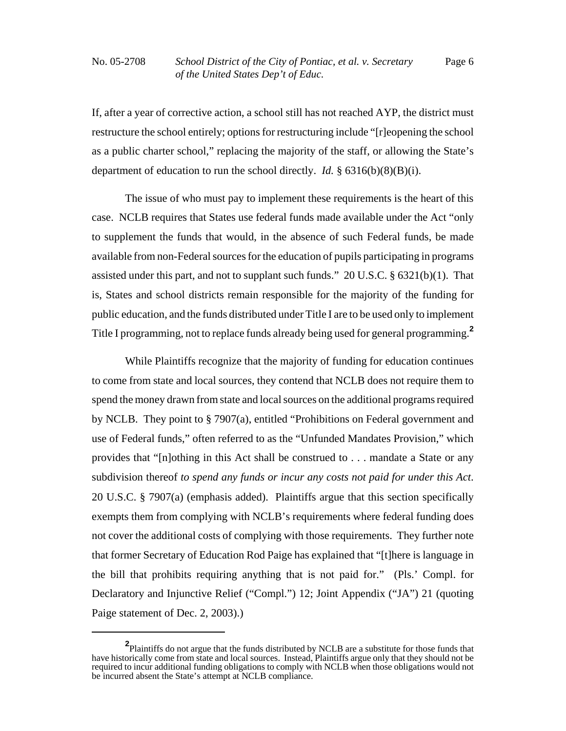If, after a year of corrective action, a school still has not reached AYP, the district must restructure the school entirely; options for restructuring include "[r]eopening the school as a public charter school," replacing the majority of the staff, or allowing the State's department of education to run the school directly. *Id.* § 6316(b)(8)(B)(i).

The issue of who must pay to implement these requirements is the heart of this case. NCLB requires that States use federal funds made available under the Act "only to supplement the funds that would, in the absence of such Federal funds, be made available from non-Federal sources for the education of pupils participating in programs assisted under this part, and not to supplant such funds." 20 U.S.C. § 6321(b)(1). That is, States and school districts remain responsible for the majority of the funding for public education, and the funds distributed under Title I are to be used only to implement Title I programming, not to replace funds already being used for general programming.**<sup>2</sup>**

While Plaintiffs recognize that the majority of funding for education continues to come from state and local sources, they contend that NCLB does not require them to spend the money drawn from state and local sources on the additional programs required by NCLB. They point to § 7907(a), entitled "Prohibitions on Federal government and use of Federal funds," often referred to as the "Unfunded Mandates Provision," which provides that "[n]othing in this Act shall be construed to . . . mandate a State or any subdivision thereof *to spend any funds or incur any costs not paid for under this Act*. 20 U.S.C. § 7907(a) (emphasis added).Plaintiffs argue that this section specifically exempts them from complying with NCLB's requirements where federal funding does not cover the additional costs of complying with those requirements. They further note that former Secretary of Education Rod Paige has explained that "[t]here is language in the bill that prohibits requiring anything that is not paid for." (Pls.' Compl. for Declaratory and Injunctive Relief ("Compl.") 12; Joint Appendix ("JA") 21 (quoting Paige statement of Dec. 2, 2003).)

**<sup>2</sup>** Plaintiffs do not argue that the funds distributed by NCLB are a substitute for those funds that have historically come from state and local sources. Instead, Plaintiffs argue only that they should not be required to incur additional funding obligations to comply with NCLB when those obligations would not be incurred absent the State's attempt at NCLB compliance.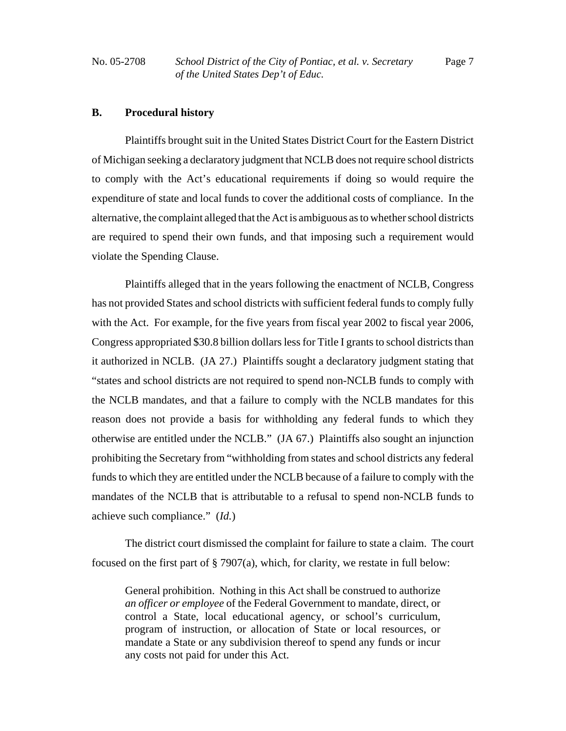### **B. Procedural history**

Plaintiffs brought suit in the United States District Court for the Eastern District of Michigan seeking a declaratory judgment that NCLB does not require school districts to comply with the Act's educational requirements if doing so would require the expenditure of state and local funds to cover the additional costs of compliance. In the alternative, the complaint alleged that the Act is ambiguous as to whether school districts are required to spend their own funds, and that imposing such a requirement would violate the Spending Clause.

Plaintiffs alleged that in the years following the enactment of NCLB, Congress has not provided States and school districts with sufficient federal funds to comply fully with the Act. For example, for the five years from fiscal year 2002 to fiscal year 2006, Congress appropriated \$30.8 billion dollars less for Title I grants to school districts than it authorized in NCLB. (JA 27.) Plaintiffs sought a declaratory judgment stating that "states and school districts are not required to spend non-NCLB funds to comply with the NCLB mandates, and that a failure to comply with the NCLB mandates for this reason does not provide a basis for withholding any federal funds to which they otherwise are entitled under the NCLB." (JA 67.) Plaintiffs also sought an injunction prohibiting the Secretary from "withholding from states and school districts any federal funds to which they are entitled under the NCLB because of a failure to comply with the mandates of the NCLB that is attributable to a refusal to spend non-NCLB funds to achieve such compliance." (*Id.*)

The district court dismissed the complaint for failure to state a claim. The court focused on the first part of § 7907(a), which, for clarity, we restate in full below:

General prohibition. Nothing in this Act shall be construed to authorize *an officer or employee* of the Federal Government to mandate, direct, or control a State, local educational agency, or school's curriculum, program of instruction, or allocation of State or local resources, or mandate a State or any subdivision thereof to spend any funds or incur any costs not paid for under this Act.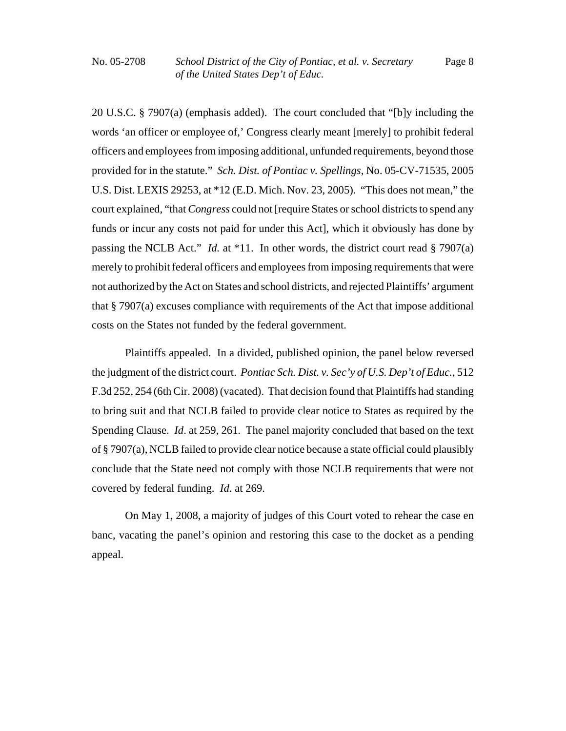20 U.S.C. § 7907(a) (emphasis added). The court concluded that "[b]y including the words 'an officer or employee of,' Congress clearly meant [merely] to prohibit federal officers and employees from imposing additional, unfunded requirements, beyond those provided for in the statute." *Sch. Dist. of Pontiac v. Spellings*, No. 05-CV-71535, 2005 U.S. Dist. LEXIS 29253, at \*12 (E.D. Mich. Nov. 23, 2005). "This does not mean," the court explained, "that *Congress* could not [require States or school districts to spend any funds or incur any costs not paid for under this Act], which it obviously has done by passing the NCLB Act." *Id.* at \*11. In other words, the district court read § 7907(a) merely to prohibit federal officers and employees from imposing requirements that were not authorized by the Act on States and school districts, and rejected Plaintiffs' argument that § 7907(a) excuses compliance with requirements of the Act that impose additional costs on the States not funded by the federal government.

Plaintiffs appealed. In a divided, published opinion, the panel below reversed the judgment of the district court. *Pontiac Sch. Dist. v. Sec'y of U.S. Dep't of Educ.*, 512 F.3d 252, 254 (6th Cir. 2008) (vacated). That decision found that Plaintiffs had standing to bring suit and that NCLB failed to provide clear notice to States as required by the Spending Clause. *Id*. at 259, 261. The panel majority concluded that based on the text of § 7907(a), NCLB failed to provide clear notice because a state official could plausibly conclude that the State need not comply with those NCLB requirements that were not covered by federal funding. *Id*. at 269.

On May 1, 2008, a majority of judges of this Court voted to rehear the case en banc, vacating the panel's opinion and restoring this case to the docket as a pending appeal.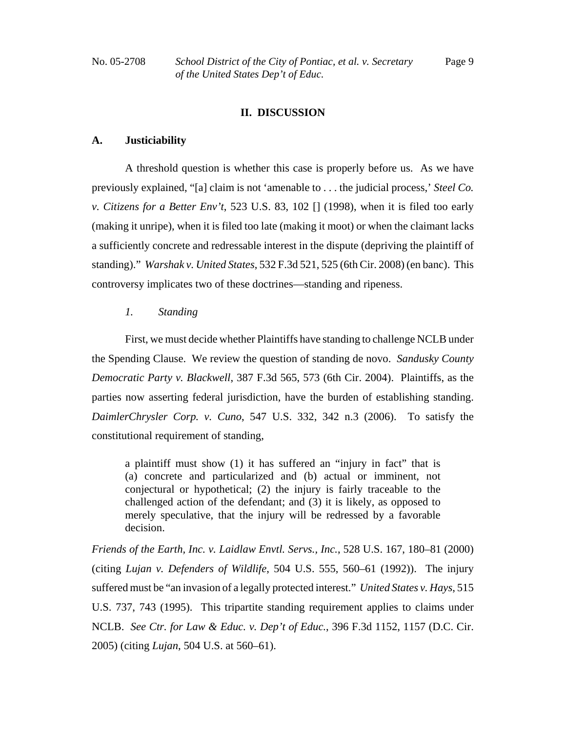### **II. DISCUSSION**

#### **A. Justiciability**

A threshold question is whether this case is properly before us. As we have previously explained, "[a] claim is not 'amenable to . . . the judicial process,' *Steel Co. v. Citizens for a Better Env't*, 523 U.S. 83, 102 [] (1998), when it is filed too early (making it unripe), when it is filed too late (making it moot) or when the claimant lacks a sufficiently concrete and redressable interest in the dispute (depriving the plaintiff of standing)." *Warshak v. United States*, 532 F.3d 521, 525 (6th Cir. 2008) (en banc). This controversy implicates two of these doctrines—standing and ripeness.

### *1. Standing*

First, we must decide whether Plaintiffs have standing to challenge NCLB under the Spending Clause. We review the question of standing de novo. *Sandusky County Democratic Party v. Blackwell*, 387 F.3d 565, 573 (6th Cir. 2004). Plaintiffs, as the parties now asserting federal jurisdiction, have the burden of establishing standing. *DaimlerChrysler Corp. v. Cuno*, 547 U.S. 332, 342 n.3 (2006). To satisfy the constitutional requirement of standing,

a plaintiff must show (1) it has suffered an "injury in fact" that is (a) concrete and particularized and (b) actual or imminent, not conjectural or hypothetical; (2) the injury is fairly traceable to the challenged action of the defendant; and (3) it is likely, as opposed to merely speculative, that the injury will be redressed by a favorable decision.

*Friends of the Earth, Inc. v. Laidlaw Envtl. Servs., Inc.*, 528 U.S. 167, 180–81 (2000) (citing *Lujan v. Defenders of Wildlife*, 504 U.S. 555, 560–61 (1992)). The injury suffered must be "an invasion of a legally protected interest." *United States v. Hays*, 515 U.S. 737, 743 (1995). This tripartite standing requirement applies to claims under NCLB. *See Ctr. for Law & Educ. v. Dep't of Educ.*, 396 F.3d 1152, 1157 (D.C. Cir. 2005) (citing *Lujan*, 504 U.S. at 560–61).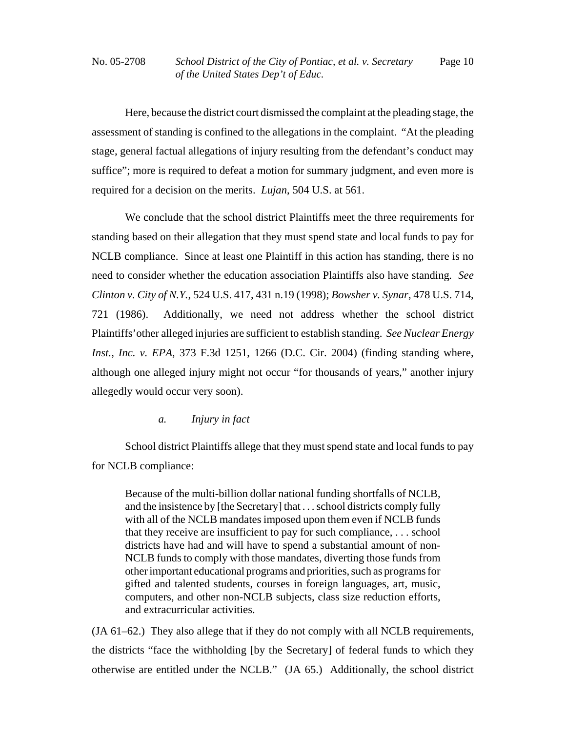Here, because the district court dismissed the complaint at the pleading stage, the assessment of standing is confined to the allegations in the complaint. "At the pleading stage, general factual allegations of injury resulting from the defendant's conduct may suffice"; more is required to defeat a motion for summary judgment, and even more is required for a decision on the merits. *Lujan*, 504 U.S. at 561.

We conclude that the school district Plaintiffs meet the three requirements for standing based on their allegation that they must spend state and local funds to pay for NCLB compliance. Since at least one Plaintiff in this action has standing, there is no need to consider whether the education association Plaintiffs also have standing*. See Clinton v. City of N.Y.*, 524 U.S. 417, 431 n.19 (1998); *Bowsher v. Synar*, 478 U.S. 714, 721 (1986). Additionally, we need not address whether the school district Plaintiffs'other alleged injuries are sufficient to establish standing. *See Nuclear Energy Inst., Inc. v. EPA*, 373 F.3d 1251, 1266 (D.C. Cir. 2004) (finding standing where, although one alleged injury might not occur "for thousands of years," another injury allegedly would occur very soon).

### *a. Injury in fact*

School district Plaintiffs allege that they must spend state and local funds to pay for NCLB compliance:

Because of the multi-billion dollar national funding shortfalls of NCLB, and the insistence by [the Secretary] that . . . school districts comply fully with all of the NCLB mandates imposed upon them even if NCLB funds that they receive are insufficient to pay for such compliance, . . . school districts have had and will have to spend a substantial amount of non-NCLB funds to comply with those mandates, diverting those funds from other important educational programs and priorities, such as programs for gifted and talented students, courses in foreign languages, art, music, computers, and other non-NCLB subjects, class size reduction efforts, and extracurricular activities.

(JA 61–62.) They also allege that if they do not comply with all NCLB requirements, the districts "face the withholding [by the Secretary] of federal funds to which they otherwise are entitled under the NCLB." (JA 65.) Additionally, the school district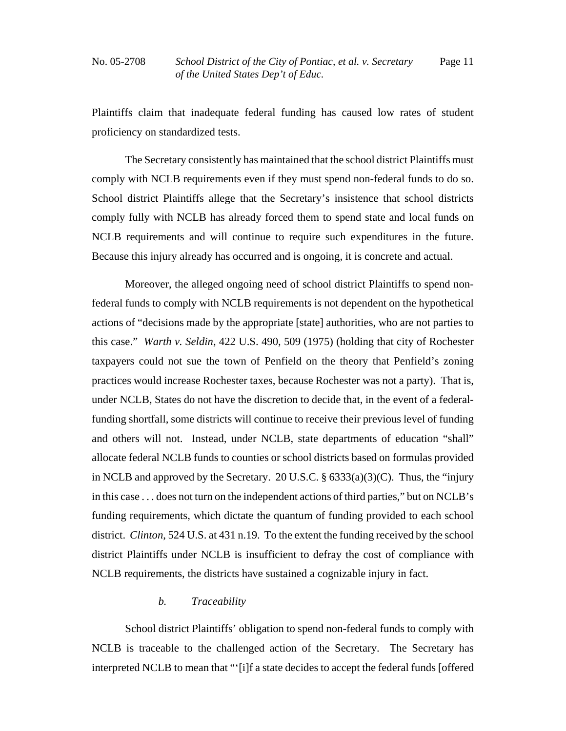Plaintiffs claim that inadequate federal funding has caused low rates of student proficiency on standardized tests.

The Secretary consistently has maintained that the school district Plaintiffs must comply with NCLB requirements even if they must spend non-federal funds to do so. School district Plaintiffs allege that the Secretary's insistence that school districts comply fully with NCLB has already forced them to spend state and local funds on NCLB requirements and will continue to require such expenditures in the future. Because this injury already has occurred and is ongoing, it is concrete and actual.

Moreover, the alleged ongoing need of school district Plaintiffs to spend nonfederal funds to comply with NCLB requirements is not dependent on the hypothetical actions of "decisions made by the appropriate [state] authorities, who are not parties to this case." *Warth v. Seldin*, 422 U.S. 490, 509 (1975) (holding that city of Rochester taxpayers could not sue the town of Penfield on the theory that Penfield's zoning practices would increase Rochester taxes, because Rochester was not a party). That is, under NCLB, States do not have the discretion to decide that, in the event of a federalfunding shortfall, some districts will continue to receive their previous level of funding and others will not. Instead, under NCLB, state departments of education "shall" allocate federal NCLB funds to counties or school districts based on formulas provided in NCLB and approved by the Secretary. 20 U.S.C.  $\S$  6333(a)(3)(C). Thus, the "injury in this case . . . does not turn on the independent actions of third parties," but on NCLB's funding requirements, which dictate the quantum of funding provided to each school district. *Clinton*, 524 U.S. at 431 n.19. To the extent the funding received by the school district Plaintiffs under NCLB is insufficient to defray the cost of compliance with NCLB requirements, the districts have sustained a cognizable injury in fact.

### *b. Traceability*

School district Plaintiffs' obligation to spend non-federal funds to comply with NCLB is traceable to the challenged action of the Secretary. The Secretary has interpreted NCLB to mean that "'[i]f a state decides to accept the federal funds [offered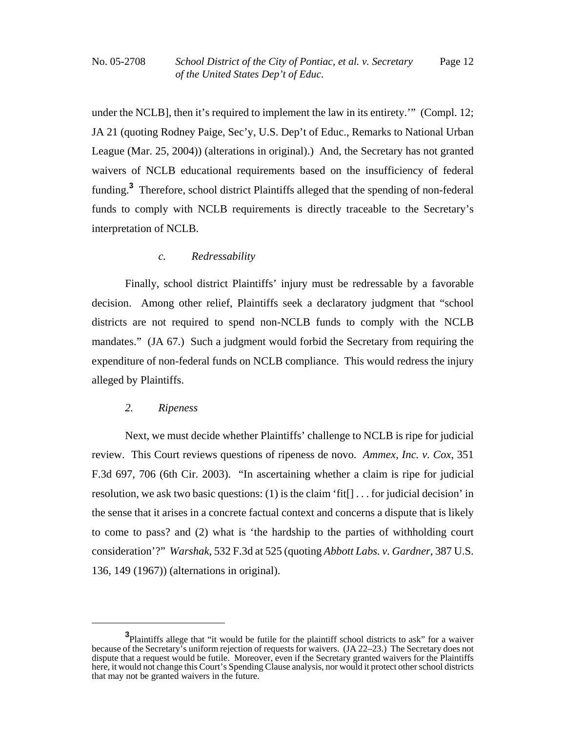under the NCLB], then it's required to implement the law in its entirety.'" (Compl. 12; JA 21 (quoting Rodney Paige, Sec'y, U.S. Dep't of Educ., Remarks to National Urban League (Mar. 25, 2004)) (alterations in original).) And, the Secretary has not granted waivers of NCLB educational requirements based on the insufficiency of federal funding.**<sup>3</sup>** Therefore, school district Plaintiffs alleged that the spending of non-federal funds to comply with NCLB requirements is directly traceable to the Secretary's interpretation of NCLB.

#### *c. Redressability*

Finally, school district Plaintiffs' injury must be redressable by a favorable decision. Among other relief, Plaintiffs seek a declaratory judgment that "school districts are not required to spend non-NCLB funds to comply with the NCLB mandates." (JA 67.) Such a judgment would forbid the Secretary from requiring the expenditure of non-federal funds on NCLB compliance. This would redress the injury alleged by Plaintiffs.

### *2. Ripeness*

Next, we must decide whether Plaintiffs' challenge to NCLB is ripe for judicial review. This Court reviews questions of ripeness de novo. *Ammex, Inc. v. Cox*, 351 F.3d 697, 706 (6th Cir. 2003). "In ascertaining whether a claim is ripe for judicial resolution, we ask two basic questions: (1) is the claim 'fit[] . . . for judicial decision' in the sense that it arises in a concrete factual context and concerns a dispute that is likely to come to pass? and (2) what is 'the hardship to the parties of withholding court consideration'?" *Warshak*, 532 F.3d at 525 (quoting *Abbott Labs. v. Gardner*, 387 U.S. 136, 149 (1967)) (alternations in original).

<sup>&</sup>lt;sup>3</sup>Plaintiffs allege that "it would be futile for the plaintiff school districts to ask" for a waiver because of the Secretary's uniform rejection of requests for waivers. (JA 22–23.) The Secretary does not dispute that a request would be futile. Moreover, even if the Secretary granted waivers for the Plaintiffs here, it would not change this Court's Spending Clause analysis, nor would it protect other school districts that may not be granted waivers in the future.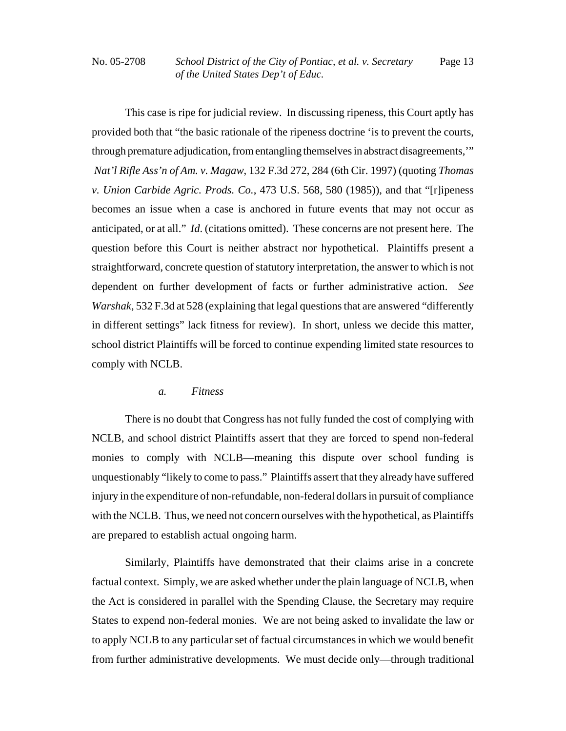This case is ripe for judicial review. In discussing ripeness, this Court aptly has provided both that "the basic rationale of the ripeness doctrine 'is to prevent the courts, through premature adjudication, from entangling themselves in abstract disagreements,'"  *Nat'l Rifle Ass'n of Am. v. Magaw*, 132 F.3d 272, 284 (6th Cir. 1997) (quoting *Thomas v. Union Carbide Agric. Prods. Co.*, 473 U.S. 568, 580 (1985)), and that "[r]ipeness becomes an issue when a case is anchored in future events that may not occur as anticipated, or at all." *Id*. (citations omitted). These concerns are not present here. The question before this Court is neither abstract nor hypothetical. Plaintiffs present a straightforward, concrete question of statutory interpretation, the answer to which is not dependent on further development of facts or further administrative action. *See Warshak*, 532 F.3d at 528 (explaining that legal questions that are answered "differently in different settings" lack fitness for review). In short, unless we decide this matter, school district Plaintiffs will be forced to continue expending limited state resources to comply with NCLB.

#### *a. Fitness*

There is no doubt that Congress has not fully funded the cost of complying with NCLB, and school district Plaintiffs assert that they are forced to spend non-federal monies to comply with NCLB—meaning this dispute over school funding is unquestionably "likely to come to pass." Plaintiffs assert that they already have suffered injury in the expenditure of non-refundable, non-federal dollars in pursuit of compliance with the NCLB. Thus, we need not concern ourselves with the hypothetical, as Plaintiffs are prepared to establish actual ongoing harm.

Similarly, Plaintiffs have demonstrated that their claims arise in a concrete factual context. Simply, we are asked whether under the plain language of NCLB, when the Act is considered in parallel with the Spending Clause, the Secretary may require States to expend non-federal monies. We are not being asked to invalidate the law or to apply NCLB to any particular set of factual circumstances in which we would benefit from further administrative developments. We must decide only—through traditional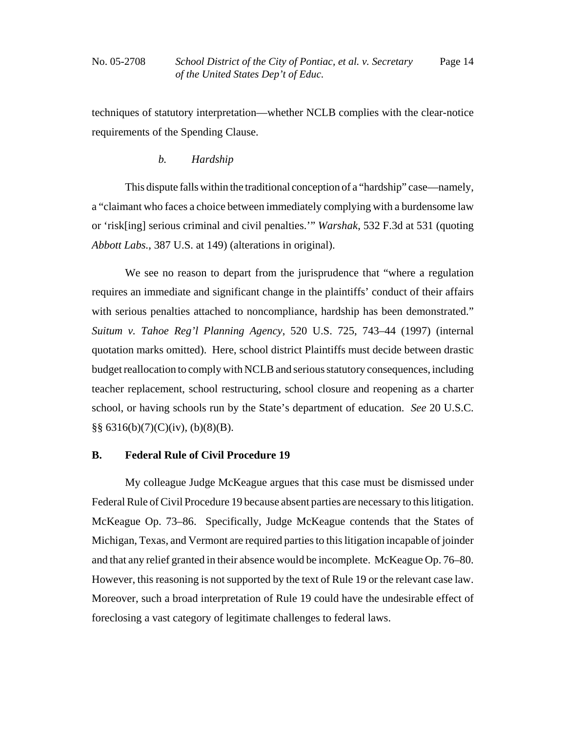techniques of statutory interpretation—whether NCLB complies with the clear-notice requirements of the Spending Clause.

*b. Hardship*

This dispute falls within the traditional conception of a "hardship" case—namely, a "claimant who faces a choice between immediately complying with a burdensome law or 'risk[ing] serious criminal and civil penalties.'" *Warshak*, 532 F.3d at 531 (quoting *Abbott Labs.*, 387 U.S. at 149) (alterations in original).

We see no reason to depart from the jurisprudence that "where a regulation requires an immediate and significant change in the plaintiffs' conduct of their affairs with serious penalties attached to noncompliance, hardship has been demonstrated." *Suitum v. Tahoe Reg'l Planning Agency*, 520 U.S. 725, 743–44 (1997) (internal quotation marks omitted). Here, school district Plaintiffs must decide between drastic budget reallocation to comply with NCLB and serious statutory consequences, including teacher replacement, school restructuring, school closure and reopening as a charter school, or having schools run by the State's department of education. *See* 20 U.S.C. §§ 6316(b)(7)(C)(iv), (b)(8)(B).

### **B. Federal Rule of Civil Procedure 19**

My colleague Judge McKeague argues that this case must be dismissed under Federal Rule of Civil Procedure 19 because absent parties are necessary to this litigation. McKeague Op. 73–86. Specifically, Judge McKeague contends that the States of Michigan, Texas, and Vermont are required parties to this litigation incapable of joinder and that any relief granted in their absence would be incomplete. McKeague Op. 76–80. However, this reasoning is not supported by the text of Rule 19 or the relevant case law. Moreover, such a broad interpretation of Rule 19 could have the undesirable effect of foreclosing a vast category of legitimate challenges to federal laws.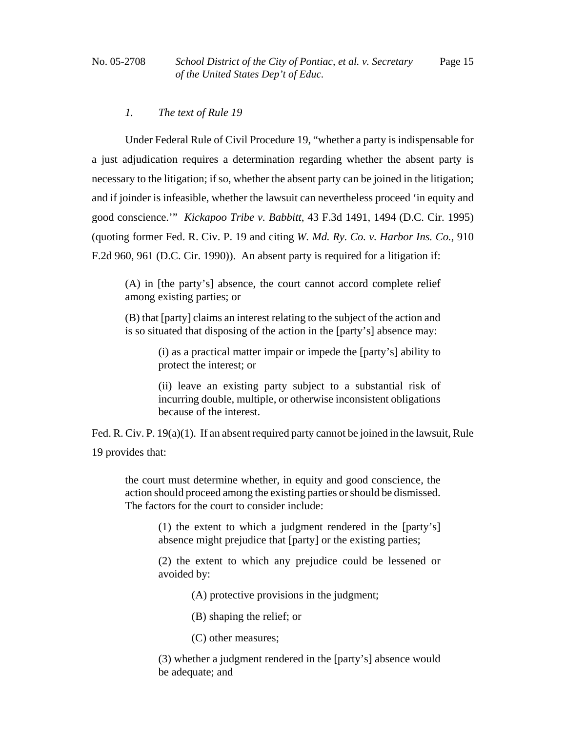*1. The text of Rule 19*

Under Federal Rule of Civil Procedure 19, "whether a party is indispensable for a just adjudication requires a determination regarding whether the absent party is necessary to the litigation; if so, whether the absent party can be joined in the litigation; and if joinder is infeasible, whether the lawsuit can nevertheless proceed 'in equity and good conscience.'" *Kickapoo Tribe v. Babbitt*, 43 F.3d 1491, 1494 (D.C. Cir. 1995) (quoting former Fed. R. Civ. P. 19 and citing *W. Md. Ry. Co. v. Harbor Ins. Co.*, 910 F.2d 960, 961 (D.C. Cir. 1990)). An absent party is required for a litigation if:

(A) in [the party's] absence, the court cannot accord complete relief among existing parties; or

(B) that [party] claims an interest relating to the subject of the action and is so situated that disposing of the action in the [party's] absence may:

> (i) as a practical matter impair or impede the [party's] ability to protect the interest; or

> (ii) leave an existing party subject to a substantial risk of incurring double, multiple, or otherwise inconsistent obligations because of the interest.

Fed. R. Civ. P. 19(a)(1). If an absent required party cannot be joined in the lawsuit, Rule 19 provides that:

the court must determine whether, in equity and good conscience, the action should proceed among the existing parties or should be dismissed. The factors for the court to consider include:

> (1) the extent to which a judgment rendered in the [party's] absence might prejudice that [party] or the existing parties;

> (2) the extent to which any prejudice could be lessened or avoided by:

> > (A) protective provisions in the judgment;

(B) shaping the relief; or

(C) other measures;

(3) whether a judgment rendered in the [party's] absence would be adequate; and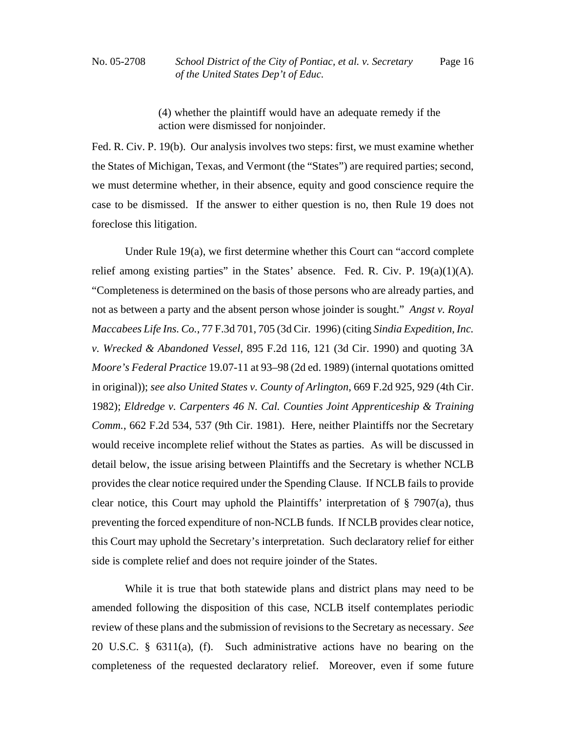(4) whether the plaintiff would have an adequate remedy if the action were dismissed for nonjoinder.

Fed. R. Civ. P. 19(b). Our analysis involves two steps: first, we must examine whether the States of Michigan, Texas, and Vermont (the "States") are required parties; second, we must determine whether, in their absence, equity and good conscience require the case to be dismissed. If the answer to either question is no, then Rule 19 does not foreclose this litigation.

Under Rule 19(a), we first determine whether this Court can "accord complete relief among existing parties" in the States' absence. Fed. R. Civ. P.  $19(a)(1)(A)$ . "Completeness is determined on the basis of those persons who are already parties, and not as between a party and the absent person whose joinder is sought." *Angst v. Royal Maccabees Life Ins. Co.*, 77 F.3d 701, 705 (3d Cir. 1996) (citing *Sindia Expedition, Inc. v. Wrecked & Abandoned Vessel*, 895 F.2d 116, 121 (3d Cir. 1990) and quoting 3A *Moore's Federal Practice* 19.07-11 at 93–98 (2d ed. 1989) (internal quotations omitted in original)); *see also United States v. County of Arlington*, 669 F.2d 925, 929 (4th Cir. 1982); *Eldredge v. Carpenters 46 N. Cal. Counties Joint Apprenticeship & Training Comm.*, 662 F.2d 534, 537 (9th Cir. 1981). Here, neither Plaintiffs nor the Secretary would receive incomplete relief without the States as parties. As will be discussed in detail below, the issue arising between Plaintiffs and the Secretary is whether NCLB provides the clear notice required under the Spending Clause. If NCLB fails to provide clear notice, this Court may uphold the Plaintiffs' interpretation of  $\S$  7907(a), thus preventing the forced expenditure of non-NCLB funds. If NCLB provides clear notice, this Court may uphold the Secretary's interpretation. Such declaratory relief for either side is complete relief and does not require joinder of the States.

While it is true that both statewide plans and district plans may need to be amended following the disposition of this case, NCLB itself contemplates periodic review of these plans and the submission of revisions to the Secretary as necessary. *See* 20 U.S.C. § 6311(a), (f). Such administrative actions have no bearing on the completeness of the requested declaratory relief. Moreover, even if some future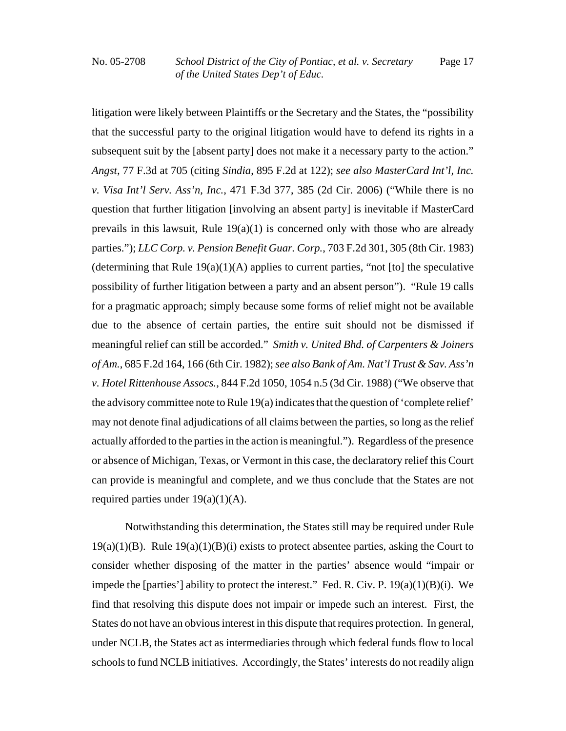litigation were likely between Plaintiffs or the Secretary and the States, the "possibility that the successful party to the original litigation would have to defend its rights in a subsequent suit by the [absent party] does not make it a necessary party to the action." *Angst*, 77 F.3d at 705 (citing *Sindia*, 895 F.2d at 122); *see also MasterCard Int'l, Inc. v. Visa Int'l Serv. Ass'n, Inc.*, 471 F.3d 377, 385 (2d Cir. 2006) ("While there is no question that further litigation [involving an absent party] is inevitable if MasterCard prevails in this lawsuit, Rule  $19(a)(1)$  is concerned only with those who are already parties."); *LLC Corp. v. Pension Benefit Guar. Corp.*, 703 F.2d 301, 305 (8th Cir. 1983) (determining that Rule  $19(a)(1)(A)$  applies to current parties, "not [to] the speculative possibility of further litigation between a party and an absent person"). "Rule 19 calls for a pragmatic approach; simply because some forms of relief might not be available due to the absence of certain parties, the entire suit should not be dismissed if meaningful relief can still be accorded." *Smith v. United Bhd. of Carpenters & Joiners of Am.*, 685 F.2d 164, 166 (6th Cir. 1982); *see also Bank of Am. Nat'l Trust & Sav. Ass'n v. Hotel Rittenhouse Assocs.*, 844 F.2d 1050, 1054 n.5 (3d Cir. 1988) ("We observe that the advisory committee note to Rule 19(a) indicates that the question of 'complete relief' may not denote final adjudications of all claims between the parties, so long as the relief actually afforded to the parties in the action is meaningful."). Regardless of the presence or absence of Michigan, Texas, or Vermont in this case, the declaratory relief this Court can provide is meaningful and complete, and we thus conclude that the States are not required parties under  $19(a)(1)(A)$ .

Notwithstanding this determination, the States still may be required under Rule  $19(a)(1)(B)$ . Rule  $19(a)(1)(B)(i)$  exists to protect absentee parties, asking the Court to consider whether disposing of the matter in the parties' absence would "impair or impede the [parties'] ability to protect the interest." Fed. R. Civ. P.  $19(a)(1)(B)(i)$ . We find that resolving this dispute does not impair or impede such an interest. First, the States do not have an obvious interest in this dispute that requires protection. In general, under NCLB, the States act as intermediaries through which federal funds flow to local schools to fund NCLB initiatives. Accordingly, the States' interests do not readily align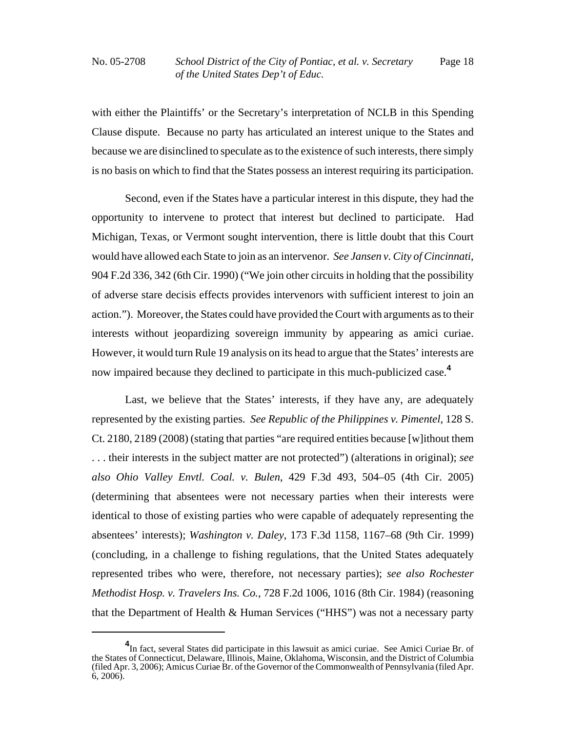with either the Plaintiffs' or the Secretary's interpretation of NCLB in this Spending Clause dispute. Because no party has articulated an interest unique to the States and because we are disinclined to speculate as to the existence of such interests, there simply is no basis on which to find that the States possess an interest requiring its participation.

Second, even if the States have a particular interest in this dispute, they had the opportunity to intervene to protect that interest but declined to participate. Had Michigan, Texas, or Vermont sought intervention, there is little doubt that this Court would have allowed each State to join as an intervenor. *See Jansen v. City of Cincinnati*, 904 F.2d 336, 342 (6th Cir. 1990) ("We join other circuits in holding that the possibility of adverse stare decisis effects provides intervenors with sufficient interest to join an action."). Moreover, the States could have provided the Court with arguments as to their interests without jeopardizing sovereign immunity by appearing as amici curiae. However, it would turn Rule 19 analysis on its head to argue that the States' interests are now impaired because they declined to participate in this much-publicized case.**<sup>4</sup>**

Last, we believe that the States' interests, if they have any, are adequately represented by the existing parties. *See Republic of the Philippines v. Pimentel*, 128 S. Ct. 2180, 2189 (2008) (stating that parties "are required entities because [w]ithout them . . . their interests in the subject matter are not protected") (alterations in original); *see also Ohio Valley Envtl. Coal. v. Bulen*, 429 F.3d 493, 504–05 (4th Cir. 2005) (determining that absentees were not necessary parties when their interests were identical to those of existing parties who were capable of adequately representing the absentees' interests); *Washington v. Daley*, 173 F.3d 1158, 1167–68 (9th Cir. 1999) (concluding, in a challenge to fishing regulations, that the United States adequately represented tribes who were, therefore, not necessary parties); *see also Rochester Methodist Hosp. v. Travelers Ins. Co.*, 728 F.2d 1006, 1016 (8th Cir. 1984) (reasoning that the Department of Health & Human Services ("HHS") was not a necessary party

**<sup>4</sup>** In fact, several States did participate in this lawsuit as amici curiae. See Amici Curiae Br. of the States of Connecticut, Delaware, Illinois, Maine, Oklahoma, Wisconsin, and the District of Columbia (filed Apr. 3, 2006); Amicus Curiae Br. of the Governor of the Commonwealth of Pennsylvania (filed Apr. 6, 2006).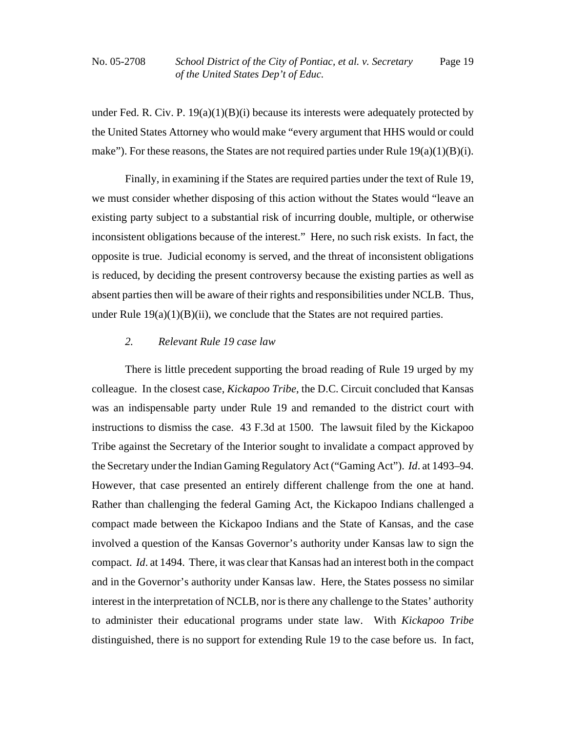under Fed. R. Civ. P.  $19(a)(1)(B)(i)$  because its interests were adequately protected by the United States Attorney who would make "every argument that HHS would or could make"). For these reasons, the States are not required parties under Rule  $19(a)(1)(B)(i)$ .

Finally, in examining if the States are required parties under the text of Rule 19, we must consider whether disposing of this action without the States would "leave an existing party subject to a substantial risk of incurring double, multiple, or otherwise inconsistent obligations because of the interest." Here, no such risk exists. In fact, the opposite is true. Judicial economy is served, and the threat of inconsistent obligations is reduced, by deciding the present controversy because the existing parties as well as absent parties then will be aware of their rights and responsibilities under NCLB. Thus, under Rule  $19(a)(1)(B)(ii)$ , we conclude that the States are not required parties.

### *2. Relevant Rule 19 case law*

There is little precedent supporting the broad reading of Rule 19 urged by my colleague. In the closest case, *Kickapoo Tribe*, the D.C. Circuit concluded that Kansas was an indispensable party under Rule 19 and remanded to the district court with instructions to dismiss the case. 43 F.3d at 1500. The lawsuit filed by the Kickapoo Tribe against the Secretary of the Interior sought to invalidate a compact approved by the Secretary under the Indian Gaming Regulatory Act ("Gaming Act"). *Id*. at 1493–94. However, that case presented an entirely different challenge from the one at hand. Rather than challenging the federal Gaming Act, the Kickapoo Indians challenged a compact made between the Kickapoo Indians and the State of Kansas, and the case involved a question of the Kansas Governor's authority under Kansas law to sign the compact. *Id*. at 1494. There, it was clear that Kansas had an interest both in the compact and in the Governor's authority under Kansas law. Here, the States possess no similar interest in the interpretation of NCLB, nor is there any challenge to the States' authority to administer their educational programs under state law. With *Kickapoo Tribe* distinguished, there is no support for extending Rule 19 to the case before us. In fact,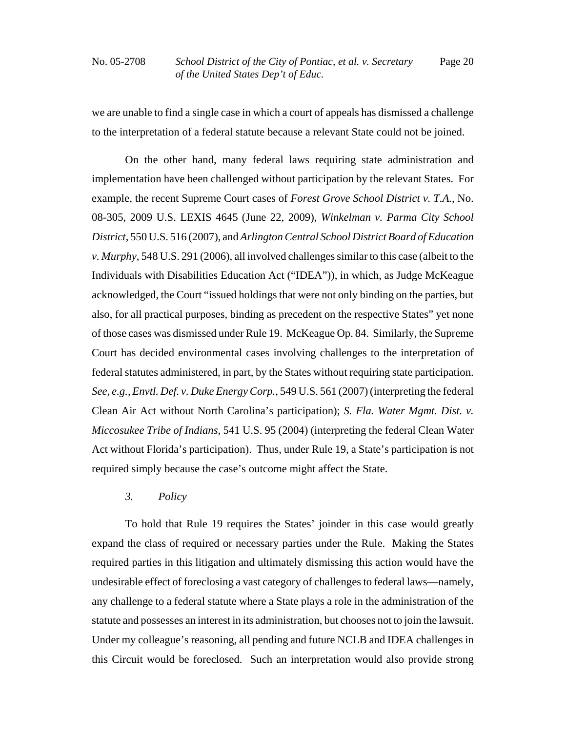we are unable to find a single case in which a court of appeals has dismissed a challenge to the interpretation of a federal statute because a relevant State could not be joined.

On the other hand, many federal laws requiring state administration and implementation have been challenged without participation by the relevant States. For example, the recent Supreme Court cases of *Forest Grove School District v. T.A.*, No. 08-305, 2009 U.S. LEXIS 4645 (June 22, 2009), *Winkelman v. Parma City School District*, 550 U.S. 516 (2007), and *Arlington Central School District Board of Education v. Murphy*, 548 U.S. 291 (2006), all involved challenges similar to this case (albeit to the Individuals with Disabilities Education Act ("IDEA")), in which, as Judge McKeague acknowledged, the Court "issued holdings that were not only binding on the parties, but also, for all practical purposes, binding as precedent on the respective States" yet none of those cases was dismissed under Rule 19. McKeague Op. 84. Similarly, the Supreme Court has decided environmental cases involving challenges to the interpretation of federal statutes administered, in part, by the States without requiring state participation. *See, e.g.*, *Envtl. Def. v. Duke Energy Corp.*, 549 U.S. 561 (2007) (interpreting the federal Clean Air Act without North Carolina's participation); *S. Fla. Water Mgmt. Dist. v. Miccosukee Tribe of Indians*, 541 U.S. 95 (2004) (interpreting the federal Clean Water Act without Florida's participation). Thus, under Rule 19, a State's participation is not required simply because the case's outcome might affect the State.

*3. Policy*

To hold that Rule 19 requires the States' joinder in this case would greatly expand the class of required or necessary parties under the Rule. Making the States required parties in this litigation and ultimately dismissing this action would have the undesirable effect of foreclosing a vast category of challenges to federal laws—namely, any challenge to a federal statute where a State plays a role in the administration of the statute and possesses an interest in its administration, but chooses not to join the lawsuit. Under my colleague's reasoning, all pending and future NCLB and IDEA challenges in this Circuit would be foreclosed. Such an interpretation would also provide strong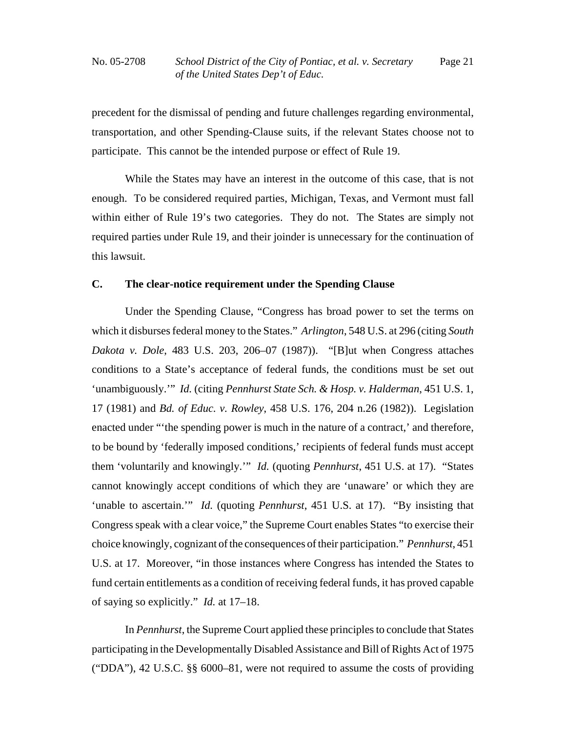precedent for the dismissal of pending and future challenges regarding environmental, transportation, and other Spending-Clause suits, if the relevant States choose not to participate. This cannot be the intended purpose or effect of Rule 19.

While the States may have an interest in the outcome of this case, that is not enough. To be considered required parties, Michigan, Texas, and Vermont must fall within either of Rule 19's two categories. They do not. The States are simply not required parties under Rule 19, and their joinder is unnecessary for the continuation of this lawsuit.

### **C. The clear-notice requirement under the Spending Clause**

Under the Spending Clause, "Congress has broad power to set the terms on which it disburses federal money to the States." *Arlington*, 548 U.S. at 296 (citing *South Dakota v. Dole*, 483 U.S. 203, 206–07 (1987)). "[B]ut when Congress attaches conditions to a State's acceptance of federal funds, the conditions must be set out 'unambiguously.'" *Id.* (citing *Pennhurst State Sch. & Hosp. v. Halderman*, 451 U.S. 1, 17 (1981) and *Bd. of Educ. v. Rowley*, 458 U.S. 176, 204 n.26 (1982)). Legislation enacted under "'the spending power is much in the nature of a contract,' and therefore, to be bound by 'federally imposed conditions,' recipients of federal funds must accept them 'voluntarily and knowingly.'"*Id.* (quoting *Pennhurst*, 451 U.S. at 17). "States cannot knowingly accept conditions of which they are 'unaware' or which they are 'unable to ascertain.'"*Id.* (quoting *Pennhurst*, 451 U.S. at 17). "By insisting that Congress speak with a clear voice," the Supreme Court enables States "to exercise their choice knowingly, cognizant of the consequences of their participation." *Pennhurst*, 451 U.S. at 17. Moreover, "in those instances where Congress has intended the States to fund certain entitlements as a condition of receiving federal funds, it has proved capable of saying so explicitly." *Id.* at 17–18.

In *Pennhurst*, the Supreme Court applied these principles to conclude that States participating in the Developmentally Disabled Assistance and Bill of Rights Act of 1975 ("DDA"), 42 U.S.C. §§ 6000–81, were not required to assume the costs of providing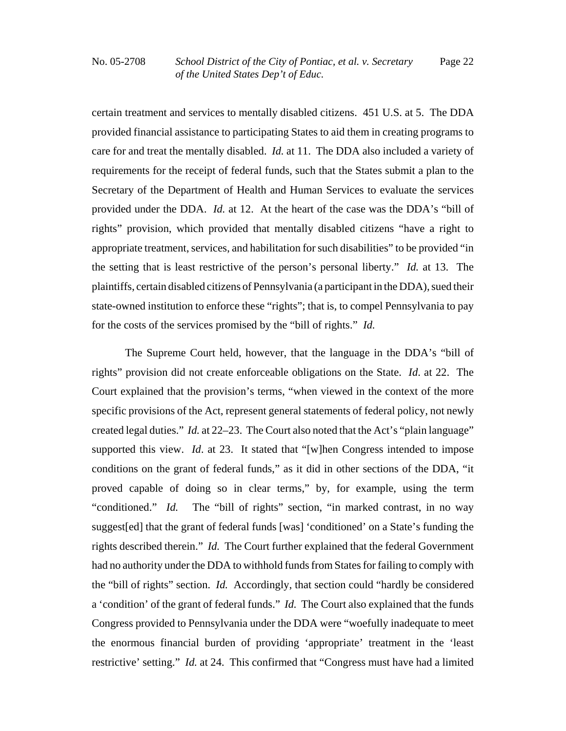certain treatment and services to mentally disabled citizens. 451 U.S. at 5. The DDA provided financial assistance to participating States to aid them in creating programs to care for and treat the mentally disabled. *Id.* at 11. The DDA also included a variety of requirements for the receipt of federal funds, such that the States submit a plan to the Secretary of the Department of Health and Human Services to evaluate the services provided under the DDA. *Id.* at 12. At the heart of the case was the DDA's "bill of rights" provision, which provided that mentally disabled citizens "have a right to appropriate treatment, services, and habilitation for such disabilities" to be provided "in the setting that is least restrictive of the person's personal liberty." *Id.* at 13. The plaintiffs, certain disabled citizens of Pennsylvania (a participant in the DDA), sued their state-owned institution to enforce these "rights"; that is, to compel Pennsylvania to pay for the costs of the services promised by the "bill of rights." *Id.*

The Supreme Court held, however, that the language in the DDA's "bill of rights" provision did not create enforceable obligations on the State. *Id*. at 22. The Court explained that the provision's terms, "when viewed in the context of the more specific provisions of the Act, represent general statements of federal policy, not newly created legal duties." *Id.* at 22–23. The Court also noted that the Act's "plain language" supported this view. *Id*. at 23. It stated that "[w]hen Congress intended to impose conditions on the grant of federal funds," as it did in other sections of the DDA, "it proved capable of doing so in clear terms," by, for example, using the term "conditioned." *Id.* The "bill of rights" section, "in marked contrast, in no way suggest[ed] that the grant of federal funds [was] 'conditioned' on a State's funding the rights described therein." *Id.* The Court further explained that the federal Government had no authority under the DDA to withhold funds from States for failing to comply with the "bill of rights" section. *Id.* Accordingly, that section could "hardly be considered a 'condition' of the grant of federal funds." *Id.* The Court also explained that the funds Congress provided to Pennsylvania under the DDA were "woefully inadequate to meet the enormous financial burden of providing 'appropriate' treatment in the 'least restrictive' setting." *Id.* at 24. This confirmed that "Congress must have had a limited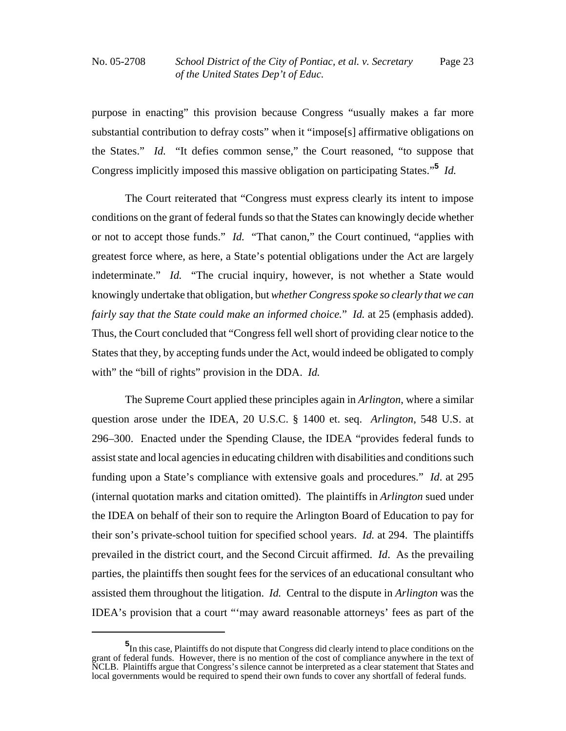purpose in enacting" this provision because Congress "usually makes a far more substantial contribution to defray costs" when it "impose[s] affirmative obligations on the States." *Id.* "It defies common sense," the Court reasoned, "to suppose that Congress implicitly imposed this massive obligation on participating States."**<sup>5</sup>** *Id.*

The Court reiterated that "Congress must express clearly its intent to impose conditions on the grant of federal funds so that the States can knowingly decide whether or not to accept those funds." *Id.* "That canon," the Court continued, "applies with greatest force where, as here, a State's potential obligations under the Act are largely indeterminate." *Id.* "The crucial inquiry, however, is not whether a State would knowingly undertake that obligation, but *whether Congress spoke so clearly that we can fairly say that the State could make an informed choice.*" *Id.* at 25 (emphasis added). Thus, the Court concluded that "Congress fell well short of providing clear notice to the States that they, by accepting funds under the Act, would indeed be obligated to comply with" the "bill of rights" provision in the DDA. *Id.* 

The Supreme Court applied these principles again in *Arlington*, where a similar question arose under the IDEA, 20 U.S.C. § 1400 et. seq. *Arlington*, 548 U.S. at 296–300. Enacted under the Spending Clause, the IDEA "provides federal funds to assist state and local agencies in educating children with disabilities and conditions such funding upon a State's compliance with extensive goals and procedures." *Id*. at 295 (internal quotation marks and citation omitted). The plaintiffs in *Arlington* sued under the IDEA on behalf of their son to require the Arlington Board of Education to pay for their son's private-school tuition for specified school years. *Id.* at 294. The plaintiffs prevailed in the district court, and the Second Circuit affirmed. *Id*. As the prevailing parties, the plaintiffs then sought fees for the services of an educational consultant who assisted them throughout the litigation. *Id.* Central to the dispute in *Arlington* was the IDEA's provision that a court "'may award reasonable attorneys' fees as part of the

**<sup>5</sup>** In this case, Plaintiffs do not dispute that Congress did clearly intend to place conditions on the grant of federal funds. However, there is no mention of the cost of compliance anywhere in the text of NCLB. Plaintiffs argue that Congress's silence cannot be interpreted as a clear statement that States and local governments would be required to spend their own funds to cover any shortfall of federal funds.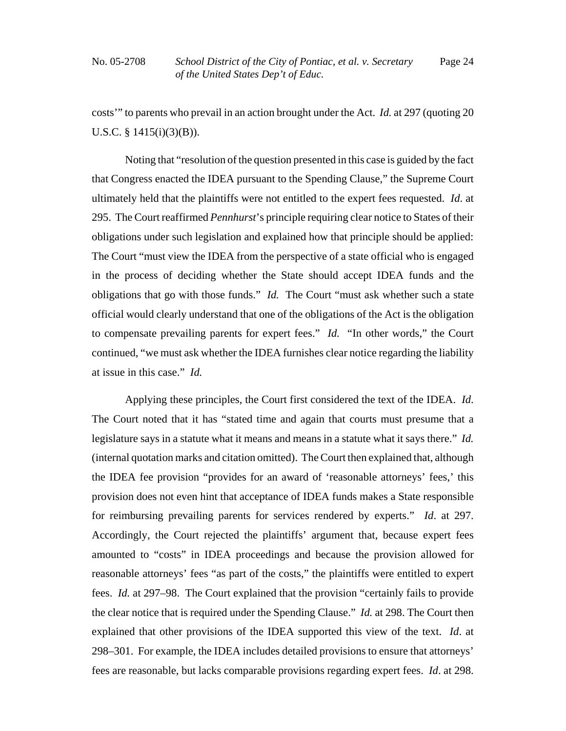costs'" to parents who prevail in an action brought under the Act. *Id.* at 297 (quoting 20 U.S.C. § 1415(i)(3)(B)).

Noting that "resolution of the question presented in this case is guided by the fact that Congress enacted the IDEA pursuant to the Spending Clause," the Supreme Court ultimately held that the plaintiffs were not entitled to the expert fees requested. *Id*. at 295. The Court reaffirmed *Pennhurst*'s principle requiring clear notice to States of their obligations under such legislation and explained how that principle should be applied: The Court "must view the IDEA from the perspective of a state official who is engaged in the process of deciding whether the State should accept IDEA funds and the obligations that go with those funds." *Id.* The Court "must ask whether such a state official would clearly understand that one of the obligations of the Act is the obligation to compensate prevailing parents for expert fees." *Id.* "In other words," the Court continued, "we must ask whether the IDEA furnishes clear notice regarding the liability at issue in this case." *Id.*

Applying these principles, the Court first considered the text of the IDEA. *Id*. The Court noted that it has "stated time and again that courts must presume that a legislature says in a statute what it means and means in a statute what it says there." *Id.* (internal quotation marks and citation omitted). The Court then explained that, although the IDEA fee provision "provides for an award of 'reasonable attorneys' fees,' this provision does not even hint that acceptance of IDEA funds makes a State responsible for reimbursing prevailing parents for services rendered by experts." *Id*. at 297. Accordingly, the Court rejected the plaintiffs' argument that, because expert fees amounted to "costs" in IDEA proceedings and because the provision allowed for reasonable attorneys' fees "as part of the costs," the plaintiffs were entitled to expert fees. *Id.* at 297–98. The Court explained that the provision "certainly fails to provide the clear notice that is required under the Spending Clause." *Id.* at 298. The Court then explained that other provisions of the IDEA supported this view of the text. *Id*. at 298–301. For example, the IDEA includes detailed provisions to ensure that attorneys' fees are reasonable, but lacks comparable provisions regarding expert fees. *Id*. at 298.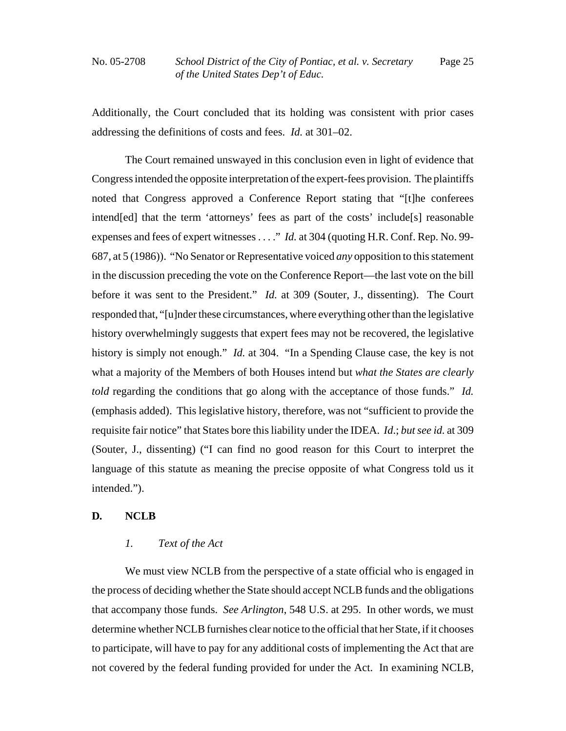Additionally, the Court concluded that its holding was consistent with prior cases addressing the definitions of costs and fees. *Id.* at 301–02.

The Court remained unswayed in this conclusion even in light of evidence that Congress intended the opposite interpretation of the expert-fees provision. The plaintiffs noted that Congress approved a Conference Report stating that "[t]he conferees intend[ed] that the term 'attorneys' fees as part of the costs' include[s] reasonable expenses and fees of expert witnesses . . . ." *Id.* at 304 (quoting H.R. Conf. Rep. No. 99- 687, at 5 (1986)). "No Senator or Representative voiced *any* opposition to this statement in the discussion preceding the vote on the Conference Report—the last vote on the bill before it was sent to the President." *Id.* at 309 (Souter, J., dissenting). The Court responded that, "[u]nder these circumstances, where everything other than the legislative history overwhelmingly suggests that expert fees may not be recovered, the legislative history is simply not enough." *Id.* at 304. "In a Spending Clause case, the key is not what a majority of the Members of both Houses intend but *what the States are clearly told* regarding the conditions that go along with the acceptance of those funds." *Id.* (emphasis added). This legislative history, therefore, was not "sufficient to provide the requisite fair notice" that States bore this liability under the IDEA. *Id*.; *butsee id.* at 309 (Souter, J., dissenting) ("I can find no good reason for this Court to interpret the language of this statute as meaning the precise opposite of what Congress told us it intended.").

### **D***.* **NCLB**

#### *1. Text of the Act*

We must view NCLB from the perspective of a state official who is engaged in the process of deciding whether the State should accept NCLB funds and the obligations that accompany those funds. *See Arlington*, 548 U.S. at 295. In other words, we must determine whether NCLB furnishes clear notice to the official that her State, if it chooses to participate, will have to pay for any additional costs of implementing the Act that are not covered by the federal funding provided for under the Act. In examining NCLB,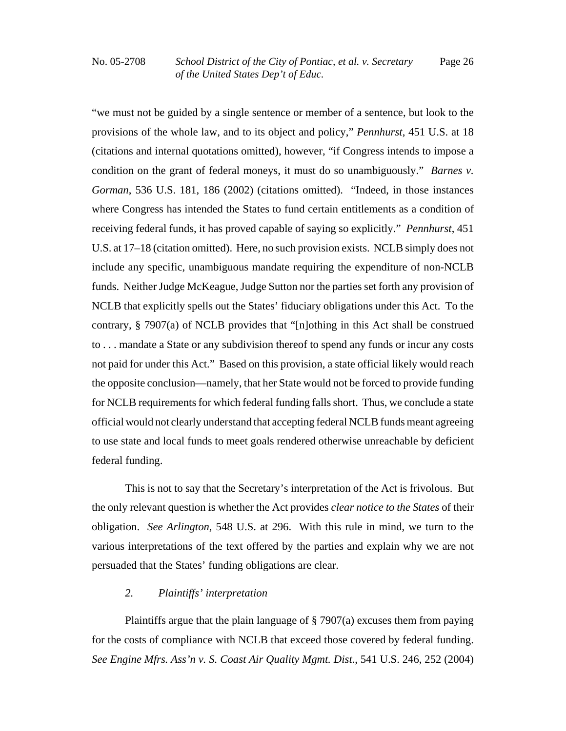"we must not be guided by a single sentence or member of a sentence, but look to the provisions of the whole law, and to its object and policy," *Pennhurst*, 451 U.S. at 18 (citations and internal quotations omitted), however, "if Congress intends to impose a condition on the grant of federal moneys, it must do so unambiguously." *Barnes v. Gorman*, 536 U.S. 181, 186 (2002) (citations omitted). "Indeed, in those instances where Congress has intended the States to fund certain entitlements as a condition of receiving federal funds, it has proved capable of saying so explicitly." *Pennhurst*, 451 U.S. at 17–18 (citation omitted). Here, no such provision exists. NCLB simply does not include any specific, unambiguous mandate requiring the expenditure of non-NCLB funds. Neither Judge McKeague, Judge Sutton nor the parties set forth any provision of NCLB that explicitly spells out the States' fiduciary obligations under this Act. To the contrary, § 7907(a) of NCLB provides that "[n]othing in this Act shall be construed to . . . mandate a State or any subdivision thereof to spend any funds or incur any costs not paid for under this Act." Based on this provision, a state official likely would reach the opposite conclusion—namely, that her State would not be forced to provide funding for NCLB requirements for which federal funding falls short. Thus, we conclude a state official would not clearly understand that accepting federal NCLB funds meant agreeing to use state and local funds to meet goals rendered otherwise unreachable by deficient federal funding.

This is not to say that the Secretary's interpretation of the Act is frivolous. But the only relevant question is whether the Act provides *clear notice to the States* of their obligation. *See Arlington*, 548 U.S. at 296. With this rule in mind, we turn to the various interpretations of the text offered by the parties and explain why we are not persuaded that the States' funding obligations are clear.

### *2. Plaintiffs' interpretation*

Plaintiffs argue that the plain language of § 7907(a) excuses them from paying for the costs of compliance with NCLB that exceed those covered by federal funding. *See Engine Mfrs. Ass'n v. S. Coast Air Quality Mgmt. Dist*., 541 U.S. 246, 252 (2004)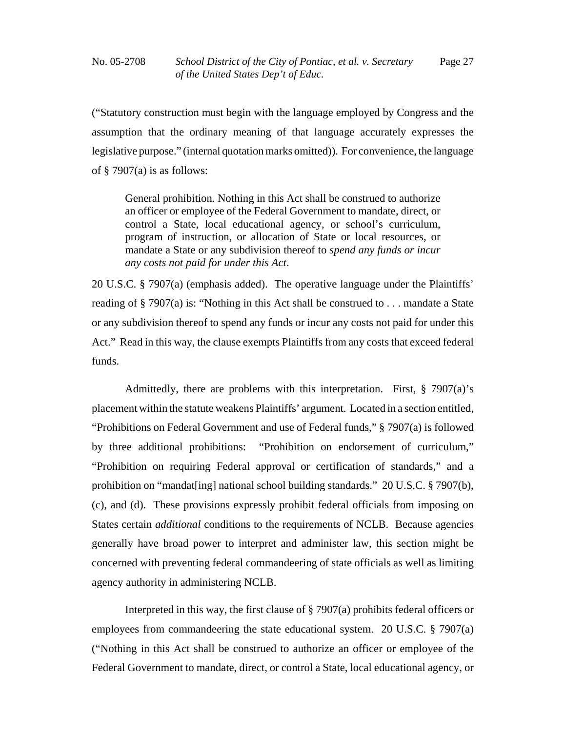("Statutory construction must begin with the language employed by Congress and the assumption that the ordinary meaning of that language accurately expresses the legislative purpose." (internal quotation marks omitted)). For convenience, the language of  $\S$  7907(a) is as follows:

General prohibition. Nothing in this Act shall be construed to authorize an officer or employee of the Federal Government to mandate, direct, or control a State, local educational agency, or school's curriculum, program of instruction, or allocation of State or local resources, or mandate a State or any subdivision thereof to *spend any funds or incur any costs not paid for under this Act*.

20 U.S.C. § 7907(a) (emphasis added). The operative language under the Plaintiffs' reading of § 7907(a) is: "Nothing in this Act shall be construed to . . . mandate a State or any subdivision thereof to spend any funds or incur any costs not paid for under this Act." Read in this way, the clause exempts Plaintiffs from any costs that exceed federal funds.

Admittedly, there are problems with this interpretation. First, § 7907(a)'s placement within the statute weakens Plaintiffs' argument. Located in a section entitled, "Prohibitions on Federal Government and use of Federal funds," § 7907(a) is followed by three additional prohibitions: "Prohibition on endorsement of curriculum," "Prohibition on requiring Federal approval or certification of standards," and a prohibition on "mandat[ing] national school building standards." 20 U.S.C. § 7907(b), (c), and (d). These provisions expressly prohibit federal officials from imposing on States certain *additional* conditions to the requirements of NCLB. Because agencies generally have broad power to interpret and administer law, this section might be concerned with preventing federal commandeering of state officials as well as limiting agency authority in administering NCLB.

Interpreted in this way, the first clause of § 7907(a) prohibits federal officers or employees from commandeering the state educational system. 20 U.S.C. § 7907(a) ("Nothing in this Act shall be construed to authorize an officer or employee of the Federal Government to mandate, direct, or control a State, local educational agency, or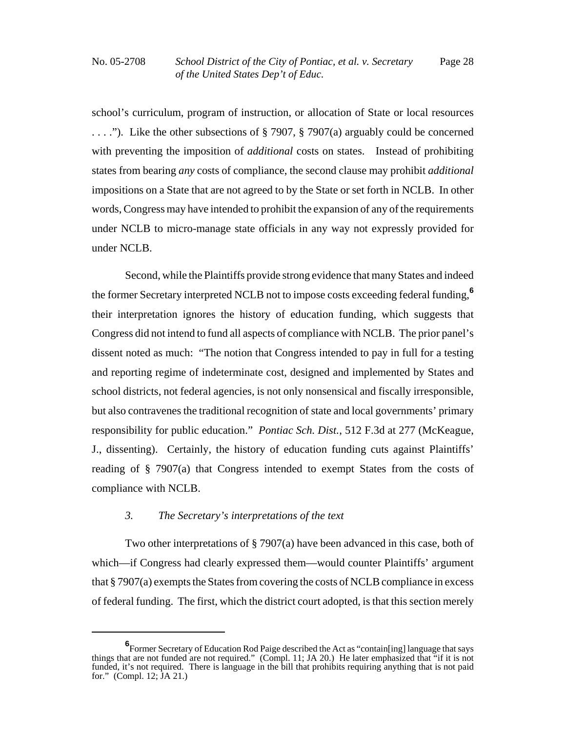school's curriculum, program of instruction, or allocation of State or local resources  $\ldots$ "). Like the other subsections of § 7907, § 7907(a) arguably could be concerned with preventing the imposition of *additional* costs on states. Instead of prohibiting states from bearing *any* costs of compliance, the second clause may prohibit *additional* impositions on a State that are not agreed to by the State or set forth in NCLB. In other words, Congress may have intended to prohibit the expansion of any of the requirements under NCLB to micro-manage state officials in any way not expressly provided for under NCLB.

Second, while the Plaintiffs provide strong evidence that many States and indeed the former Secretary interpreted NCLB not to impose costs exceeding federal funding,**<sup>6</sup>** their interpretation ignores the history of education funding, which suggests that Congress did not intend to fund all aspects of compliance with NCLB. The prior panel's dissent noted as much: "The notion that Congress intended to pay in full for a testing and reporting regime of indeterminate cost, designed and implemented by States and school districts, not federal agencies, is not only nonsensical and fiscally irresponsible, but also contravenes the traditional recognition of state and local governments' primary responsibility for public education." *Pontiac Sch. Dist.*, 512 F.3d at 277 (McKeague, J., dissenting). Certainly, the history of education funding cuts against Plaintiffs' reading of § 7907(a) that Congress intended to exempt States from the costs of compliance with NCLB.

### *3. The Secretary's interpretations of the text*

Two other interpretations of § 7907(a) have been advanced in this case, both of which—if Congress had clearly expressed them—would counter Plaintiffs' argument that  $\S 7907(a)$  exempts the States from covering the costs of NCLB compliance in excess of federal funding. The first, which the district court adopted, is that this section merely

**<sup>6</sup>** Former Secretary of Education Rod Paige described the Act as "contain[ing] language that says things that are not funded are not required." (Compl. 11; JA 20.) He later emphasized that "if it is not funded, it's not required. There is language in the bill that prohibits requiring anything that is not paid for." (Compl. 12; JA 21.)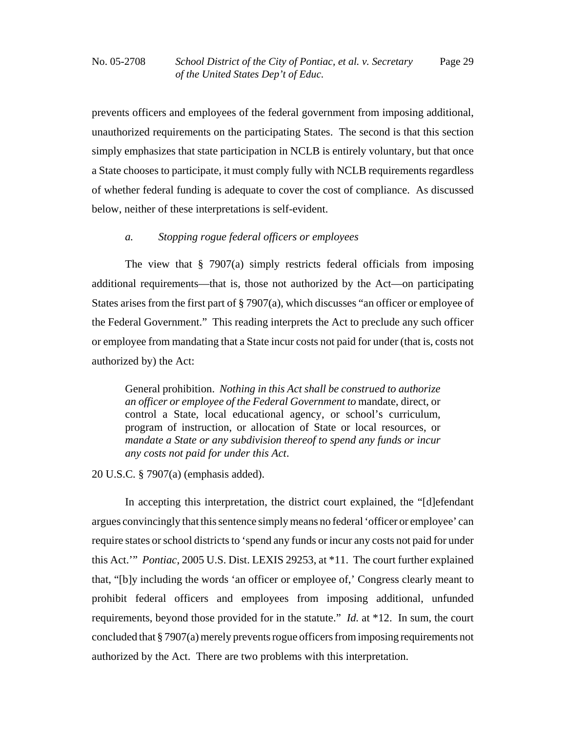prevents officers and employees of the federal government from imposing additional, unauthorized requirements on the participating States. The second is that this section simply emphasizes that state participation in NCLB is entirely voluntary, but that once a State chooses to participate, it must comply fully with NCLB requirements regardless of whether federal funding is adequate to cover the cost of compliance. As discussed below, neither of these interpretations is self-evident.

#### *a. Stopping rogue federal officers or employees*

The view that § 7907(a) simply restricts federal officials from imposing additional requirements—that is, those not authorized by the Act—on participating States arises from the first part of § 7907(a), which discusses "an officer or employee of the Federal Government." This reading interprets the Act to preclude any such officer or employee from mandating that a State incur costs not paid for under (that is, costs not authorized by) the Act:

General prohibition. *Nothing in this Act shall be construed to authorize an officer or employee of the Federal Government to* mandate, direct, or control a State, local educational agency, or school's curriculum, program of instruction, or allocation of State or local resources, or *mandate a State or any subdivision thereof to spend any funds or incur any costs not paid for under this Act*.

20 U.S.C. § 7907(a) (emphasis added).

In accepting this interpretation, the district court explained, the "[d]efendant argues convincingly that this sentence simply means no federal 'officer or employee' can require states or school districts to 'spend any funds or incur any costs not paid for under this Act.'" *Pontiac*, 2005 U.S. Dist. LEXIS 29253, at \*11. The court further explained that, "[b]y including the words 'an officer or employee of,' Congress clearly meant to prohibit federal officers and employees from imposing additional, unfunded requirements, beyond those provided for in the statute." *Id.* at \*12. In sum, the court concluded that § 7907(a) merely prevents rogue officers from imposing requirements not authorized by the Act. There are two problems with this interpretation.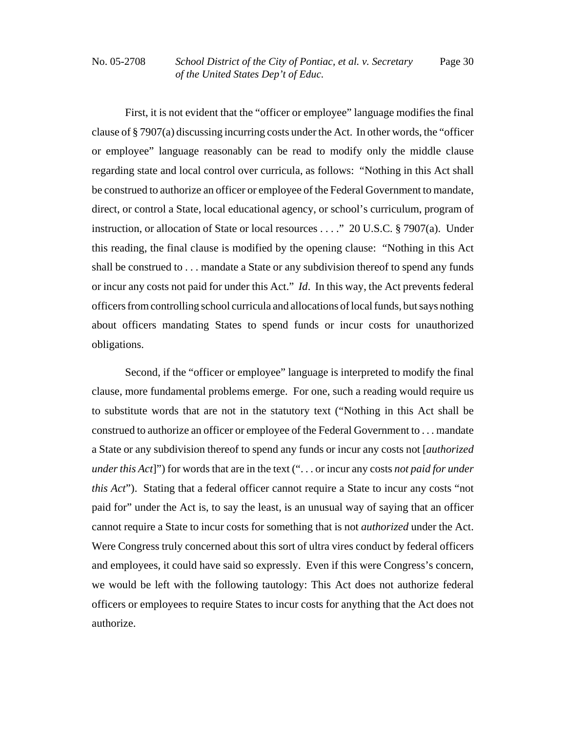First, it is not evident that the "officer or employee" language modifies the final clause of § 7907(a) discussing incurring costs under the Act. In other words, the "officer or employee" language reasonably can be read to modify only the middle clause regarding state and local control over curricula, as follows: "Nothing in this Act shall be construed to authorize an officer or employee of the Federal Government to mandate, direct, or control a State, local educational agency, or school's curriculum, program of instruction, or allocation of State or local resources . . . ." 20 U.S.C. § 7907(a). Under this reading, the final clause is modified by the opening clause: "Nothing in this Act shall be construed to . . . mandate a State or any subdivision thereof to spend any funds or incur any costs not paid for under this Act." *Id*. In this way, the Act prevents federal officers from controlling school curricula and allocations of local funds, but says nothing about officers mandating States to spend funds or incur costs for unauthorized obligations.

Second, if the "officer or employee" language is interpreted to modify the final clause, more fundamental problems emerge. For one, such a reading would require us to substitute words that are not in the statutory text ("Nothing in this Act shall be construed to authorize an officer or employee of the Federal Government to . . . mandate a State or any subdivision thereof to spend any funds or incur any costs not [*authorized under this Act*]") for words that are in the text (". . . or incur any costs *not paid for under this Act*"). Stating that a federal officer cannot require a State to incur any costs "not paid for" under the Act is, to say the least, is an unusual way of saying that an officer cannot require a State to incur costs for something that is not *authorized* under the Act. Were Congress truly concerned about this sort of ultra vires conduct by federal officers and employees, it could have said so expressly. Even if this were Congress's concern, we would be left with the following tautology: This Act does not authorize federal officers or employees to require States to incur costs for anything that the Act does not authorize.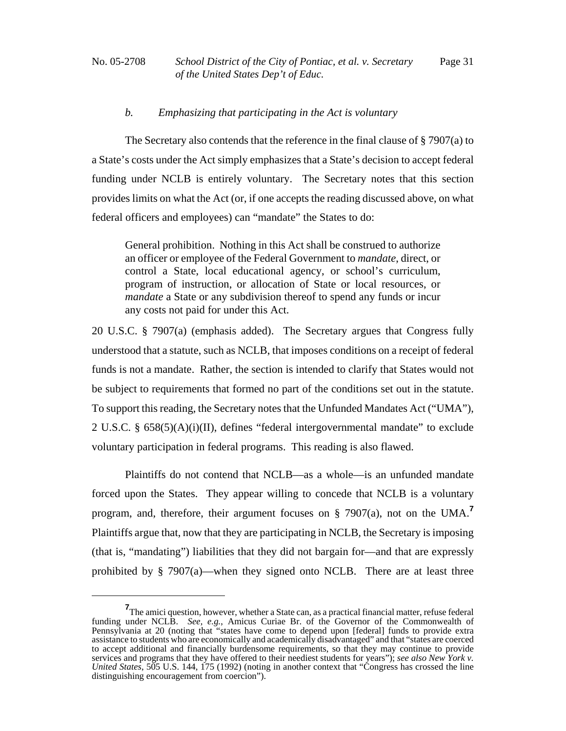### *b. Emphasizing that participating in the Act is voluntary*

The Secretary also contends that the reference in the final clause of § 7907(a) to a State's costs under the Act simply emphasizes that a State's decision to accept federal funding under NCLB is entirely voluntary. The Secretary notes that this section provides limits on what the Act (or, if one accepts the reading discussed above, on what federal officers and employees) can "mandate" the States to do:

General prohibition. Nothing in this Act shall be construed to authorize an officer or employee of the Federal Government to *mandate*, direct, or control a State, local educational agency, or school's curriculum, program of instruction, or allocation of State or local resources, or *mandate* a State or any subdivision thereof to spend any funds or incur any costs not paid for under this Act.

20 U.S.C. § 7907(a) (emphasis added). The Secretary argues that Congress fully understood that a statute, such as NCLB, that imposes conditions on a receipt of federal funds is not a mandate. Rather, the section is intended to clarify that States would not be subject to requirements that formed no part of the conditions set out in the statute. To support this reading, the Secretary notes that the Unfunded Mandates Act ("UMA"), 2 U.S.C. § 658(5)(A)(i)(II), defines "federal intergovernmental mandate" to exclude voluntary participation in federal programs. This reading is also flawed.

Plaintiffs do not contend that NCLB—as a whole—is an unfunded mandate forced upon the States. They appear willing to concede that NCLB is a voluntary program, and, therefore, their argument focuses on  $\S$  7907(a), not on the UMA.<sup>7</sup> Plaintiffs argue that, now that they are participating in NCLB, the Secretary is imposing (that is, "mandating") liabilities that they did not bargain for—and that are expressly prohibited by  $\S$  7907(a)—when they signed onto NCLB. There are at least three

**<sup>7</sup>** The amici question, however, whether a State can, as a practical financial matter, refuse federal funding under NCLB. *See, e.g.*, Amicus Curiae Br. of the Governor of the Commonwealth of Pennsylvania at 20 (noting that "states have come to depend upon [federal] funds to provide extra assistance to students who are economically and academically disadvantaged" and that "states are coerced to accept additional and financially burdensome requirements, so that they may continue to provide services and programs that they have offered to their neediest students for years"); *see also New York v. United States*, 505 U.S. 144, 175 (1992) (noting in another context that "Congress has crossed the line distinguishing encouragement from coercion").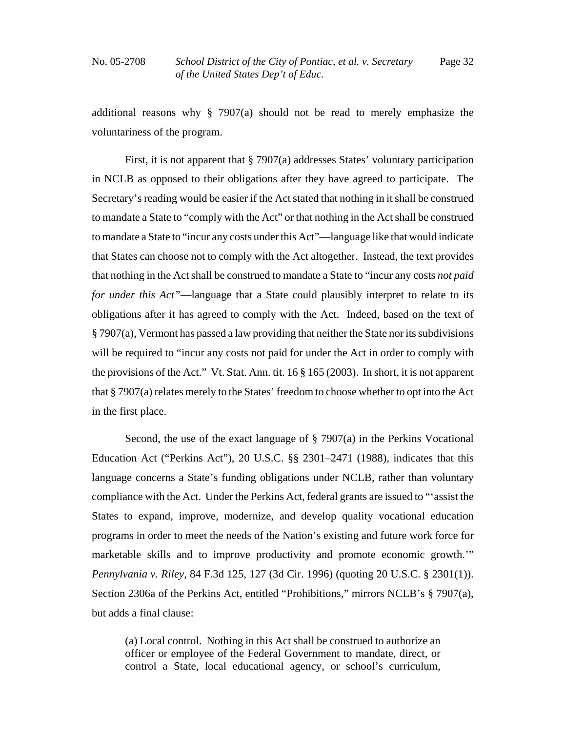additional reasons why § 7907(a) should not be read to merely emphasize the voluntariness of the program.

First, it is not apparent that § 7907(a) addresses States' voluntary participation in NCLB as opposed to their obligations after they have agreed to participate. The Secretary's reading would be easier if the Act stated that nothing in it shall be construed to mandate a State to "comply with the Act" or that nothing in the Act shall be construed to mandate a State to "incur any costs under this Act"—language like that would indicate that States can choose not to comply with the Act altogether. Instead, the text provides that nothing in the Act shall be construed to mandate a State to "incur any costs *not paid for under this Act"*—language that a State could plausibly interpret to relate to its obligations after it has agreed to comply with the Act. Indeed, based on the text of § 7907(a), Vermont has passed a law providing that neither the State nor its subdivisions will be required to "incur any costs not paid for under the Act in order to comply with the provisions of the Act." Vt. Stat. Ann. tit. 16 § 165 (2003).In short, it is not apparent that § 7907(a) relates merely to the States' freedom to choose whether to opt into the Act in the first place.

Second, the use of the exact language of  $\S$  7907(a) in the Perkins Vocational Education Act ("Perkins Act"), 20 U.S.C. §§ 2301–2471 (1988), indicates that this language concerns a State's funding obligations under NCLB, rather than voluntary compliance with the Act. Under the Perkins Act, federal grants are issued to "'assist the States to expand, improve, modernize, and develop quality vocational education programs in order to meet the needs of the Nation's existing and future work force for marketable skills and to improve productivity and promote economic growth.'" *Pennylvania v. Riley*, 84 F.3d 125, 127 (3d Cir. 1996) (quoting 20 U.S.C. § 2301(1)). Section 2306a of the Perkins Act, entitled "Prohibitions," mirrors NCLB's § 7907(a), but adds a final clause:

(a) Local control. Nothing in this Act shall be construed to authorize an officer or employee of the Federal Government to mandate, direct, or control a State, local educational agency, or school's curriculum,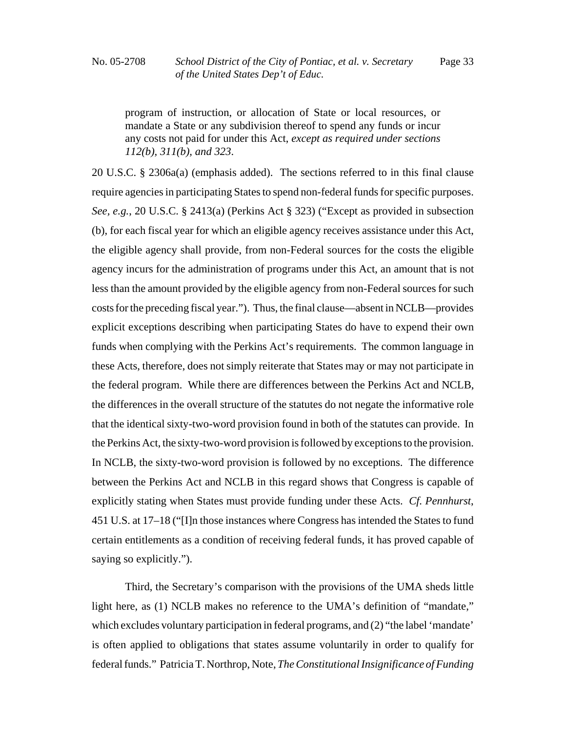program of instruction, or allocation of State or local resources, or mandate a State or any subdivision thereof to spend any funds or incur any costs not paid for under this Act, *except as required under sections 112(b), 311(b), and 323*.

20 U.S.C. § 2306a(a) (emphasis added). The sections referred to in this final clause require agencies in participating States to spend non-federal funds for specific purposes. *See, e.g.*, 20 U.S.C. § 2413(a) (Perkins Act § 323) ("Except as provided in subsection (b), for each fiscal year for which an eligible agency receives assistance under this Act, the eligible agency shall provide, from non-Federal sources for the costs the eligible agency incurs for the administration of programs under this Act, an amount that is not less than the amount provided by the eligible agency from non-Federal sources for such costs for the preceding fiscal year."). Thus, the final clause—absent in NCLB—provides explicit exceptions describing when participating States do have to expend their own funds when complying with the Perkins Act's requirements. The common language in these Acts, therefore, does not simply reiterate that States may or may not participate in the federal program. While there are differences between the Perkins Act and NCLB, the differences in the overall structure of the statutes do not negate the informative role that the identical sixty-two-word provision found in both of the statutes can provide. In the Perkins Act, the sixty-two-word provision is followed by exceptions to the provision. In NCLB, the sixty-two-word provision is followed by no exceptions. The difference between the Perkins Act and NCLB in this regard shows that Congress is capable of explicitly stating when States must provide funding under these Acts. *Cf. Pennhurst*, 451 U.S. at 17–18 ("[I]n those instances where Congress has intended the States to fund certain entitlements as a condition of receiving federal funds, it has proved capable of saying so explicitly.").

Third, the Secretary's comparison with the provisions of the UMA sheds little light here, as (1) NCLB makes no reference to the UMA's definition of "mandate," which excludes voluntary participation in federal programs, and (2) "the label 'mandate' is often applied to obligations that states assume voluntarily in order to qualify for federal funds." Patricia T. Northrop, Note, *The Constitutional Insignificance of Funding*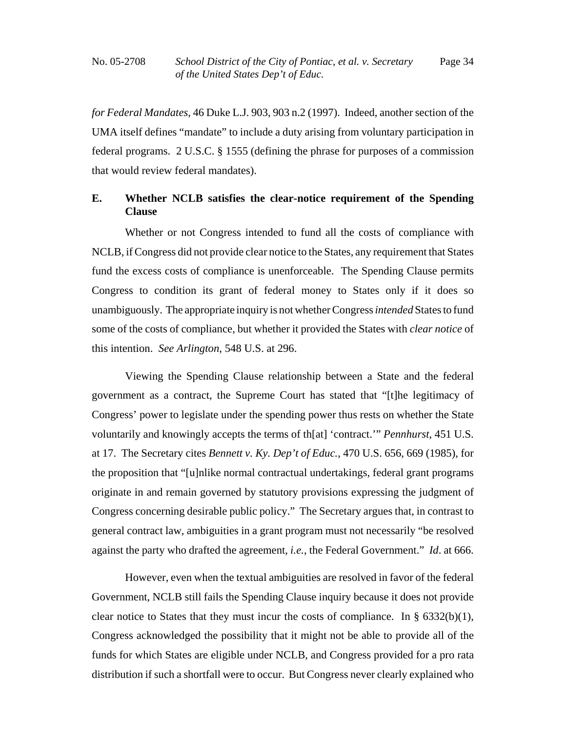*for Federal Mandates*, 46 Duke L.J. 903, 903 n.2 (1997). Indeed, another section of the UMA itself defines "mandate" to include a duty arising from voluntary participation in federal programs. 2 U.S.C. § 1555 (defining the phrase for purposes of a commission that would review federal mandates).

# **E. Whether NCLB satisfies the clear-notice requirement of the Spending Clause**

Whether or not Congress intended to fund all the costs of compliance with NCLB, if Congress did not provide clear notice to the States, any requirement that States fund the excess costs of compliance is unenforceable. The Spending Clause permits Congress to condition its grant of federal money to States only if it does so unambiguously. The appropriate inquiry is not whether Congress *intended* States to fund some of the costs of compliance, but whether it provided the States with *clear notice* of this intention. *See Arlington*, 548 U.S. at 296.

Viewing the Spending Clause relationship between a State and the federal government as a contract, the Supreme Court has stated that "[t]he legitimacy of Congress' power to legislate under the spending power thus rests on whether the State voluntarily and knowingly accepts the terms of th[at] 'contract.'" *Pennhurst*, 451 U.S. at 17. The Secretary cites *Bennett v. Ky. Dep't of Educ.*, 470 U.S. 656, 669 (1985), for the proposition that "[u]nlike normal contractual undertakings, federal grant programs originate in and remain governed by statutory provisions expressing the judgment of Congress concerning desirable public policy." The Secretary argues that, in contrast to general contract law, ambiguities in a grant program must not necessarily "be resolved against the party who drafted the agreement, *i.e.*, the Federal Government." *Id*. at 666.

However, even when the textual ambiguities are resolved in favor of the federal Government, NCLB still fails the Spending Clause inquiry because it does not provide clear notice to States that they must incur the costs of compliance. In  $\S$  6332(b)(1), Congress acknowledged the possibility that it might not be able to provide all of the funds for which States are eligible under NCLB, and Congress provided for a pro rata distribution if such a shortfall were to occur. But Congress never clearly explained who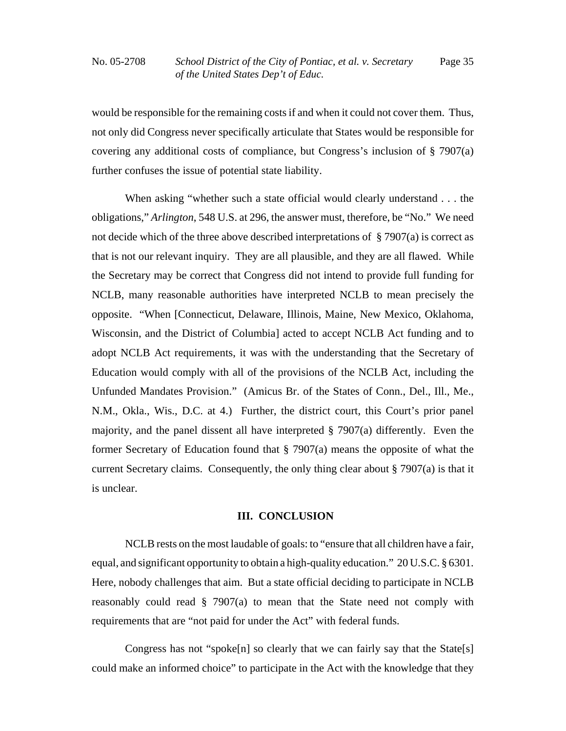would be responsible for the remaining costs if and when it could not cover them. Thus, not only did Congress never specifically articulate that States would be responsible for covering any additional costs of compliance, but Congress's inclusion of § 7907(a) further confuses the issue of potential state liability.

When asking "whether such a state official would clearly understand . . . the obligations," *Arlington*, 548 U.S. at 296, the answer must, therefore, be "No." We need not decide which of the three above described interpretations of § 7907(a) is correct as that is not our relevant inquiry. They are all plausible, and they are all flawed. While the Secretary may be correct that Congress did not intend to provide full funding for NCLB, many reasonable authorities have interpreted NCLB to mean precisely the opposite. "When [Connecticut, Delaware, Illinois, Maine, New Mexico, Oklahoma, Wisconsin, and the District of Columbia] acted to accept NCLB Act funding and to adopt NCLB Act requirements, it was with the understanding that the Secretary of Education would comply with all of the provisions of the NCLB Act, including the Unfunded Mandates Provision." (Amicus Br. of the States of Conn., Del., Ill., Me., N.M., Okla., Wis., D.C. at 4.) Further, the district court, this Court's prior panel majority, and the panel dissent all have interpreted § 7907(a) differently. Even the former Secretary of Education found that § 7907(a) means the opposite of what the current Secretary claims. Consequently, the only thing clear about § 7907(a) is that it is unclear.

#### **III. CONCLUSION**

NCLB rests on the most laudable of goals: to "ensure that all children have a fair, equal, and significant opportunity to obtain a high-quality education." 20 U.S.C. § 6301. Here, nobody challenges that aim. But a state official deciding to participate in NCLB reasonably could read  $\S$  7907(a) to mean that the State need not comply with requirements that are "not paid for under the Act" with federal funds.

Congress has not "spoke[n] so clearly that we can fairly say that the State[s] could make an informed choice" to participate in the Act with the knowledge that they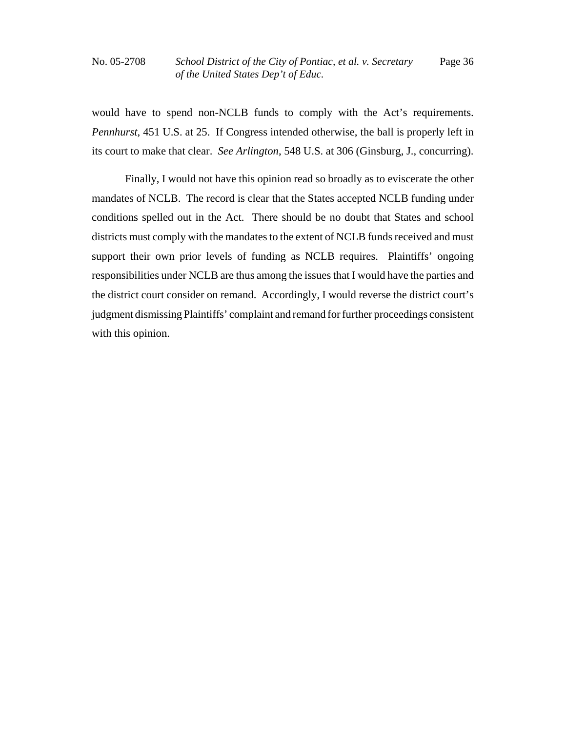would have to spend non-NCLB funds to comply with the Act's requirements. *Pennhurst*, 451 U.S. at 25. If Congress intended otherwise, the ball is properly left in its court to make that clear. *See Arlington*, 548 U.S. at 306 (Ginsburg, J., concurring).

Finally, I would not have this opinion read so broadly as to eviscerate the other mandates of NCLB. The record is clear that the States accepted NCLB funding under conditions spelled out in the Act. There should be no doubt that States and school districts must comply with the mandates to the extent of NCLB funds received and must support their own prior levels of funding as NCLB requires. Plaintiffs' ongoing responsibilities under NCLB are thus among the issues that I would have the parties and the district court consider on remand. Accordingly, I would reverse the district court's judgment dismissing Plaintiffs' complaint and remand for further proceedings consistent with this opinion.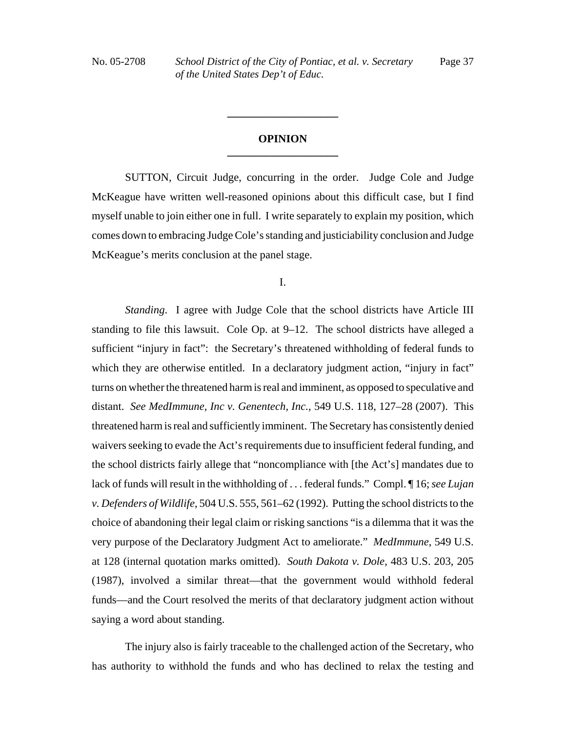# **OPINION \_\_\_\_\_\_\_\_\_\_\_\_\_\_\_\_\_\_\_\_**

**\_\_\_\_\_\_\_\_\_\_\_\_\_\_\_\_\_\_\_\_**

SUTTON, Circuit Judge, concurring in the order. Judge Cole and Judge McKeague have written well-reasoned opinions about this difficult case, but I find myself unable to join either one in full. I write separately to explain my position, which comes down to embracing Judge Cole's standing and justiciability conclusion and Judge McKeague's merits conclusion at the panel stage.

# I.

*Standing*. I agree with Judge Cole that the school districts have Article III standing to file this lawsuit. Cole Op. at 9–12. The school districts have alleged a sufficient "injury in fact": the Secretary's threatened withholding of federal funds to which they are otherwise entitled. In a declaratory judgment action, "injury in fact" turns on whether the threatened harm is real and imminent, as opposed to speculative and distant. *See MedImmune, Inc v. Genentech, Inc.,* 549 U.S. 118, 127–28 (2007).This threatened harm is real and sufficiently imminent. The Secretary has consistently denied waivers seeking to evade the Act's requirements due to insufficient federal funding, and the school districts fairly allege that "noncompliance with [the Act's] mandates due to lack of funds will result in the withholding of . . . federal funds." Compl. ¶ 16; *see Lujan v. Defenders of Wildlife*, 504 U.S. 555, 561–62 (1992). Putting the school districts to the choice of abandoning their legal claim or risking sanctions "is a dilemma that it was the very purpose of the Declaratory Judgment Act to ameliorate." *MedImmune*, 549 U.S. at 128 (internal quotation marks omitted). *South Dakota v. Dole*, 483 U.S. 203, 205 (1987), involved a similar threat—that the government would withhold federal funds—and the Court resolved the merits of that declaratory judgment action without saying a word about standing.

The injury also is fairly traceable to the challenged action of the Secretary, who has authority to withhold the funds and who has declined to relax the testing and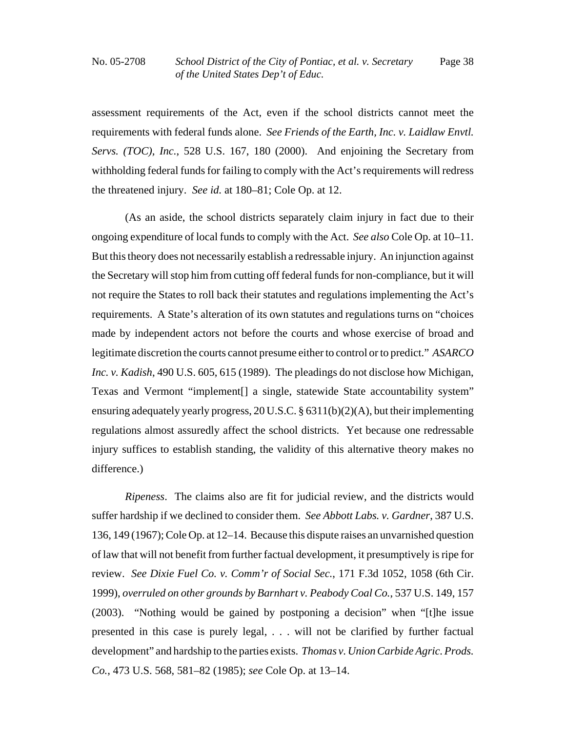assessment requirements of the Act, even if the school districts cannot meet the requirements with federal funds alone. *See Friends of the Earth, Inc. v. Laidlaw Envtl. Servs. (TOC), Inc.*, 528 U.S. 167, 180 (2000). And enjoining the Secretary from withholding federal funds for failing to comply with the Act's requirements will redress the threatened injury. *See id.* at 180–81; Cole Op. at 12.

(As an aside, the school districts separately claim injury in fact due to their ongoing expenditure of local funds to comply with the Act. *See also* Cole Op. at 10–11. But this theory does not necessarily establish a redressable injury. An injunction against the Secretary will stop him from cutting off federal funds for non-compliance, but it will not require the States to roll back their statutes and regulations implementing the Act's requirements. A State's alteration of its own statutes and regulations turns on "choices made by independent actors not before the courts and whose exercise of broad and legitimate discretion the courts cannot presume either to control or to predict." *ASARCO Inc. v. Kadish*, 490 U.S. 605, 615 (1989). The pleadings do not disclose how Michigan, Texas and Vermont "implement[] a single, statewide State accountability system" ensuring adequately yearly progress,  $20 U.S.C.$  §  $6311(b)(2)(A)$ , but their implementing regulations almost assuredly affect the school districts. Yet because one redressable injury suffices to establish standing, the validity of this alternative theory makes no difference.)

*Ripeness*. The claims also are fit for judicial review, and the districts would suffer hardship if we declined to consider them. *See Abbott Labs. v. Gardner*, 387 U.S. 136, 149 (1967); Cole Op. at 12–14. Because this dispute raises an unvarnished question of law that will not benefit from further factual development, it presumptively is ripe for review. *See Dixie Fuel Co. v. Comm'r of Social Sec.*, 171 F.3d 1052, 1058 (6th Cir. 1999), *overruled on other grounds by Barnhart v. Peabody Coal Co.*, 537 U.S. 149, 157 (2003). "Nothing would be gained by postponing a decision" when "[t]he issue presented in this case is purely legal, . . . will not be clarified by further factual development" and hardship to the parties exists. *Thomas v. Union Carbide Agric. Prods. Co.*, 473 U.S. 568, 581–82 (1985); *see* Cole Op. at 13–14.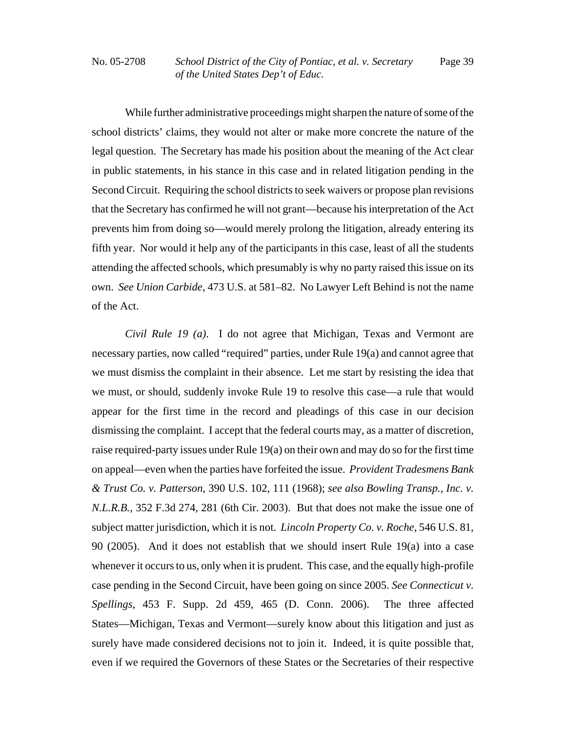While further administrative proceedings might sharpen the nature of some of the school districts' claims, they would not alter or make more concrete the nature of the legal question. The Secretary has made his position about the meaning of the Act clear in public statements, in his stance in this case and in related litigation pending in the Second Circuit. Requiring the school districts to seek waivers or propose plan revisions that the Secretary has confirmed he will not grant—because his interpretation of the Act prevents him from doing so—would merely prolong the litigation, already entering its fifth year. Nor would it help any of the participants in this case, least of all the students attending the affected schools, which presumably is why no party raised this issue on its own. *See Union Carbide*, 473 U.S. at 581–82. No Lawyer Left Behind is not the name of the Act.

*Civil Rule 19 (a)*. I do not agree that Michigan, Texas and Vermont are necessary parties, now called "required" parties, under Rule 19(a) and cannot agree that we must dismiss the complaint in their absence. Let me start by resisting the idea that we must, or should, suddenly invoke Rule 19 to resolve this case—a rule that would appear for the first time in the record and pleadings of this case in our decision dismissing the complaint. I accept that the federal courts may, as a matter of discretion, raise required-party issues under Rule 19(a) on their own and may do so for the first time on appeal—even when the parties have forfeited the issue. *Provident Tradesmens Bank & Trust Co. v. Patterson*, 390 U.S. 102, 111 (1968); *see also Bowling Transp., Inc. v. N.L.R.B.*, 352 F.3d 274, 281 (6th Cir. 2003). But that does not make the issue one of subject matter jurisdiction, which it is not. *Lincoln Property Co. v. Roche*, 546 U.S. 81, 90 (2005). And it does not establish that we should insert Rule 19(a) into a case whenever it occurs to us, only when it is prudent. This case, and the equally high-profile case pending in the Second Circuit, have been going on since 2005. *See Connecticut v. Spellings*, 453 F. Supp. 2d 459, 465 (D. Conn. 2006). The three affected States—Michigan, Texas and Vermont—surely know about this litigation and just as surely have made considered decisions not to join it. Indeed, it is quite possible that, even if we required the Governors of these States or the Secretaries of their respective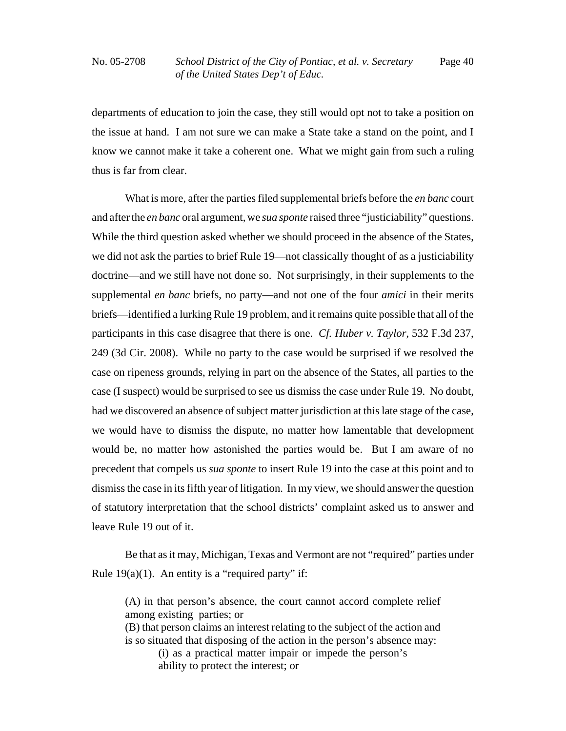departments of education to join the case, they still would opt not to take a position on the issue at hand. I am not sure we can make a State take a stand on the point, and I know we cannot make it take a coherent one. What we might gain from such a ruling thus is far from clear.

What is more, after the parties filed supplemental briefs before the *en banc* court and after the *en banc* oral argument, we *sua sponte* raised three "justiciability" questions. While the third question asked whether we should proceed in the absence of the States, we did not ask the parties to brief Rule 19—not classically thought of as a justiciability doctrine—and we still have not done so. Not surprisingly, in their supplements to the supplemental *en banc* briefs, no party—and not one of the four *amici* in their merits briefs—identified a lurking Rule 19 problem, and it remains quite possible that all of the participants in this case disagree that there is one. *Cf. Huber v. Taylor*, 532 F.3d 237, 249 (3d Cir. 2008). While no party to the case would be surprised if we resolved the case on ripeness grounds, relying in part on the absence of the States, all parties to the case (I suspect) would be surprised to see us dismiss the case under Rule 19. No doubt, had we discovered an absence of subject matter jurisdiction at this late stage of the case, we would have to dismiss the dispute, no matter how lamentable that development would be, no matter how astonished the parties would be. But I am aware of no precedent that compels us *sua sponte* to insert Rule 19 into the case at this point and to dismiss the case in its fifth year of litigation. In my view, we should answer the question of statutory interpretation that the school districts' complaint asked us to answer and leave Rule 19 out of it.

Be that as it may, Michigan, Texas and Vermont are not "required" parties under Rule  $19(a)(1)$ . An entity is a "required party" if:

(A) in that person's absence, the court cannot accord complete relief among existing parties; or (B) that person claims an interest relating to the subject of the action and is so situated that disposing of the action in the person's absence may: (i) as a practical matter impair or impede the person's

ability to protect the interest; or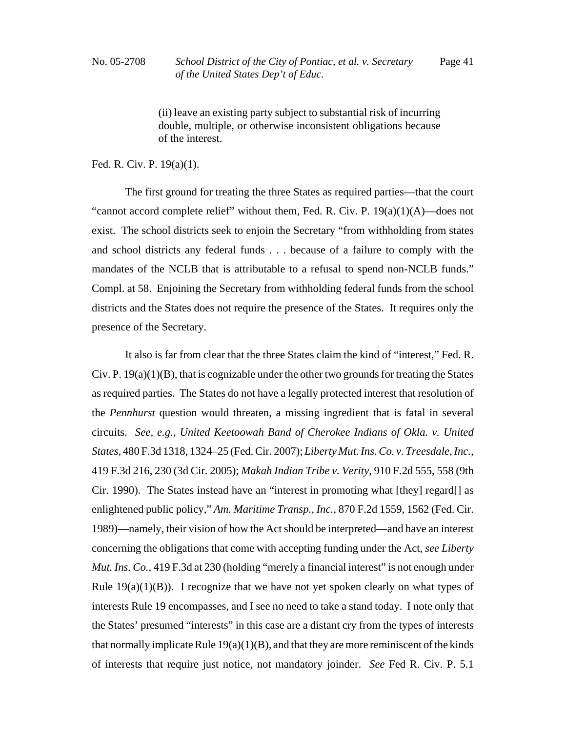(ii) leave an existing party subject to substantial risk of incurring double, multiple, or otherwise inconsistent obligations because of the interest.

Fed. R. Civ. P. 19(a)(1).

The first ground for treating the three States as required parties—that the court "cannot accord complete relief" without them, Fed. R. Civ. P. 19(a)(1)(A)—does not exist. The school districts seek to enjoin the Secretary "from withholding from states and school districts any federal funds . . . because of a failure to comply with the mandates of the NCLB that is attributable to a refusal to spend non-NCLB funds." Compl. at 58. Enjoining the Secretary from withholding federal funds from the school districts and the States does not require the presence of the States. It requires only the presence of the Secretary.

It also is far from clear that the three States claim the kind of "interest," Fed. R.  $Civ$ . P. 19(a)(1)(B), that is cognizable under the other two grounds for treating the States as required parties. The States do not have a legally protected interest that resolution of the *Pennhurst* question would threaten, a missing ingredient that is fatal in several circuits. *See, e.g., United Keetoowah Band of Cherokee Indians of Okla. v. United States*, 480 F.3d 1318, 1324–25 (Fed. Cir. 2007); *Liberty Mut. Ins. Co. v. Treesdale, Inc.,* 419 F.3d 216, 230 (3d Cir. 2005); *Makah Indian Tribe v. Verity*, 910 F.2d 555, 558 (9th Cir. 1990). The States instead have an "interest in promoting what [they] regard[] as enlightened public policy," *Am. Maritime Transp., Inc.*, 870 F.2d 1559, 1562 (Fed. Cir. 1989)—namely, their vision of how the Act should be interpreted—and have an interest concerning the obligations that come with accepting funding under the Act, *see Liberty Mut. Ins. Co.*, 419 F.3d at 230 (holding "merely a financial interest" is not enough under Rule  $19(a)(1)(B)$ . I recognize that we have not yet spoken clearly on what types of interests Rule 19 encompasses, and I see no need to take a stand today. I note only that the States' presumed "interests" in this case are a distant cry from the types of interests that normally implicate Rule  $19(a)(1)(B)$ , and that they are more reminiscent of the kinds of interests that require just notice, not mandatory joinder. *See* Fed R. Civ. P. 5.1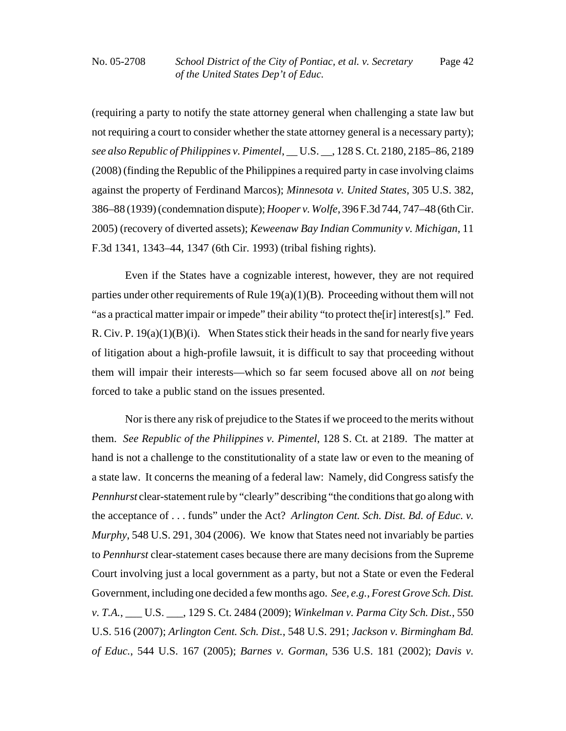(requiring a party to notify the state attorney general when challenging a state law but not requiring a court to consider whether the state attorney general is a necessary party); *see also Republic of Philippines v. Pimentel*, \_\_ U.S. \_\_, 128 S. Ct. 2180, 2185–86, 2189 (2008) (finding the Republic of the Philippines a required party in case involving claims against the property of Ferdinand Marcos); *Minnesota v. United States*, 305 U.S. 382, 386–88 (1939) (condemnation dispute); *Hooper v. Wolfe*, 396 F.3d 744, 747–48 (6th Cir. 2005) (recovery of diverted assets); *Keweenaw Bay Indian Community v. Michigan*, 11 F.3d 1341, 1343–44, 1347 (6th Cir. 1993) (tribal fishing rights).

Even if the States have a cognizable interest, however, they are not required parties under other requirements of Rule  $19(a)(1)(B)$ . Proceeding without them will not "as a practical matter impair or impede" their ability "to protect the[ir] interest[s]." Fed. R. Civ. P.  $19(a)(1)(B)(i)$ . When States stick their heads in the sand for nearly five years of litigation about a high-profile lawsuit, it is difficult to say that proceeding without them will impair their interests—which so far seem focused above all on *not* being forced to take a public stand on the issues presented.

Nor is there any risk of prejudice to the States if we proceed to the merits without them. *See Republic of the Philippines v. Pimentel*, 128 S. Ct. at 2189. The matter at hand is not a challenge to the constitutionality of a state law or even to the meaning of a state law. It concerns the meaning of a federal law: Namely, did Congress satisfy the *Pennhurst* clear-statement rule by "clearly" describing "the conditions that go along with the acceptance of . . . funds" under the Act? *Arlington Cent. Sch. Dist. Bd. of Educ. v. Murphy*, 548 U.S. 291, 304 (2006). We know that States need not invariably be parties to *Pennhurst* clear-statement cases because there are many decisions from the Supreme Court involving just a local government as a party, but not a State or even the Federal Government, including one decided a few months ago. *See, e.g.*, *Forest Grove Sch. Dist. v. T.A.*, \_\_\_ U.S. \_\_\_, 129 S. Ct. 2484 (2009); *Winkelman v. Parma City Sch. Dist.*, 550 U.S. 516 (2007); *Arlington Cent. Sch. Dist.*, 548 U.S. 291; *Jackson v. Birmingham Bd. of Educ.*, 544 U.S. 167 (2005); *Barnes v. Gorman*, 536 U.S. 181 (2002); *Davis v.*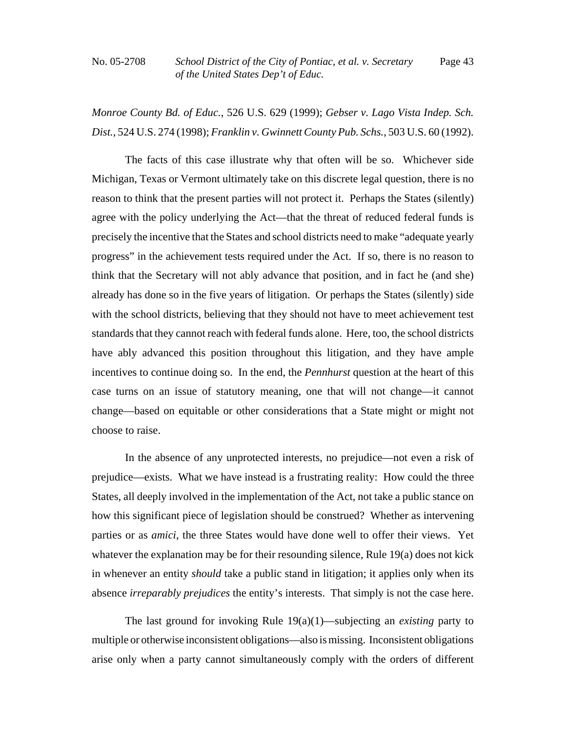*Monroe County Bd. of Educ.*, 526 U.S. 629 (1999); *Gebser v. Lago Vista Indep. Sch. Dist.*, 524 U.S. 274 (1998); *Franklin v. Gwinnett County Pub. Schs.*, 503 U.S. 60 (1992).

The facts of this case illustrate why that often will be so. Whichever side Michigan, Texas or Vermont ultimately take on this discrete legal question, there is no reason to think that the present parties will not protect it. Perhaps the States (silently) agree with the policy underlying the Act—that the threat of reduced federal funds is precisely the incentive that the States and school districts need to make "adequate yearly progress" in the achievement tests required under the Act. If so, there is no reason to think that the Secretary will not ably advance that position, and in fact he (and she) already has done so in the five years of litigation. Or perhaps the States (silently) side with the school districts, believing that they should not have to meet achievement test standards that they cannot reach with federal funds alone. Here, too, the school districts have ably advanced this position throughout this litigation, and they have ample incentives to continue doing so. In the end, the *Pennhurst* question at the heart of this case turns on an issue of statutory meaning, one that will not change—it cannot change—based on equitable or other considerations that a State might or might not choose to raise.

In the absence of any unprotected interests, no prejudice—not even a risk of prejudice—exists. What we have instead is a frustrating reality: How could the three States, all deeply involved in the implementation of the Act, not take a public stance on how this significant piece of legislation should be construed? Whether as intervening parties or as *amici*, the three States would have done well to offer their views. Yet whatever the explanation may be for their resounding silence, Rule 19(a) does not kick in whenever an entity *should* take a public stand in litigation; it applies only when its absence *irreparably prejudices* the entity's interests. That simply is not the case here.

The last ground for invoking Rule 19(a)(1)—subjecting an *existing* party to multiple or otherwise inconsistent obligations—also is missing. Inconsistent obligations arise only when a party cannot simultaneously comply with the orders of different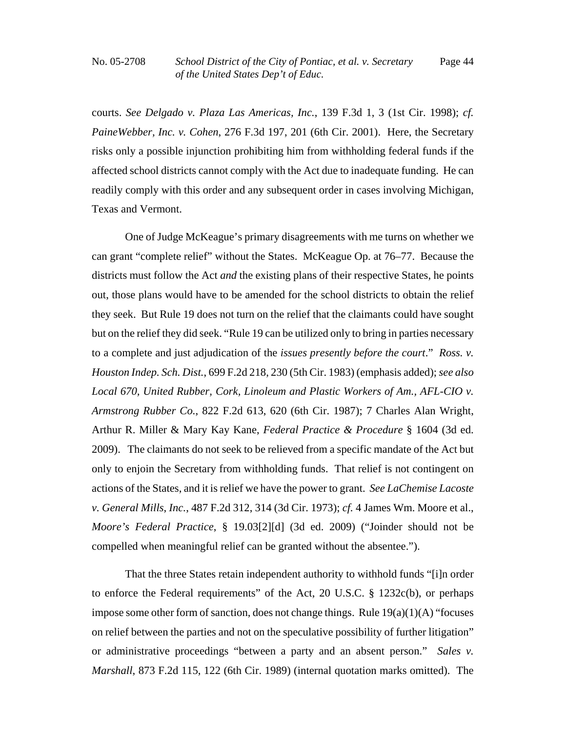courts. *See Delgado v. Plaza Las Americas, Inc.*, 139 F.3d 1, 3 (1st Cir. 1998); *cf. PaineWebber, Inc. v. Cohen*, 276 F.3d 197, 201 (6th Cir. 2001). Here, the Secretary risks only a possible injunction prohibiting him from withholding federal funds if the affected school districts cannot comply with the Act due to inadequate funding. He can readily comply with this order and any subsequent order in cases involving Michigan, Texas and Vermont.

One of Judge McKeague's primary disagreements with me turns on whether we can grant "complete relief" without the States. McKeague Op. at 76–77. Because the districts must follow the Act *and* the existing plans of their respective States, he points out, those plans would have to be amended for the school districts to obtain the relief they seek. But Rule 19 does not turn on the relief that the claimants could have sought but on the relief they did seek. "Rule 19 can be utilized only to bring in parties necessary to a complete and just adjudication of the *issues presently before the court*." *Ross. v. Houston Indep. Sch. Dist.*, 699 F.2d 218, 230 (5th Cir. 1983) (emphasis added); *see also Local 670, United Rubber, Cork, Linoleum and Plastic Workers of Am., AFL-CIO v. Armstrong Rubber Co.*, 822 F.2d 613, 620 (6th Cir. 1987); 7 Charles Alan Wright, Arthur R. Miller & Mary Kay Kane, *Federal Practice & Procedure* § 1604 (3d ed. 2009). The claimants do not seek to be relieved from a specific mandate of the Act but only to enjoin the Secretary from withholding funds. That relief is not contingent on actions of the States, and it is relief we have the power to grant. *See LaChemise Lacoste v. General Mills*, *Inc.*, 487 F.2d 312, 314 (3d Cir. 1973); *cf.* 4 James Wm. Moore et al., *Moore's Federal Practice*, § 19.03[2][d] (3d ed. 2009) ("Joinder should not be compelled when meaningful relief can be granted without the absentee.").

That the three States retain independent authority to withhold funds "[i]n order to enforce the Federal requirements" of the Act, 20 U.S.C. § 1232c(b), or perhaps impose some other form of sanction, does not change things. Rule 19(a)(1)(A) "focuses on relief between the parties and not on the speculative possibility of further litigation" or administrative proceedings "between a party and an absent person." *Sales v. Marshall*, 873 F.2d 115, 122 (6th Cir. 1989) (internal quotation marks omitted). The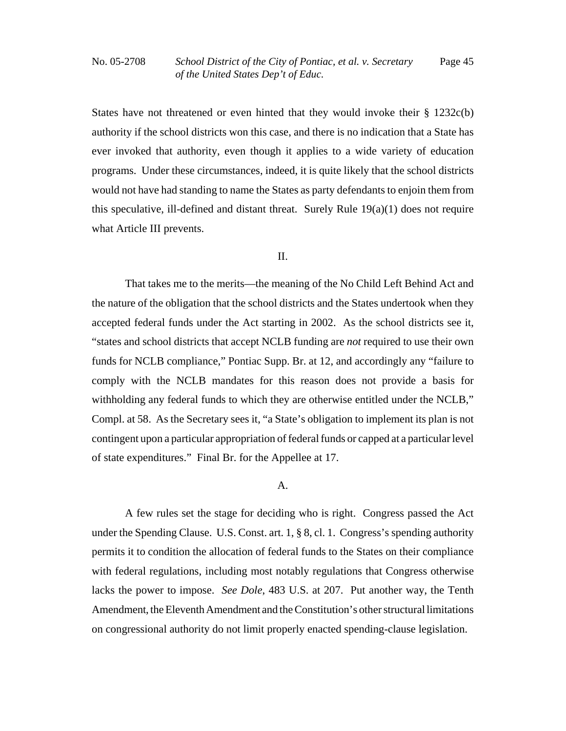States have not threatened or even hinted that they would invoke their  $\S$  1232c(b) authority if the school districts won this case, and there is no indication that a State has ever invoked that authority, even though it applies to a wide variety of education programs. Under these circumstances, indeed, it is quite likely that the school districts would not have had standing to name the States as party defendants to enjoin them from this speculative, ill-defined and distant threat. Surely Rule  $19(a)(1)$  does not require what Article III prevents.

### II.

That takes me to the merits—the meaning of the No Child Left Behind Act and the nature of the obligation that the school districts and the States undertook when they accepted federal funds under the Act starting in 2002. As the school districts see it, "states and school districts that accept NCLB funding are *not* required to use their own funds for NCLB compliance," Pontiac Supp. Br. at 12, and accordingly any "failure to comply with the NCLB mandates for this reason does not provide a basis for withholding any federal funds to which they are otherwise entitled under the NCLB," Compl. at 58. As the Secretary sees it, "a State's obligation to implement its plan is not contingent upon a particular appropriation of federal funds or capped at a particular level of state expenditures." Final Br. for the Appellee at 17.

#### A.

A few rules set the stage for deciding who is right. Congress passed the Act under the Spending Clause. U.S. Const. art. 1, § 8, cl. 1. Congress's spending authority permits it to condition the allocation of federal funds to the States on their compliance with federal regulations, including most notably regulations that Congress otherwise lacks the power to impose. *See Dole*, 483 U.S. at 207. Put another way, the Tenth Amendment, the Eleventh Amendment and the Constitution's other structural limitations on congressional authority do not limit properly enacted spending-clause legislation.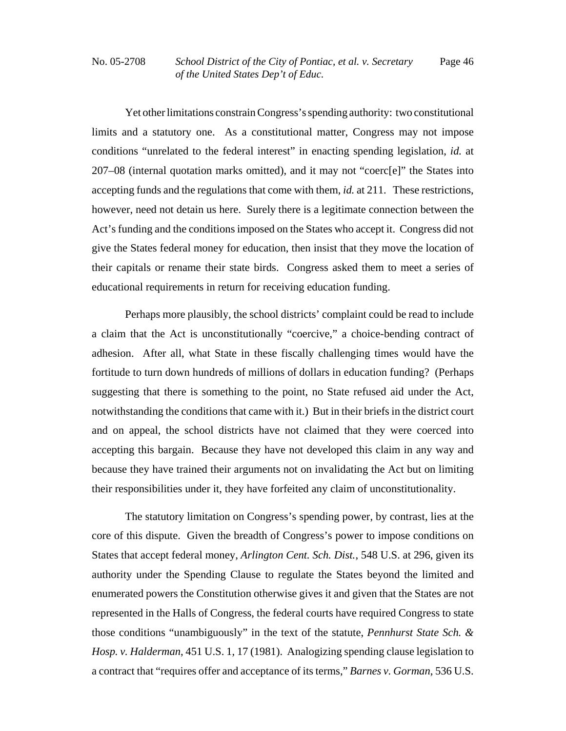Yet other limitations constrain Congress's spending authority: two constitutional limits and a statutory one. As a constitutional matter, Congress may not impose conditions "unrelated to the federal interest" in enacting spending legislation, *id.* at 207–08 (internal quotation marks omitted), and it may not "coerc[e]" the States into accepting funds and the regulations that come with them, *id.* at 211.These restrictions, however, need not detain us here. Surely there is a legitimate connection between the Act's funding and the conditions imposed on the States who accept it. Congress did not give the States federal money for education, then insist that they move the location of their capitals or rename their state birds. Congress asked them to meet a series of educational requirements in return for receiving education funding.

Perhaps more plausibly, the school districts' complaint could be read to include a claim that the Act is unconstitutionally "coercive," a choice-bending contract of adhesion. After all, what State in these fiscally challenging times would have the fortitude to turn down hundreds of millions of dollars in education funding? (Perhaps suggesting that there is something to the point, no State refused aid under the Act, notwithstanding the conditions that came with it.) But in their briefs in the district court and on appeal, the school districts have not claimed that they were coerced into accepting this bargain. Because they have not developed this claim in any way and because they have trained their arguments not on invalidating the Act but on limiting their responsibilities under it, they have forfeited any claim of unconstitutionality.

The statutory limitation on Congress's spending power, by contrast, lies at the core of this dispute. Given the breadth of Congress's power to impose conditions on States that accept federal money, *Arlington Cent. Sch. Dist.*, 548 U.S. at 296, given its authority under the Spending Clause to regulate the States beyond the limited and enumerated powers the Constitution otherwise gives it and given that the States are not represented in the Halls of Congress, the federal courts have required Congress to state those conditions "unambiguously" in the text of the statute, *Pennhurst State Sch. & Hosp. v. Halderman*, 451 U.S. 1, 17 (1981). Analogizing spending clause legislation to a contract that "requires offer and acceptance of its terms," *Barnes v. Gorman*, 536 U.S.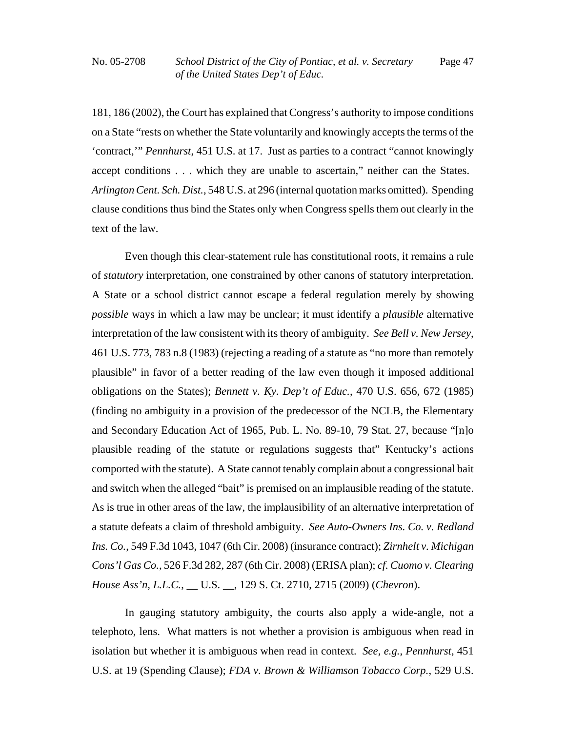181, 186 (2002), the Court has explained that Congress's authority to impose conditions on a State "rests on whether the State voluntarily and knowingly accepts the terms of the 'contract,'" *Pennhurst*, 451 U.S. at 17. Just as parties to a contract "cannot knowingly accept conditions . . . which they are unable to ascertain," neither can the States. *Arlington Cent. Sch. Dist.*, 548 U.S. at 296 (internal quotation marks omitted). Spending clause conditions thus bind the States only when Congress spells them out clearly in the text of the law.

Even though this clear-statement rule has constitutional roots, it remains a rule of *statutory* interpretation, one constrained by other canons of statutory interpretation. A State or a school district cannot escape a federal regulation merely by showing *possible* ways in which a law may be unclear; it must identify a *plausible* alternative interpretation of the law consistent with its theory of ambiguity. *See Bell v. New Jersey*, 461 U.S. 773, 783 n.8 (1983) (rejecting a reading of a statute as "no more than remotely plausible" in favor of a better reading of the law even though it imposed additional obligations on the States); *Bennett v. Ky. Dep't of Educ.*, 470 U.S. 656, 672 (1985) (finding no ambiguity in a provision of the predecessor of the NCLB, the Elementary and Secondary Education Act of 1965, Pub. L. No. 89-10, 79 Stat. 27, because "[n]o plausible reading of the statute or regulations suggests that" Kentucky's actions comported with the statute). A State cannot tenably complain about a congressional bait and switch when the alleged "bait" is premised on an implausible reading of the statute. As is true in other areas of the law, the implausibility of an alternative interpretation of a statute defeats a claim of threshold ambiguity. *See Auto-Owners Ins. Co. v. Redland Ins. Co.*, 549 F.3d 1043, 1047 (6th Cir. 2008) (insurance contract); *Zirnhelt v. Michigan Cons'l Gas Co.*, 526 F.3d 282, 287 (6th Cir. 2008) (ERISA plan); *cf. Cuomo v. Clearing House Ass'n, L.L.C.*, \_\_ U.S. \_\_, 129 S. Ct. 2710, 2715 (2009) (*Chevron*).

In gauging statutory ambiguity, the courts also apply a wide-angle, not a telephoto, lens. What matters is not whether a provision is ambiguous when read in isolation but whether it is ambiguous when read in context. *See, e.g.*, *Pennhurst*, 451 U.S. at 19 (Spending Clause); *FDA v. Brown & Williamson Tobacco Corp.*, 529 U.S.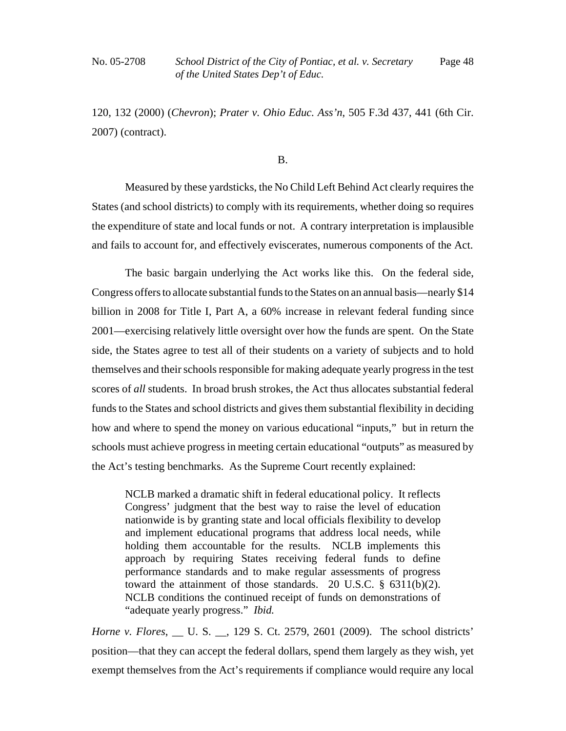120, 132 (2000) (*Chevron*); *Prater v. Ohio Educ. Ass'n*, 505 F.3d 437, 441 (6th Cir. 2007) (contract).

B.

Measured by these yardsticks, the No Child Left Behind Act clearly requires the States (and school districts) to comply with its requirements, whether doing so requires the expenditure of state and local funds or not. A contrary interpretation is implausible and fails to account for, and effectively eviscerates, numerous components of the Act.

The basic bargain underlying the Act works like this. On the federal side, Congress offers to allocate substantial funds to the States on an annual basis—nearly \$14 billion in 2008 for Title I, Part A, a 60% increase in relevant federal funding since 2001—exercising relatively little oversight over how the funds are spent. On the State side, the States agree to test all of their students on a variety of subjects and to hold themselves and their schools responsible for making adequate yearly progress in the test scores of *all* students.In broad brush strokes, the Act thus allocates substantial federal funds to the States and school districts and gives them substantial flexibility in deciding how and where to spend the money on various educational "inputs," but in return the schools must achieve progress in meeting certain educational "outputs" as measured by the Act's testing benchmarks. As the Supreme Court recently explained:

NCLB marked a dramatic shift in federal educational policy. It reflects Congress' judgment that the best way to raise the level of education nationwide is by granting state and local officials flexibility to develop and implement educational programs that address local needs, while holding them accountable for the results. NCLB implements this approach by requiring States receiving federal funds to define performance standards and to make regular assessments of progress toward the attainment of those standards. 20 U.S.C. § 6311(b)(2). NCLB conditions the continued receipt of funds on demonstrations of "adequate yearly progress." *Ibid.*

*Horne v. Flores*, \_\_ U. S. \_\_, 129 S. Ct. 2579, 2601 (2009).The school districts' position—that they can accept the federal dollars, spend them largely as they wish, yet exempt themselves from the Act's requirements if compliance would require any local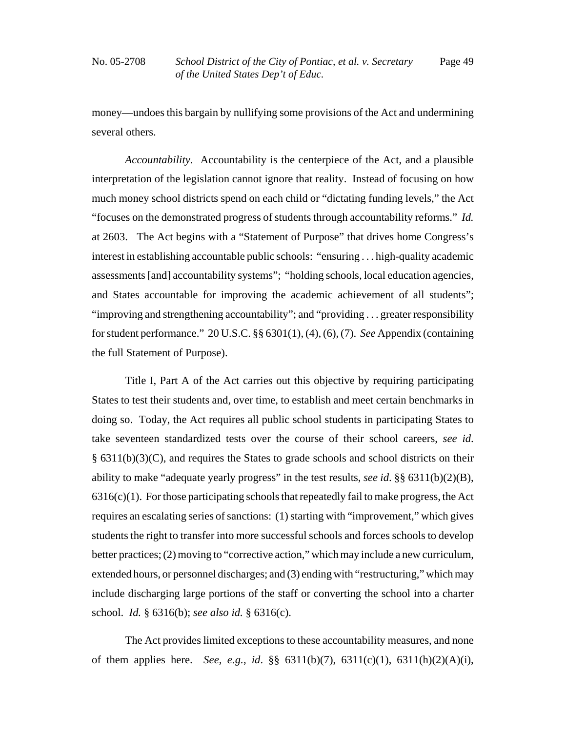money—undoes this bargain by nullifying some provisions of the Act and undermining several others.

*Accountability.* Accountability is the centerpiece of the Act, and a plausible interpretation of the legislation cannot ignore that reality. Instead of focusing on how much money school districts spend on each child or "dictating funding levels," the Act "focuses on the demonstrated progress of students through accountability reforms." *Id.* at 2603. The Act begins with a "Statement of Purpose" that drives home Congress's interest in establishing accountable public schools: "ensuring . . . high-quality academic assessments [and] accountability systems"; "holding schools, local education agencies, and States accountable for improving the academic achievement of all students"; "improving and strengthening accountability"; and "providing . . . greater responsibility for student performance." 20 U.S.C. §§ 6301(1), (4), (6), (7). *See* Appendix (containing the full Statement of Purpose).

Title I, Part A of the Act carries out this objective by requiring participating States to test their students and, over time, to establish and meet certain benchmarks in doing so. Today, the Act requires all public school students in participating States to take seventeen standardized tests over the course of their school careers, *see id*. § 6311(b)(3)(C), and requires the States to grade schools and school districts on their ability to make "adequate yearly progress" in the test results, *see id*. §§ 6311(b)(2)(B),  $6316(c)(1)$ . For those participating schools that repeatedly fail to make progress, the Act requires an escalating series of sanctions: (1) starting with "improvement," which gives students the right to transfer into more successful schools and forces schools to develop better practices; (2) moving to "corrective action," which may include a new curriculum, extended hours, or personnel discharges; and (3) ending with "restructuring," which may include discharging large portions of the staff or converting the school into a charter school. *Id.* § 6316(b); *see also id.* § 6316(c).

The Act provides limited exceptions to these accountability measures, and none of them applies here. *See, e.g.*, *id*. §§ 6311(b)(7), 6311(c)(1), 6311(h)(2)(A)(i),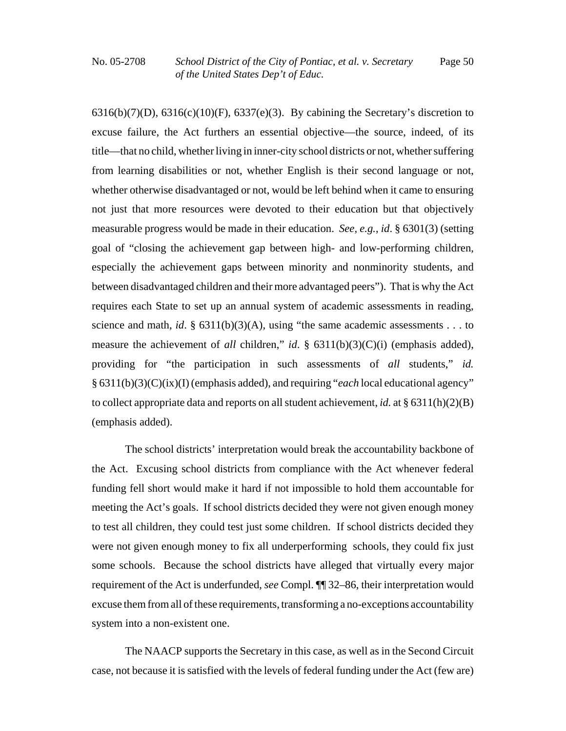$6316(b)(7)(D)$ ,  $6316(c)(10)(F)$ ,  $6337(e)(3)$ . By cabining the Secretary's discretion to excuse failure, the Act furthers an essential objective—the source, indeed, of its title—that no child, whether living in inner-city school districts or not, whether suffering from learning disabilities or not, whether English is their second language or not, whether otherwise disadvantaged or not, would be left behind when it came to ensuring not just that more resources were devoted to their education but that objectively measurable progress would be made in their education. *See, e.g.*, *id*. § 6301(3) (setting goal of "closing the achievement gap between high- and low-performing children, especially the achievement gaps between minority and nonminority students, and between disadvantaged children and their more advantaged peers"). That is why the Act requires each State to set up an annual system of academic assessments in reading, science and math, *id*.  $\S$  6311(b)(3)(A), using "the same academic assessments . . . to measure the achievement of *all* children," *id*. § 6311(b)(3)(C)(i) (emphasis added), providing for "the participation in such assessments of *all* students," *id.* § 6311(b)(3)(C)(ix)(I) (emphasis added), and requiring "*each* local educational agency" to collect appropriate data and reports on all student achievement, *id.* at § 6311(h)(2)(B) (emphasis added).

The school districts' interpretation would break the accountability backbone of the Act. Excusing school districts from compliance with the Act whenever federal funding fell short would make it hard if not impossible to hold them accountable for meeting the Act's goals. If school districts decided they were not given enough money to test all children, they could test just some children. If school districts decided they were not given enough money to fix all underperforming schools, they could fix just some schools. Because the school districts have alleged that virtually every major requirement of the Act is underfunded, *see* Compl. ¶¶ 32–86, their interpretation would excuse them from all of these requirements, transforming a no-exceptions accountability system into a non-existent one.

The NAACP supports the Secretary in this case, as well as in the Second Circuit case, not because it is satisfied with the levels of federal funding under the Act (few are)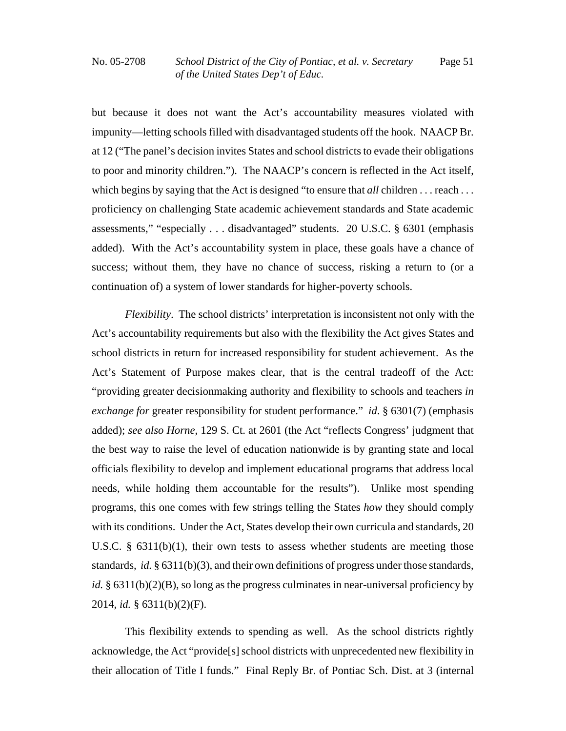but because it does not want the Act's accountability measures violated with impunity—letting schools filled with disadvantaged students off the hook. NAACP Br. at 12 ("The panel's decision invites States and school districts to evade their obligations to poor and minority children."). The NAACP's concern is reflected in the Act itself, which begins by saying that the Act is designed "to ensure that *all* children . . . reach . . . proficiency on challenging State academic achievement standards and State academic assessments," "especially . . . disadvantaged" students. 20 U.S.C. § 6301 (emphasis added). With the Act's accountability system in place, these goals have a chance of success; without them, they have no chance of success, risking a return to (or a continuation of) a system of lower standards for higher-poverty schools.

 *Flexibility*. The school districts' interpretation is inconsistent not only with the Act's accountability requirements but also with the flexibility the Act gives States and school districts in return for increased responsibility for student achievement. As the Act's Statement of Purpose makes clear, that is the central tradeoff of the Act: "providing greater decisionmaking authority and flexibility to schools and teachers *in exchange for* greater responsibility for student performance." *id*. § 6301(7) (emphasis added); *see also Horne*, 129 S. Ct. at 2601 (the Act "reflects Congress' judgment that the best way to raise the level of education nationwide is by granting state and local officials flexibility to develop and implement educational programs that address local needs, while holding them accountable for the results"). Unlike most spending programs, this one comes with few strings telling the States *how* they should comply with its conditions. Under the Act, States develop their own curricula and standards, 20 U.S.C.  $\S$  6311(b)(1), their own tests to assess whether students are meeting those standards, *id.* § 6311(b)(3), and their own definitions of progress under those standards, *id.* § 6311(b)(2)(B), so long as the progress culminates in near-universal proficiency by 2014, *id.* § 6311(b)(2)(F).

This flexibility extends to spending as well. As the school districts rightly acknowledge, the Act "provide[s] school districts with unprecedented new flexibility in their allocation of Title I funds." Final Reply Br. of Pontiac Sch. Dist. at 3 (internal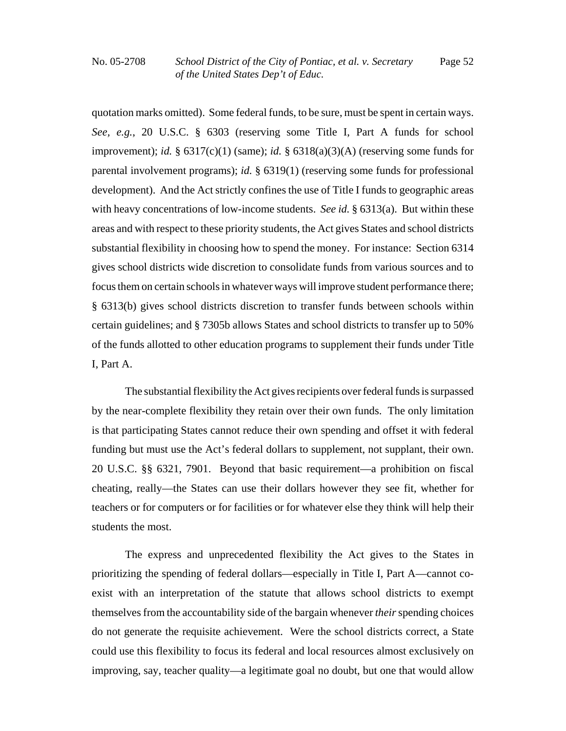quotation marks omitted). Some federal funds, to be sure, must be spent in certain ways. *See, e.g.*, 20 U.S.C. § 6303 (reserving some Title I, Part A funds for school improvement); *id.* § 6317(c)(1) (same); *id.* § 6318(a)(3)(A) (reserving some funds for parental involvement programs); *id.* § 6319(1) (reserving some funds for professional development). And the Act strictly confines the use of Title I funds to geographic areas with heavy concentrations of low-income students. *See id.* § 6313(a). But within these areas and with respect to these priority students, the Act gives States and school districts substantial flexibility in choosing how to spend the money. For instance: Section 6314 gives school districts wide discretion to consolidate funds from various sources and to focus them on certain schools in whatever ways will improve student performance there; § 6313(b) gives school districts discretion to transfer funds between schools within certain guidelines; and § 7305b allows States and school districts to transfer up to 50% of the funds allotted to other education programs to supplement their funds under Title I, Part A.

The substantial flexibility the Act gives recipients over federal funds is surpassed by the near-complete flexibility they retain over their own funds. The only limitation is that participating States cannot reduce their own spending and offset it with federal funding but must use the Act's federal dollars to supplement, not supplant, their own. 20 U.S.C. §§ 6321, 7901. Beyond that basic requirement—a prohibition on fiscal cheating, really—the States can use their dollars however they see fit, whether for teachers or for computers or for facilities or for whatever else they think will help their students the most.

The express and unprecedented flexibility the Act gives to the States in prioritizing the spending of federal dollars—especially in Title I, Part A—cannot coexist with an interpretation of the statute that allows school districts to exempt themselves from the accountability side of the bargain whenever *their* spending choices do not generate the requisite achievement. Were the school districts correct, a State could use this flexibility to focus its federal and local resources almost exclusively on improving, say, teacher quality—a legitimate goal no doubt, but one that would allow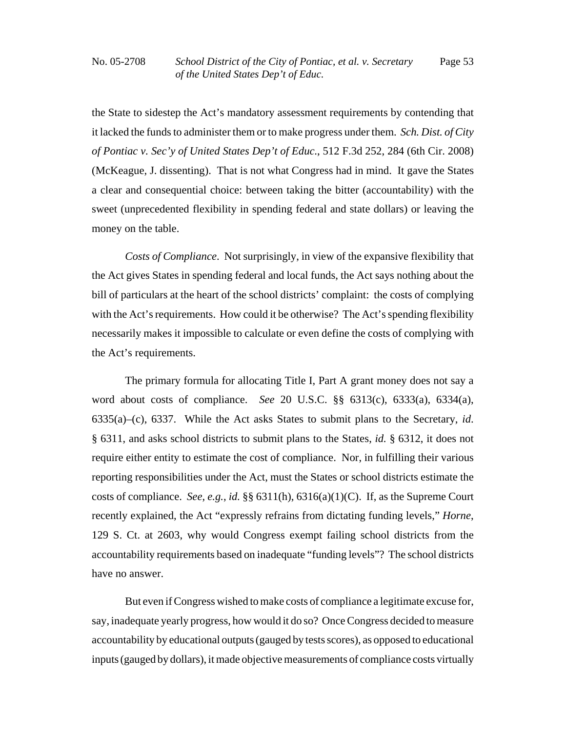the State to sidestep the Act's mandatory assessment requirements by contending that it lacked the funds to administer them or to make progress under them. *Sch. Dist. of City of Pontiac v. Sec'y of United States Dep't of Educ.*, 512 F.3d 252, 284 (6th Cir. 2008) (McKeague, J. dissenting). That is not what Congress had in mind. It gave the States a clear and consequential choice: between taking the bitter (accountability) with the sweet (unprecedented flexibility in spending federal and state dollars) or leaving the money on the table.

*Costs of Compliance*. Not surprisingly, in view of the expansive flexibility that the Act gives States in spending federal and local funds, the Act says nothing about the bill of particulars at the heart of the school districts' complaint: the costs of complying with the Act's requirements. How could it be otherwise? The Act's spending flexibility necessarily makes it impossible to calculate or even define the costs of complying with the Act's requirements.

The primary formula for allocating Title I, Part A grant money does not say a word about costs of compliance. *See* 20 U.S.C. §§ 6313(c), 6333(a), 6334(a), 6335(a)–(c), 6337. While the Act asks States to submit plans to the Secretary, *id*. § 6311, and asks school districts to submit plans to the States, *id.* § 6312, it does not require either entity to estimate the cost of compliance. Nor, in fulfilling their various reporting responsibilities under the Act, must the States or school districts estimate the costs of compliance. *See*, *e.g.*, *id.* §§ 6311(h), 6316(a)(1)(C). If, as the Supreme Court recently explained, the Act "expressly refrains from dictating funding levels," *Horne*, 129 S. Ct. at 2603, why would Congress exempt failing school districts from the accountability requirements based on inadequate "funding levels"? The school districts have no answer.

But even if Congress wished to make costs of compliance a legitimate excuse for, say, inadequate yearly progress, how would it do so? Once Congress decided to measure accountability by educational outputs (gauged by tests scores), as opposed to educational inputs (gauged by dollars), it made objective measurements of compliance costs virtually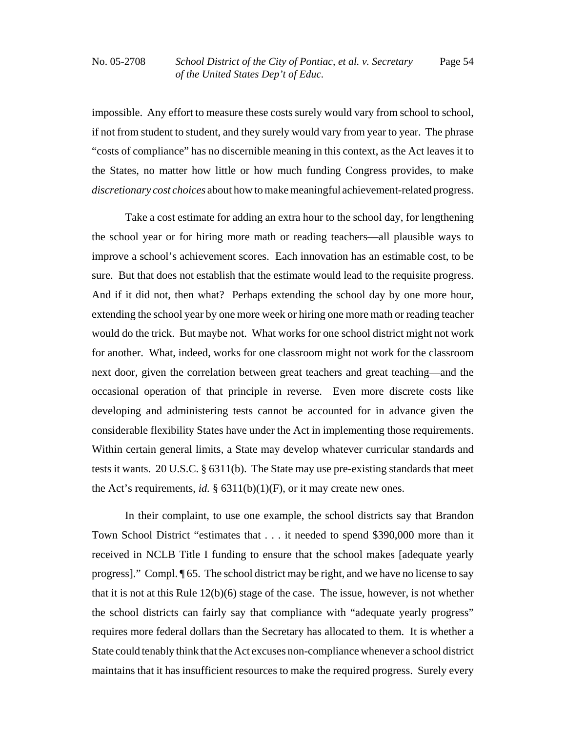impossible. Any effort to measure these costs surely would vary from school to school, if not from student to student, and they surely would vary from year to year. The phrase "costs of compliance" has no discernible meaning in this context, as the Act leaves it to the States, no matter how little or how much funding Congress provides, to make *discretionary cost choices* about how to make meaningful achievement-related progress.

Take a cost estimate for adding an extra hour to the school day, for lengthening the school year or for hiring more math or reading teachers—all plausible ways to improve a school's achievement scores. Each innovation has an estimable cost, to be sure. But that does not establish that the estimate would lead to the requisite progress. And if it did not, then what? Perhaps extending the school day by one more hour, extending the school year by one more week or hiring one more math or reading teacher would do the trick. But maybe not. What works for one school district might not work for another. What, indeed, works for one classroom might not work for the classroom next door, given the correlation between great teachers and great teaching—and the occasional operation of that principle in reverse. Even more discrete costs like developing and administering tests cannot be accounted for in advance given the considerable flexibility States have under the Act in implementing those requirements. Within certain general limits, a State may develop whatever curricular standards and tests it wants. 20 U.S.C. § 6311(b). The State may use pre-existing standards that meet the Act's requirements, *id.* § 6311(b)(1)(F), or it may create new ones.

In their complaint, to use one example, the school districts say that Brandon Town School District "estimates that . . . it needed to spend \$390,000 more than it received in NCLB Title I funding to ensure that the school makes [adequate yearly progress]." Compl. ¶ 65. The school district may be right, and we have no license to say that it is not at this Rule 12(b)(6) stage of the case. The issue, however, is not whether the school districts can fairly say that compliance with "adequate yearly progress" requires more federal dollars than the Secretary has allocated to them. It is whether a State could tenably think that the Act excuses non-compliance whenever a school district maintains that it has insufficient resources to make the required progress. Surely every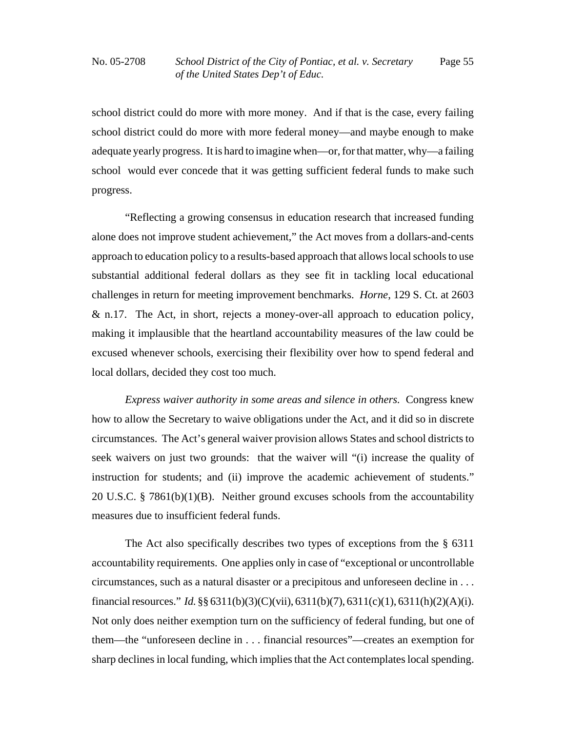school district could do more with more money. And if that is the case, every failing school district could do more with more federal money—and maybe enough to make adequate yearly progress. It is hard to imagine when—or, for that matter, why—a failing school would ever concede that it was getting sufficient federal funds to make such progress.

"Reflecting a growing consensus in education research that increased funding alone does not improve student achievement," the Act moves from a dollars-and-cents approach to education policy to a results-based approach that allows local schools to use substantial additional federal dollars as they see fit in tackling local educational challenges in return for meeting improvement benchmarks. *Horne*, 129 S. Ct. at 2603 & n.17. The Act, in short, rejects a money-over-all approach to education policy, making it implausible that the heartland accountability measures of the law could be excused whenever schools, exercising their flexibility over how to spend federal and local dollars, decided they cost too much.

*Express waiver authority in some areas and silence in others.* Congress knew how to allow the Secretary to waive obligations under the Act, and it did so in discrete circumstances. The Act's general waiver provision allows States and school districts to seek waivers on just two grounds: that the waiver will "(i) increase the quality of instruction for students; and (ii) improve the academic achievement of students." 20 U.S.C. § 7861(b)(1)(B). Neither ground excuses schools from the accountability measures due to insufficient federal funds.

The Act also specifically describes two types of exceptions from the § 6311 accountability requirements. One applies only in case of "exceptional or uncontrollable circumstances, such as a natural disaster or a precipitous and unforeseen decline in . . . financial resources." *Id.*  $\S$ § 6311(b)(3)(C)(vii), 6311(b)(7), 6311(c)(1), 6311(h)(2)(A)(i). Not only does neither exemption turn on the sufficiency of federal funding, but one of them—the "unforeseen decline in . . . financial resources"—creates an exemption for sharp declines in local funding, which implies that the Act contemplates local spending.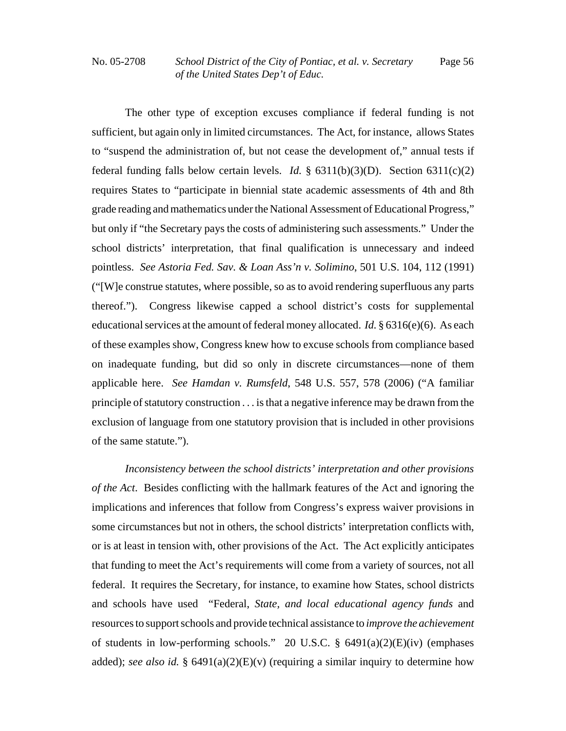The other type of exception excuses compliance if federal funding is not sufficient, but again only in limited circumstances. The Act, for instance, allows States to "suspend the administration of, but not cease the development of," annual tests if federal funding falls below certain levels. *Id.* § 6311(b)(3)(D). Section 6311(c)(2) requires States to "participate in biennial state academic assessments of 4th and 8th grade reading and mathematics under the National Assessment of Educational Progress," but only if "the Secretary pays the costs of administering such assessments." Under the school districts' interpretation, that final qualification is unnecessary and indeed pointless. *See Astoria Fed. Sav. & Loan Ass'n v. Solimino*, 501 U.S. 104, 112 (1991) ("[W]e construe statutes, where possible, so as to avoid rendering superfluous any parts thereof."). Congress likewise capped a school district's costs for supplemental educational services at the amount of federal money allocated. *Id.* § 6316(e)(6). As each of these examples show, Congress knew how to excuse schools from compliance based on inadequate funding, but did so only in discrete circumstances—none of them applicable here. *See Hamdan v. Rumsfeld*, 548 U.S. 557, 578 (2006) ("A familiar principle of statutory construction . . . is that a negative inference may be drawn from the exclusion of language from one statutory provision that is included in other provisions of the same statute.").

*Inconsistency between the school districts' interpretation and other provisions of the Act*. Besides conflicting with the hallmark features of the Act and ignoring the implications and inferences that follow from Congress's express waiver provisions in some circumstances but not in others, the school districts' interpretation conflicts with, or is at least in tension with, other provisions of the Act. The Act explicitly anticipates that funding to meet the Act's requirements will come from a variety of sources, not all federal. It requires the Secretary, for instance, to examine how States, school districts and schools have used "Federal, *State, and local educational agency funds* and resources to support schools and provide technical assistance to *improve the achievement* of students in low-performing schools." 20 U.S.C. § 6491(a)(2)(E)(iv) (emphases added); *see also id.*  $\S$  6491(a)(2)(E)(v) (requiring a similar inquiry to determine how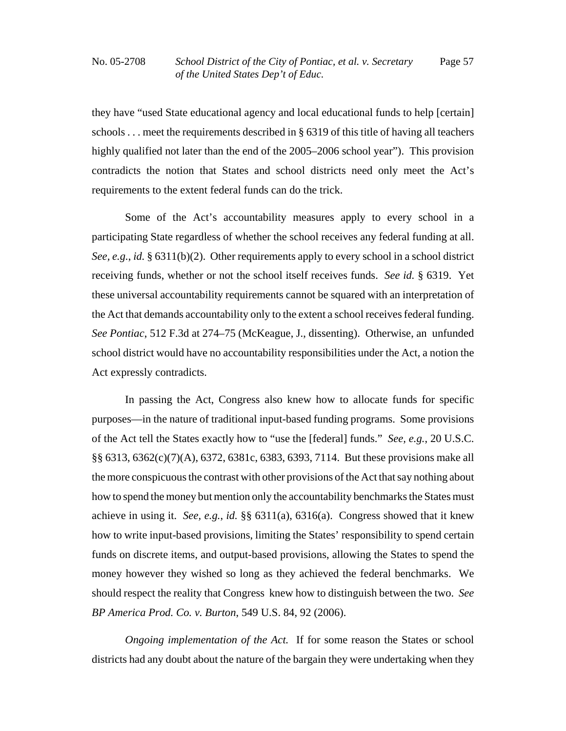they have "used State educational agency and local educational funds to help [certain] schools . . . meet the requirements described in § 6319 of this title of having all teachers highly qualified not later than the end of the 2005–2006 school year"). This provision contradicts the notion that States and school districts need only meet the Act's requirements to the extent federal funds can do the trick.

Some of the Act's accountability measures apply to every school in a participating State regardless of whether the school receives any federal funding at all. *See, e.g.*, *id.* § 6311(b)(2). Other requirements apply to every school in a school district receiving funds, whether or not the school itself receives funds. *See id.* § 6319. Yet these universal accountability requirements cannot be squared with an interpretation of the Act that demands accountability only to the extent a school receives federal funding. *See Pontiac*, 512 F.3d at 274–75 (McKeague, J., dissenting). Otherwise, an unfunded school district would have no accountability responsibilities under the Act, a notion the Act expressly contradicts.

In passing the Act, Congress also knew how to allocate funds for specific purposes—in the nature of traditional input-based funding programs. Some provisions of the Act tell the States exactly how to "use the [federal] funds." *See, e.g.*, 20 U.S.C. §§ 6313, 6362(c)(7)(A), 6372, 6381c, 6383, 6393, 7114. But these provisions make all the more conspicuous the contrast with other provisions of the Act that say nothing about how to spend the money but mention only the accountability benchmarks the States must achieve in using it. *See, e.g.*, *id.* §§ 6311(a), 6316(a). Congress showed that it knew how to write input-based provisions, limiting the States' responsibility to spend certain funds on discrete items, and output-based provisions, allowing the States to spend the money however they wished so long as they achieved the federal benchmarks. We should respect the reality that Congress knew how to distinguish between the two. *See BP America Prod. Co. v. Burton*, 549 U.S. 84, 92 (2006).

*Ongoing implementation of the Act.* If for some reason the States or school districts had any doubt about the nature of the bargain they were undertaking when they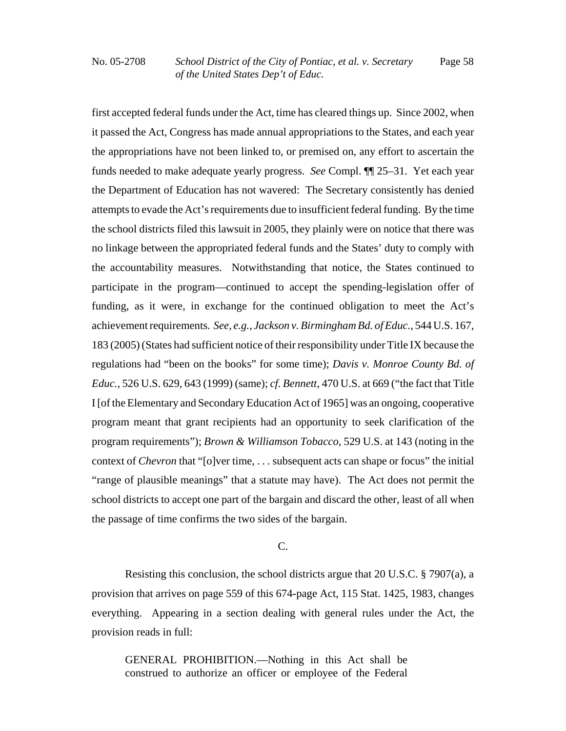first accepted federal funds under the Act, time has cleared things up. Since 2002, when it passed the Act, Congress has made annual appropriations to the States, and each year the appropriations have not been linked to, or premised on, any effort to ascertain the funds needed to make adequate yearly progress. *See* Compl. ¶¶ 25–31. Yet each year the Department of Education has not wavered: The Secretary consistently has denied attempts to evade the Act's requirements due to insufficient federal funding. By the time the school districts filed this lawsuit in 2005, they plainly were on notice that there was no linkage between the appropriated federal funds and the States' duty to comply with the accountability measures. Notwithstanding that notice, the States continued to participate in the program—continued to accept the spending-legislation offer of funding, as it were, in exchange for the continued obligation to meet the Act's achievement requirements. *See, e.g.*, *Jackson v. Birmingham Bd. of Educ.*, 544 U.S. 167, 183 (2005) (States had sufficient notice of their responsibility under Title IX because the regulations had "been on the books" for some time); *Davis v. Monroe County Bd. of Educ.*, 526 U.S. 629, 643 (1999) (same); *cf. Bennett*, 470 U.S. at 669 ("the fact that Title I [of the Elementary and Secondary Education Act of 1965] was an ongoing, cooperative program meant that grant recipients had an opportunity to seek clarification of the program requirements"); *Brown & Williamson Tobacco*, 529 U.S. at 143 (noting in the context of *Chevron* that "[o]ver time, . . . subsequent acts can shape or focus" the initial "range of plausible meanings" that a statute may have). The Act does not permit the school districts to accept one part of the bargain and discard the other, least of all when the passage of time confirms the two sides of the bargain.

C.

Resisting this conclusion, the school districts argue that 20 U.S.C. § 7907(a), a provision that arrives on page 559 of this 674**-**page Act, 115 Stat. 1425, 1983, changes everything. Appearing in a section dealing with general rules under the Act, the provision reads in full:

GENERAL PROHIBITION.—Nothing in this Act shall be construed to authorize an officer or employee of the Federal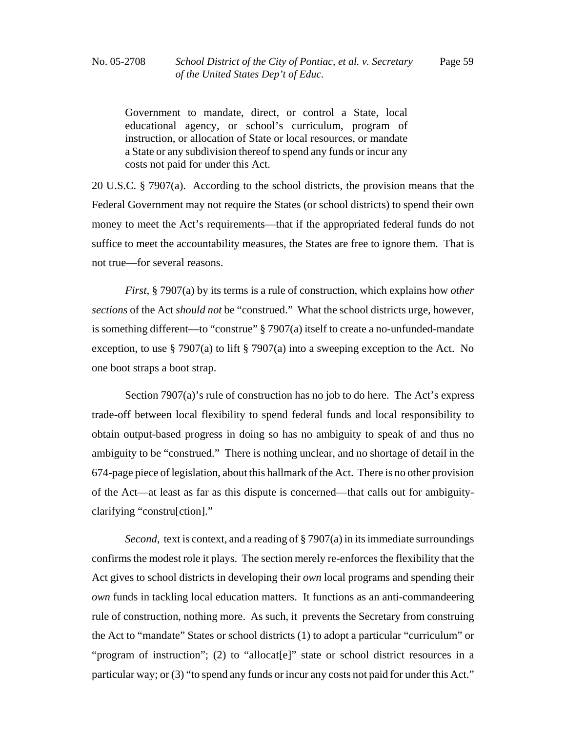Government to mandate, direct, or control a State, local educational agency, or school's curriculum, program of instruction, or allocation of State or local resources, or mandate a State or any subdivision thereof to spend any funds or incur any costs not paid for under this Act.

20 U.S.C. § 7907(a). According to the school districts, the provision means that the Federal Government may not require the States (or school districts) to spend their own money to meet the Act's requirements—that if the appropriated federal funds do not suffice to meet the accountability measures, the States are free to ignore them. That is not true—for several reasons.

*First*, § 7907(a) by its terms is a rule of construction, which explains how *other sections* of the Act *should not* be "construed." What the school districts urge, however, is something different—to "construe" § 7907(a) itself to create a no-unfunded-mandate exception, to use § 7907(a) to lift § 7907(a) into a sweeping exception to the Act. No one boot straps a boot strap.

 Section 7907(a)'s rule of construction has no job to do here. The Act's express trade-off between local flexibility to spend federal funds and local responsibility to obtain output-based progress in doing so has no ambiguity to speak of and thus no ambiguity to be "construed." There is nothing unclear, and no shortage of detail in the 674-page piece of legislation, about this hallmark of the Act. There is no other provision of the Act—at least as far as this dispute is concerned—that calls out for ambiguityclarifying "constru[ction]."

*Second*, text is context, and a reading of § 7907(a) in its immediate surroundings confirms the modest role it plays. The section merely re-enforces the flexibility that the Act gives to school districts in developing their *own* local programs and spending their *own* funds in tackling local education matters. It functions as an anti-commandeering rule of construction, nothing more. As such, it prevents the Secretary from construing the Act to "mandate" States or school districts (1) to adopt a particular "curriculum" or "program of instruction"; (2) to "allocat[e]" state or school district resources in a particular way; or (3) "to spend any funds or incur any costs not paid for under this Act."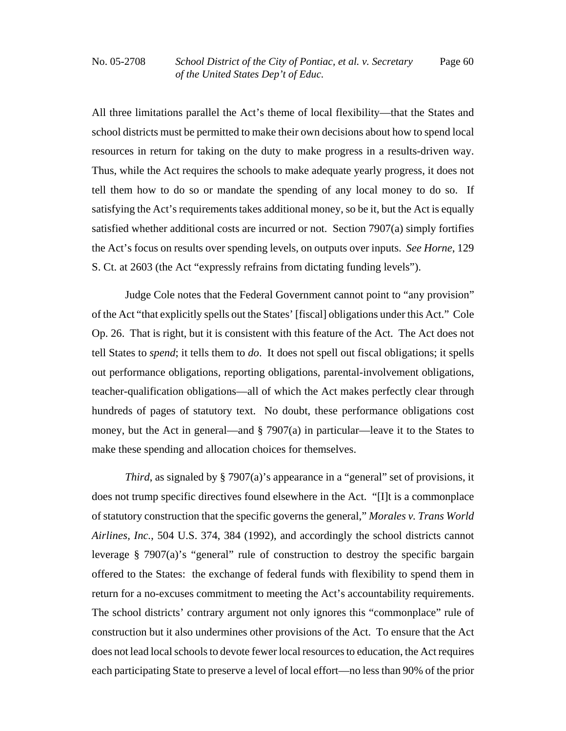All three limitations parallel the Act's theme of local flexibility—that the States and school districts must be permitted to make their own decisions about how to spend local resources in return for taking on the duty to make progress in a results-driven way. Thus, while the Act requires the schools to make adequate yearly progress, it does not tell them how to do so or mandate the spending of any local money to do so. If satisfying the Act's requirements takes additional money, so be it, but the Act is equally satisfied whether additional costs are incurred or not. Section 7907(a) simply fortifies the Act's focus on results over spending levels, on outputs over inputs. *See Horne*, 129 S. Ct. at 2603 (the Act "expressly refrains from dictating funding levels").

Judge Cole notes that the Federal Government cannot point to "any provision" of the Act "that explicitly spells out the States' [fiscal] obligations under this Act." Cole Op. 26. That is right, but it is consistent with this feature of the Act. The Act does not tell States to *spend*; it tells them to *do*. It does not spell out fiscal obligations; it spells out performance obligations, reporting obligations, parental-involvement obligations, teacher-qualification obligations—all of which the Act makes perfectly clear through hundreds of pages of statutory text. No doubt, these performance obligations cost money, but the Act in general—and § 7907(a) in particular—leave it to the States to make these spending and allocation choices for themselves.

*Third*, as signaled by § 7907(a)'s appearance in a "general" set of provisions, it does not trump specific directives found elsewhere in the Act. "[I]t is a commonplace of statutory construction that the specific governs the general," *Morales v. Trans World Airlines, Inc.*, 504 U.S. 374, 384 (1992), and accordingly the school districts cannot leverage § 7907(a)'s "general" rule of construction to destroy the specific bargain offered to the States: the exchange of federal funds with flexibility to spend them in return for a no-excuses commitment to meeting the Act's accountability requirements. The school districts' contrary argument not only ignores this "commonplace" rule of construction but it also undermines other provisions of the Act. To ensure that the Act does not lead local schools to devote fewer local resources to education, the Act requires each participating State to preserve a level of local effort—no less than 90% of the prior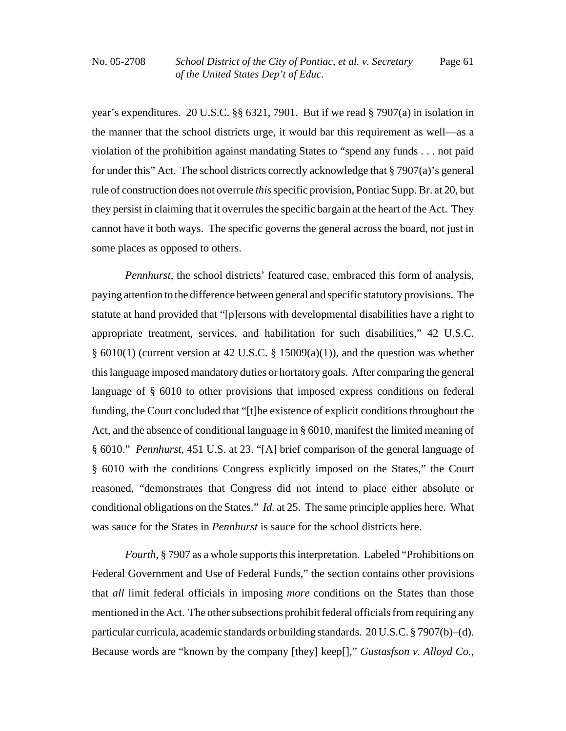year's expenditures. 20 U.S.C. §§ 6321, 7901. But if we read § 7907(a) in isolation in the manner that the school districts urge, it would bar this requirement as well—as a violation of the prohibition against mandating States to "spend any funds . . . not paid for under this" Act. The school districts correctly acknowledge that  $\S$  7907(a)'s general rule of construction does not overrule *this* specific provision, Pontiac Supp. Br. at 20, but they persist in claiming that it overrules the specific bargain at the heart of the Act. They cannot have it both ways. The specific governs the general across the board, not just in some places as opposed to others.

*Pennhurst*, the school districts' featured case, embraced this form of analysis, paying attention to the difference between general and specific statutory provisions. The statute at hand provided that "[p]ersons with developmental disabilities have a right to appropriate treatment, services, and habilitation for such disabilities," 42 U.S.C.  $\S$  6010(1) (current version at 42 U.S.C.  $\S$  15009(a)(1)), and the question was whether this language imposed mandatory duties or hortatory goals. After comparing the general language of § 6010 to other provisions that imposed express conditions on federal funding, the Court concluded that "[t]he existence of explicit conditions throughout the Act, and the absence of conditional language in § 6010, manifest the limited meaning of § 6010." *Pennhurst*, 451 U.S. at 23. "[A] brief comparison of the general language of § 6010 with the conditions Congress explicitly imposed on the States," the Court reasoned, "demonstrates that Congress did not intend to place either absolute or conditional obligations on the States." *Id.* at 25. The same principle applies here. What was sauce for the States in *Pennhurst* is sauce for the school districts here.

*Fourth*, § 7907 as a whole supports this interpretation. Labeled "Prohibitions on Federal Government and Use of Federal Funds," the section contains other provisions that *all* limit federal officials in imposing *more* conditions on the States than those mentioned in the Act. The other subsections prohibit federal officials from requiring any particular curricula, academic standards or building standards. 20 U.S.C. § 7907(b)–(d). Because words are "known by the company [they] keep[]," *Gustasfson v. Alloyd Co.*,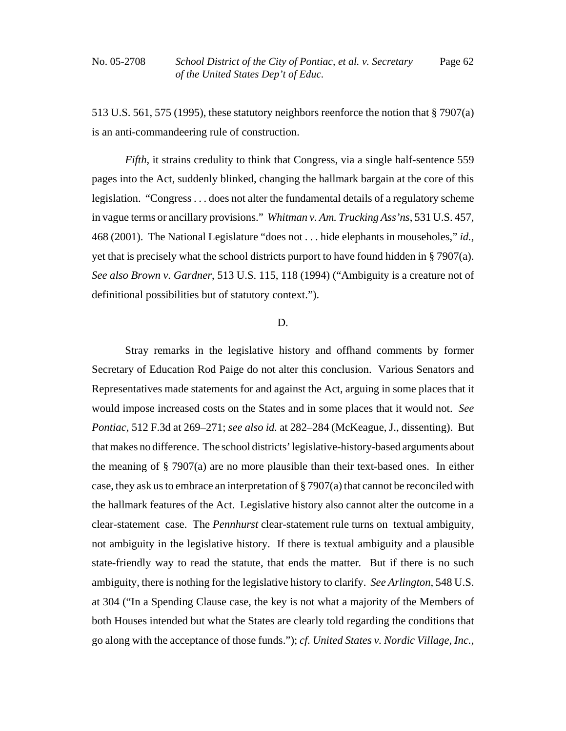513 U.S. 561, 575 (1995), these statutory neighbors reenforce the notion that § 7907(a) is an anti-commandeering rule of construction.

*Fifth*, it strains credulity to think that Congress, via a single half-sentence 559 pages into the Act, suddenly blinked, changing the hallmark bargain at the core of this legislation. "Congress . . . does not alter the fundamental details of a regulatory scheme in vague terms or ancillary provisions." *Whitman v. Am. Trucking Ass'ns*, 531 U.S. 457, 468 (2001). The National Legislature "does not . . . hide elephants in mouseholes," *id.*, yet that is precisely what the school districts purport to have found hidden in  $\S 7907(a)$ . *See also Brown v. Gardner*, 513 U.S. 115, 118 (1994) ("Ambiguity is a creature not of definitional possibilities but of statutory context.").

### D.

Stray remarks in the legislative history and offhand comments by former Secretary of Education Rod Paige do not alter this conclusion. Various Senators and Representatives made statements for and against the Act, arguing in some places that it would impose increased costs on the States and in some places that it would not. *See Pontiac*, 512 F.3d at 269–271; *see also id.* at 282–284 (McKeague, J., dissenting). But that makes no difference.The school districts' legislative-history-based arguments about the meaning of § 7907(a) are no more plausible than their text-based ones. In either case, they ask us to embrace an interpretation of § 7907(a) that cannot be reconciled with the hallmark features of the Act. Legislative history also cannot alter the outcome in a clear-statement case. The *Pennhurst* clear-statement rule turns on textual ambiguity, not ambiguity in the legislative history. If there is textual ambiguity and a plausible state-friendly way to read the statute, that ends the matter*.* But if there is no such ambiguity, there is nothing for the legislative history to clarify. *See Arlington*, 548 U.S. at 304 ("In a Spending Clause case, the key is not what a majority of the Members of both Houses intended but what the States are clearly told regarding the conditions that go along with the acceptance of those funds."); *cf. United States v. Nordic Village, Inc.*,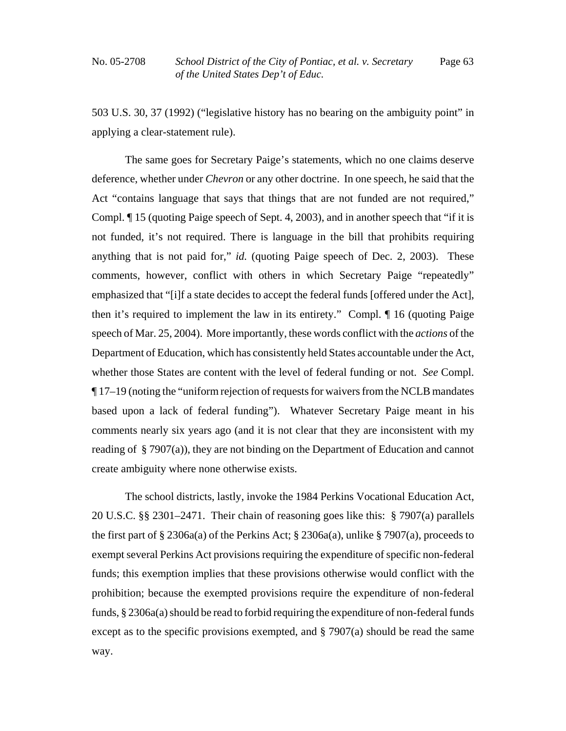503 U.S. 30, 37 (1992) ("legislative history has no bearing on the ambiguity point" in applying a clear-statement rule).

 The same goes for Secretary Paige's statements, which no one claims deserve deference, whether under *Chevron* or any other doctrine. In one speech, he said that the Act "contains language that says that things that are not funded are not required," Compl. ¶ 15 (quoting Paige speech of Sept. 4, 2003), and in another speech that "if it is not funded, it's not required. There is language in the bill that prohibits requiring anything that is not paid for," *id.* (quoting Paige speech of Dec. 2, 2003). These comments, however, conflict with others in which Secretary Paige "repeatedly" emphasized that "[i]f a state decides to accept the federal funds [offered under the Act], then it's required to implement the law in its entirety." Compl. ¶ 16 (quoting Paige speech of Mar. 25, 2004). More importantly, these words conflict with the *actions* of the Department of Education, which has consistently held States accountable under the Act, whether those States are content with the level of federal funding or not. *See* Compl. ¶ 17–19 (noting the "uniform rejection of requests for waivers from the NCLB mandates based upon a lack of federal funding"). Whatever Secretary Paige meant in his comments nearly six years ago (and it is not clear that they are inconsistent with my reading of § 7907(a)), they are not binding on the Department of Education and cannot create ambiguity where none otherwise exists.

The school districts, lastly, invoke the 1984 Perkins Vocational Education Act, 20 U.S.C. §§ 2301–2471. Their chain of reasoning goes like this: § 7907(a) parallels the first part of § 2306a(a) of the Perkins Act; § 2306a(a), unlike § 7907(a), proceeds to exempt several Perkins Act provisions requiring the expenditure of specific non-federal funds; this exemption implies that these provisions otherwise would conflict with the prohibition; because the exempted provisions require the expenditure of non-federal funds, § 2306a(a) should be read to forbid requiring the expenditure of non-federal funds except as to the specific provisions exempted, and  $\S 7907(a)$  should be read the same way.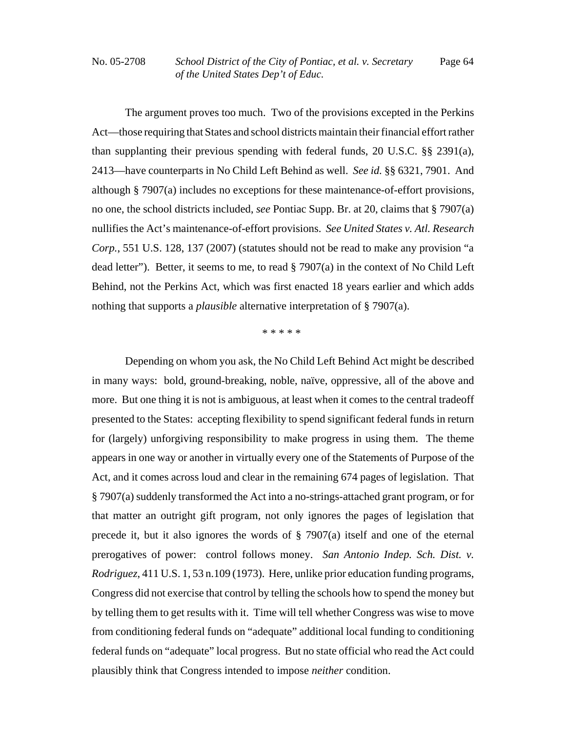The argument proves too much. Two of the provisions excepted in the Perkins Act—those requiring that States and school districts maintain their financial effort rather than supplanting their previous spending with federal funds, 20 U.S.C. §§ 2391(a), 2413—have counterparts in No Child Left Behind as well. *See id.* §§ 6321, 7901. And although § 7907(a) includes no exceptions for these maintenance-of-effort provisions, no one, the school districts included, *see* Pontiac Supp. Br. at 20, claims that § 7907(a) nullifies the Act's maintenance-of-effort provisions. *See United States v. Atl. Research Corp.*, 551 U.S. 128, 137 (2007) (statutes should not be read to make any provision "a dead letter"). Better, it seems to me, to read § 7907(a) in the context of No Child Left Behind, not the Perkins Act, which was first enacted 18 years earlier and which adds nothing that supports a *plausible* alternative interpretation of § 7907(a).

#### \* \* \* \* \*

Depending on whom you ask, the No Child Left Behind Act might be described in many ways: bold, ground-breaking, noble, naïve, oppressive, all of the above and more. But one thing it is not is ambiguous, at least when it comes to the central tradeoff presented to the States: accepting flexibility to spend significant federal funds in return for (largely) unforgiving responsibility to make progress in using them. The theme appears in one way or another in virtually every one of the Statements of Purpose of the Act, and it comes across loud and clear in the remaining 674 pages of legislation. That § 7907(a) suddenly transformed the Act into a no-strings-attached grant program, or for that matter an outright gift program, not only ignores the pages of legislation that precede it, but it also ignores the words of § 7907(a) itself and one of the eternal prerogatives of power: control follows money. *San Antonio Indep. Sch. Dist. v. Rodriguez*, 411 U.S. 1, 53 n.109 (1973). Here, unlike prior education funding programs, Congress did not exercise that control by telling the schools how to spend the money but by telling them to get results with it. Time will tell whether Congress was wise to move from conditioning federal funds on "adequate" additional local funding to conditioning federal funds on "adequate" local progress. But no state official who read the Act could plausibly think that Congress intended to impose *neither* condition.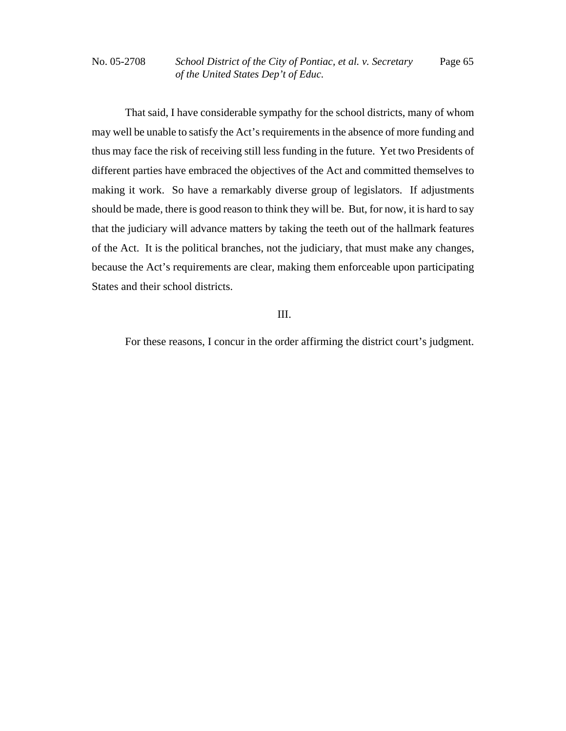That said, I have considerable sympathy for the school districts, many of whom may well be unable to satisfy the Act's requirements in the absence of more funding and thus may face the risk of receiving still less funding in the future. Yet two Presidents of different parties have embraced the objectives of the Act and committed themselves to making it work. So have a remarkably diverse group of legislators. If adjustments should be made, there is good reason to think they will be. But, for now, it is hard to say that the judiciary will advance matters by taking the teeth out of the hallmark features of the Act. It is the political branches, not the judiciary, that must make any changes, because the Act's requirements are clear, making them enforceable upon participating States and their school districts.

# III.

For these reasons, I concur in the order affirming the district court's judgment.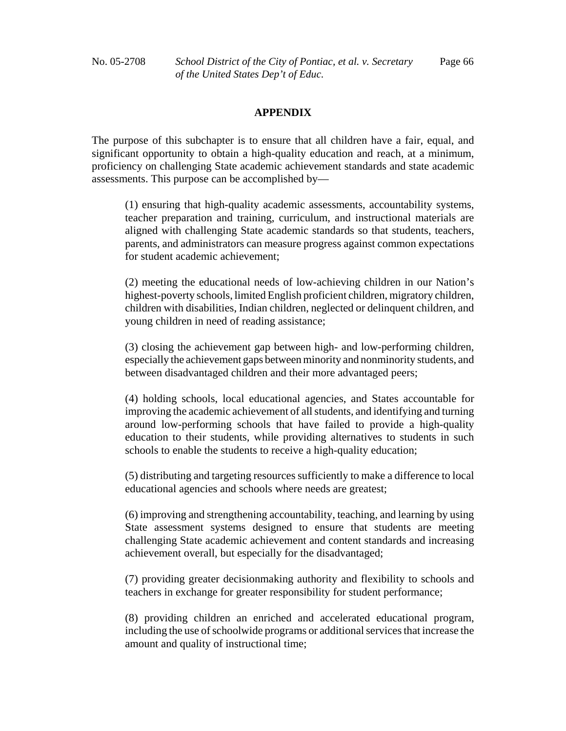Page 66

### **APPENDIX**

The purpose of this subchapter is to ensure that all children have a fair, equal, and significant opportunity to obtain a high-quality education and reach, at a minimum, proficiency on challenging State academic achievement standards and state academic assessments. This purpose can be accomplished by—

(1) ensuring that high-quality academic assessments, accountability systems, teacher preparation and training, curriculum, and instructional materials are aligned with challenging State academic standards so that students, teachers, parents, and administrators can measure progress against common expectations for student academic achievement;

(2) meeting the educational needs of low-achieving children in our Nation's highest-poverty schools, limited English proficient children, migratory children, children with disabilities, Indian children, neglected or delinquent children, and young children in need of reading assistance;

(3) closing the achievement gap between high- and low-performing children, especially the achievement gaps between minority and nonminority students, and between disadvantaged children and their more advantaged peers;

(4) holding schools, local educational agencies, and States accountable for improving the academic achievement of all students, and identifying and turning around low-performing schools that have failed to provide a high-quality education to their students, while providing alternatives to students in such schools to enable the students to receive a high-quality education;

(5) distributing and targeting resources sufficiently to make a difference to local educational agencies and schools where needs are greatest;

(6) improving and strengthening accountability, teaching, and learning by using State assessment systems designed to ensure that students are meeting challenging State academic achievement and content standards and increasing achievement overall, but especially for the disadvantaged;

(7) providing greater decisionmaking authority and flexibility to schools and teachers in exchange for greater responsibility for student performance;

(8) providing children an enriched and accelerated educational program, including the use of schoolwide programs or additional services that increase the amount and quality of instructional time;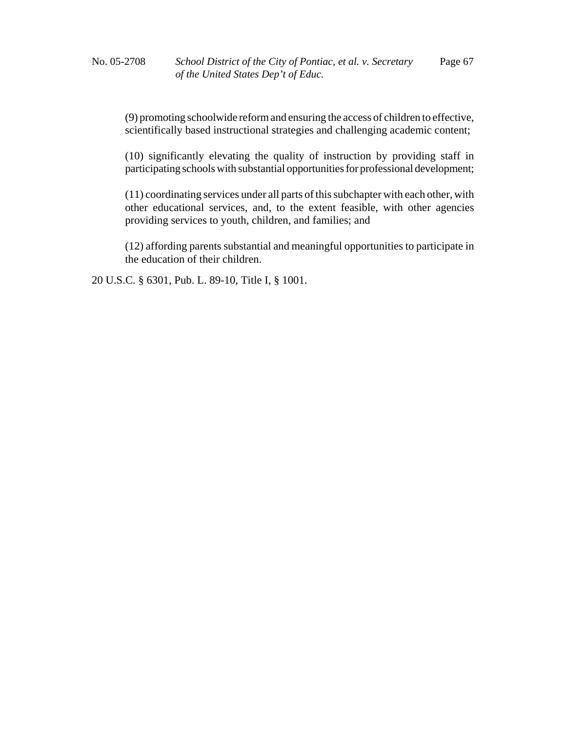(9) promoting schoolwide reform and ensuring the access of children to effective, scientifically based instructional strategies and challenging academic content;

(10) significantly elevating the quality of instruction by providing staff in participating schools with substantial opportunities for professional development;

(11) coordinating services under all parts of this subchapter with each other, with other educational services, and, to the extent feasible, with other agencies providing services to youth, children, and families; and

(12) affording parents substantial and meaningful opportunities to participate in the education of their children.

20 U.S.C. § 6301, Pub. L. 89-10, Title I, § 1001.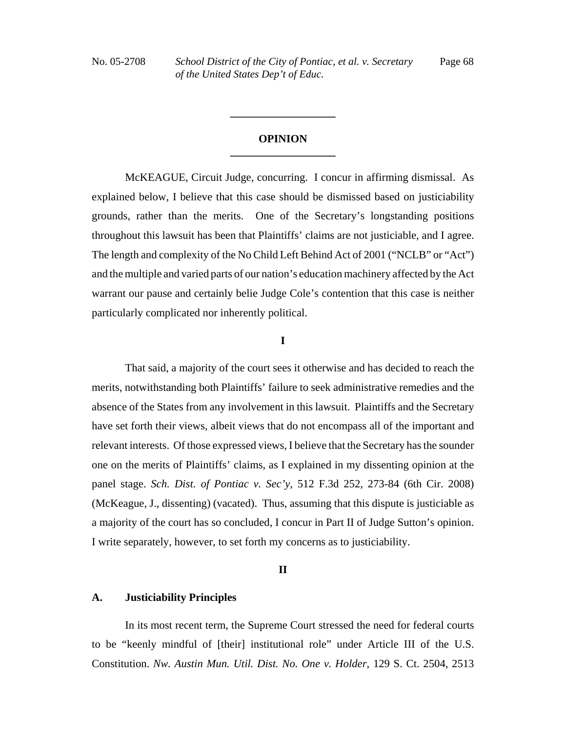# **OPINION \_\_\_\_\_\_\_\_\_\_\_\_\_\_\_\_\_\_\_**

**\_\_\_\_\_\_\_\_\_\_\_\_\_\_\_\_\_\_\_**

McKEAGUE, Circuit Judge, concurring. I concur in affirming dismissal. As explained below, I believe that this case should be dismissed based on justiciability grounds, rather than the merits. One of the Secretary's longstanding positions throughout this lawsuit has been that Plaintiffs' claims are not justiciable, and I agree. The length and complexity of the No Child Left Behind Act of 2001 ("NCLB" or "Act") and the multiple and varied parts of our nation's education machinery affected by the Act warrant our pause and certainly belie Judge Cole's contention that this case is neither particularly complicated nor inherently political.

# **I**

That said, a majority of the court sees it otherwise and has decided to reach the merits, notwithstanding both Plaintiffs' failure to seek administrative remedies and the absence of the States from any involvement in this lawsuit. Plaintiffs and the Secretary have set forth their views, albeit views that do not encompass all of the important and relevant interests. Of those expressed views, I believe that the Secretary has the sounder one on the merits of Plaintiffs' claims, as I explained in my dissenting opinion at the panel stage. *Sch. Dist. of Pontiac v. Sec'y*, 512 F.3d 252, 273-84 (6th Cir. 2008) (McKeague, J., dissenting) (vacated). Thus, assuming that this dispute is justiciable as a majority of the court has so concluded, I concur in Part II of Judge Sutton's opinion. I write separately, however, to set forth my concerns as to justiciability.

# **II**

#### **A. Justiciability Principles**

In its most recent term, the Supreme Court stressed the need for federal courts to be "keenly mindful of [their] institutional role" under Article III of the U.S. Constitution. *Nw. Austin Mun. Util. Dist. No. One v. Holder*, 129 S. Ct. 2504, 2513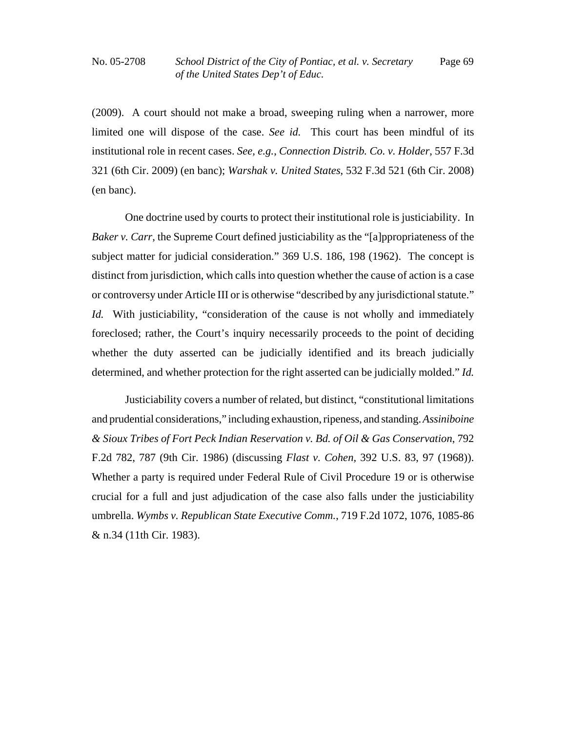(2009). A court should not make a broad, sweeping ruling when a narrower, more limited one will dispose of the case. *See id.* This court has been mindful of its institutional role in recent cases. *See, e.g.*, *Connection Distrib. Co. v. Holder*, 557 F.3d 321 (6th Cir. 2009) (en banc); *Warshak v. United States*, 532 F.3d 521 (6th Cir. 2008) (en banc).

One doctrine used by courts to protect their institutional role is justiciability. In *Baker v. Carr*, the Supreme Court defined justiciability as the "[a]ppropriateness of the subject matter for judicial consideration." 369 U.S. 186, 198 (1962). The concept is distinct from jurisdiction, which calls into question whether the cause of action is a case or controversy under Article III or is otherwise "described by any jurisdictional statute." *Id.* With justiciability, "consideration of the cause is not wholly and immediately foreclosed; rather, the Court's inquiry necessarily proceeds to the point of deciding whether the duty asserted can be judicially identified and its breach judicially determined, and whether protection for the right asserted can be judicially molded." *Id.*

Justiciability covers a number of related, but distinct, "constitutional limitations and prudential considerations," including exhaustion, ripeness, and standing. *Assiniboine & Sioux Tribes of Fort Peck Indian Reservation v. Bd. of Oil & Gas Conservation*, 792 F.2d 782, 787 (9th Cir. 1986) (discussing *Flast v. Cohen,* 392 U.S. 83, 97 (1968)). Whether a party is required under Federal Rule of Civil Procedure 19 or is otherwise crucial for a full and just adjudication of the case also falls under the justiciability umbrella. *Wymbs v. Republican State Executive Comm.*, 719 F.2d 1072, 1076, 1085-86 & n.34 (11th Cir. 1983).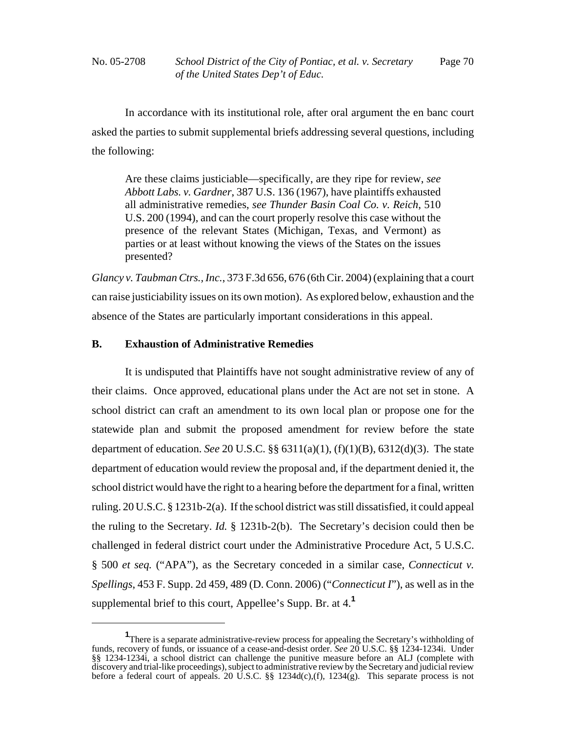In accordance with its institutional role, after oral argument the en banc court asked the parties to submit supplemental briefs addressing several questions, including the following:

Are these claims justiciable—specifically, are they ripe for review, *see Abbott Labs. v. Gardner*, 387 U.S. 136 (1967), have plaintiffs exhausted all administrative remedies, *see Thunder Basin Coal Co. v. Reich*, 510 U.S. 200 (1994), and can the court properly resolve this case without the presence of the relevant States (Michigan, Texas, and Vermont) as parties or at least without knowing the views of the States on the issues presented?

*Glancy v. Taubman Ctrs., Inc.*, 373 F.3d 656, 676 (6th Cir. 2004) (explaining that a court can raise justiciability issues on its own motion). As explored below, exhaustion and the absence of the States are particularly important considerations in this appeal.

## **B. Exhaustion of Administrative Remedies**

It is undisputed that Plaintiffs have not sought administrative review of any of their claims. Once approved, educational plans under the Act are not set in stone. A school district can craft an amendment to its own local plan or propose one for the statewide plan and submit the proposed amendment for review before the state department of education. *See* 20 U.S.C. §§ 6311(a)(1), (f)(1)(B), 6312(d)(3). The state department of education would review the proposal and, if the department denied it, the school district would have the right to a hearing before the department for a final, written ruling. 20 U.S.C. § 1231b-2(a). If the school district was still dissatisfied, it could appeal the ruling to the Secretary. *Id.* § 1231b-2(b). The Secretary's decision could then be challenged in federal district court under the Administrative Procedure Act, 5 U.S.C. § 500 *et seq.* ("APA"), as the Secretary conceded in a similar case, *Connecticut v. Spellings*, 453 F. Supp. 2d 459, 489 (D. Conn. 2006) ("*Connecticut I*"), as well as in the supplemental brief to this court, Appellee's Supp. Br. at 4.**<sup>1</sup>**

**<sup>1</sup>** There is a separate administrative-review process for appealing the Secretary's withholding of funds, recovery of funds, or issuance of a cease-and-desist order. *See* 20 U.S.C. §§ 1234-1234i. Under §§ 1234-1234i, a school district can challenge the punitive measure before an ALJ (complete with discovery and trial-like proceedings), subject to administrative review by the Secretary and judicial review before a federal court of appeals. 20 U.S.C. §§ 1234d(c),(f), 1234(g). This separate process is not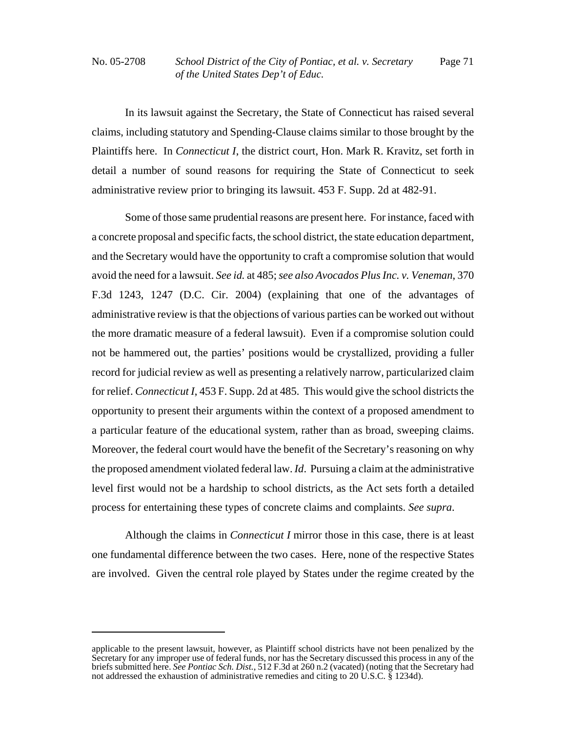In its lawsuit against the Secretary, the State of Connecticut has raised several claims, including statutory and Spending-Clause claims similar to those brought by the Plaintiffs here. In *Connecticut I*, the district court, Hon. Mark R. Kravitz, set forth in detail a number of sound reasons for requiring the State of Connecticut to seek administrative review prior to bringing its lawsuit. 453 F. Supp. 2d at 482-91.

Some of those same prudential reasons are present here. For instance, faced with a concrete proposal and specific facts, the school district, the state education department, and the Secretary would have the opportunity to craft a compromise solution that would avoid the need for a lawsuit. *See id.* at 485; *see also Avocados Plus Inc. v. Veneman*, 370 F.3d 1243, 1247 (D.C. Cir. 2004) (explaining that one of the advantages of administrative review is that the objections of various parties can be worked out without the more dramatic measure of a federal lawsuit). Even if a compromise solution could not be hammered out, the parties' positions would be crystallized, providing a fuller record for judicial review as well as presenting a relatively narrow, particularized claim for relief. *Connecticut I*, 453 F. Supp. 2d at 485. This would give the school districts the opportunity to present their arguments within the context of a proposed amendment to a particular feature of the educational system, rather than as broad, sweeping claims. Moreover, the federal court would have the benefit of the Secretary's reasoning on why the proposed amendment violated federal law. *Id*. Pursuing a claim at the administrative level first would not be a hardship to school districts, as the Act sets forth a detailed process for entertaining these types of concrete claims and complaints. *See supra*.

Although the claims in *Connecticut I* mirror those in this case, there is at least one fundamental difference between the two cases. Here, none of the respective States are involved. Given the central role played by States under the regime created by the

applicable to the present lawsuit, however, as Plaintiff school districts have not been penalized by the Secretary for any improper use of federal funds, nor has the Secretary discussed this process in any of the briefs submitted here. *See Pontiac Sch. Dist.*, 512 F.3d at 260 n.2 (vacated) (noting that the Secretary had not addressed the exhaustion of administrative remedies and citing to 20 U.S.C. § 1234d).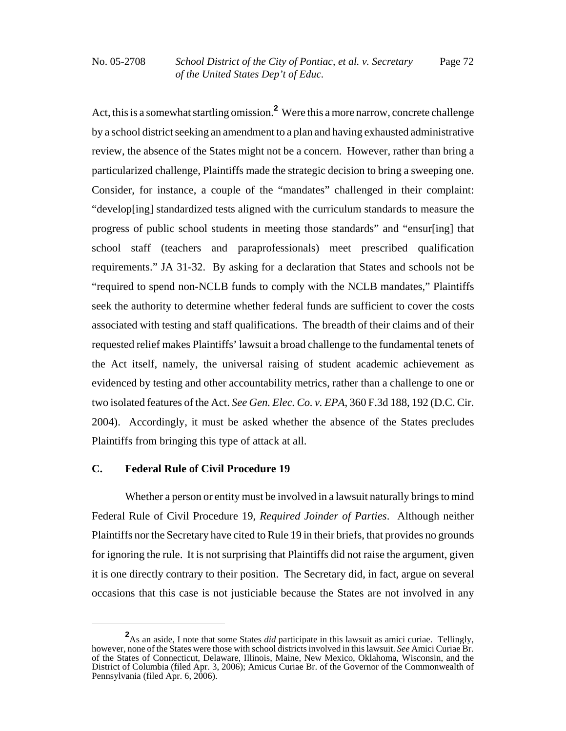Act, this is a somewhat startling omission.**<sup>2</sup>** Were this a more narrow, concrete challenge by a school district seeking an amendment to a plan and having exhausted administrative review, the absence of the States might not be a concern. However, rather than bring a particularized challenge, Plaintiffs made the strategic decision to bring a sweeping one. Consider, for instance, a couple of the "mandates" challenged in their complaint: "develop[ing] standardized tests aligned with the curriculum standards to measure the progress of public school students in meeting those standards" and "ensur[ing] that school staff (teachers and paraprofessionals) meet prescribed qualification requirements." JA 31-32. By asking for a declaration that States and schools not be "required to spend non-NCLB funds to comply with the NCLB mandates," Plaintiffs seek the authority to determine whether federal funds are sufficient to cover the costs associated with testing and staff qualifications. The breadth of their claims and of their requested relief makes Plaintiffs' lawsuit a broad challenge to the fundamental tenets of the Act itself, namely, the universal raising of student academic achievement as evidenced by testing and other accountability metrics, rather than a challenge to one or two isolated features of the Act. *See Gen. Elec. Co. v. EPA*, 360 F.3d 188, 192 (D.C. Cir. 2004). Accordingly, it must be asked whether the absence of the States precludes Plaintiffs from bringing this type of attack at all.

# **C. Federal Rule of Civil Procedure 19**

Whether a person or entity must be involved in a lawsuit naturally brings to mind Federal Rule of Civil Procedure 19, *Required Joinder of Parties*. Although neither Plaintiffs nor the Secretary have cited to Rule 19 in their briefs, that provides no grounds for ignoring the rule. It is not surprising that Plaintiffs did not raise the argument, given it is one directly contrary to their position. The Secretary did, in fact, argue on several occasions that this case is not justiciable because the States are not involved in any

**<sup>2</sup>** As an aside, I note that some States *did* participate in this lawsuit as amici curiae. Tellingly, however, none of the States were those with school districts involved in this lawsuit. *See* Amici Curiae Br. of the States of Connecticut, Delaware, Illinois, Maine, New Mexico, Oklahoma, Wisconsin, and the District of Columbia (filed Apr. 3, 2006); Amicus Curiae Br. of the Governor of the Commonwealth of Pennsylvania (filed Apr. 6, 2006).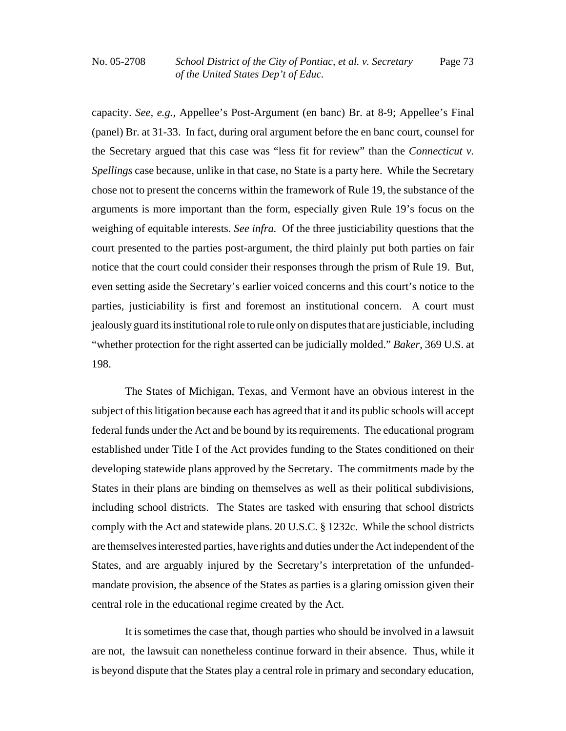capacity. *See, e.g.*, Appellee's Post-Argument (en banc) Br. at 8-9; Appellee's Final (panel) Br. at 31-33. In fact, during oral argument before the en banc court, counsel for the Secretary argued that this case was "less fit for review" than the *Connecticut v. Spellings* case because, unlike in that case, no State is a party here. While the Secretary chose not to present the concerns within the framework of Rule 19, the substance of the arguments is more important than the form, especially given Rule 19's focus on the weighing of equitable interests. *See infra.* Of the three justiciability questions that the court presented to the parties post-argument, the third plainly put both parties on fair notice that the court could consider their responses through the prism of Rule 19. But, even setting aside the Secretary's earlier voiced concerns and this court's notice to the parties, justiciability is first and foremost an institutional concern. A court must jealously guard its institutional role to rule only on disputes that are justiciable, including "whether protection for the right asserted can be judicially molded." *Baker*, 369 U.S. at 198.

The States of Michigan, Texas, and Vermont have an obvious interest in the subject of this litigation because each has agreed that it and its public schools will accept federal funds under the Act and be bound by its requirements. The educational program established under Title I of the Act provides funding to the States conditioned on their developing statewide plans approved by the Secretary. The commitments made by the States in their plans are binding on themselves as well as their political subdivisions, including school districts. The States are tasked with ensuring that school districts comply with the Act and statewide plans. 20 U.S.C. § 1232c. While the school districts are themselves interested parties, have rights and duties under the Act independent of the States, and are arguably injured by the Secretary's interpretation of the unfundedmandate provision, the absence of the States as parties is a glaring omission given their central role in the educational regime created by the Act.

It is sometimes the case that, though parties who should be involved in a lawsuit are not, the lawsuit can nonetheless continue forward in their absence. Thus, while it is beyond dispute that the States play a central role in primary and secondary education,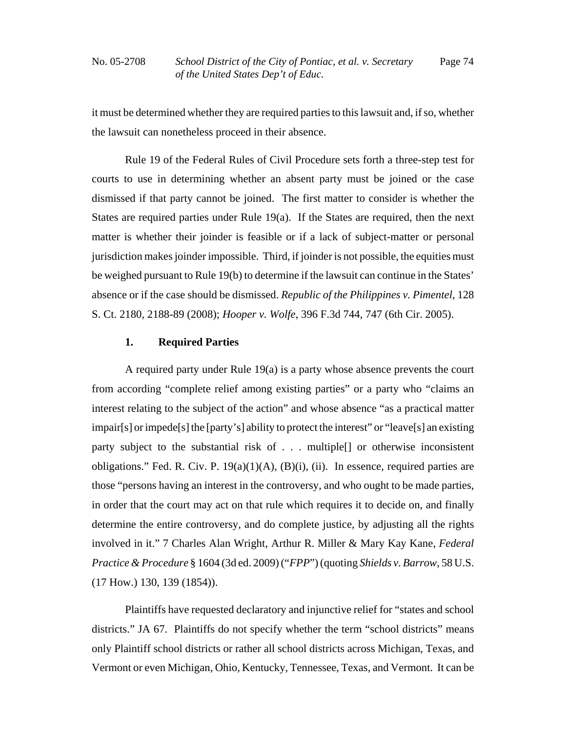it must be determined whether they are required parties to this lawsuit and, if so, whether the lawsuit can nonetheless proceed in their absence.

Rule 19 of the Federal Rules of Civil Procedure sets forth a three-step test for courts to use in determining whether an absent party must be joined or the case dismissed if that party cannot be joined. The first matter to consider is whether the States are required parties under Rule 19(a). If the States are required, then the next matter is whether their joinder is feasible or if a lack of subject-matter or personal jurisdiction makes joinder impossible. Third, if joinder is not possible, the equities must be weighed pursuant to Rule 19(b) to determine if the lawsuit can continue in the States' absence or if the case should be dismissed. *Republic of the Philippines v. Pimentel*, 128 S. Ct. 2180, 2188-89 (2008); *Hooper v. Wolfe*, 396 F.3d 744, 747 (6th Cir. 2005).

#### **1. Required Parties**

A required party under Rule 19(a) is a party whose absence prevents the court from according "complete relief among existing parties" or a party who "claims an interest relating to the subject of the action" and whose absence "as a practical matter impair[s] or impede[s] the [party's] ability to protect the interest" or "leave[s] an existing party subject to the substantial risk of . . . multiple[] or otherwise inconsistent obligations." Fed. R. Civ. P.  $19(a)(1)(A)$ ,  $(B)(i)$ ,  $(ii)$ . In essence, required parties are those "persons having an interest in the controversy, and who ought to be made parties, in order that the court may act on that rule which requires it to decide on, and finally determine the entire controversy, and do complete justice, by adjusting all the rights involved in it." 7 Charles Alan Wright, Arthur R. Miller & Mary Kay Kane, *Federal Practice & Procedure* § 1604 (3d ed. 2009) ("*FPP*") (quoting *Shields v. Barrow*, 58 U.S. (17 How.) 130, 139 (1854)).

Plaintiffs have requested declaratory and injunctive relief for "states and school districts." JA 67. Plaintiffs do not specify whether the term "school districts" means only Plaintiff school districts or rather all school districts across Michigan, Texas, and Vermont or even Michigan, Ohio, Kentucky, Tennessee, Texas, and Vermont. It can be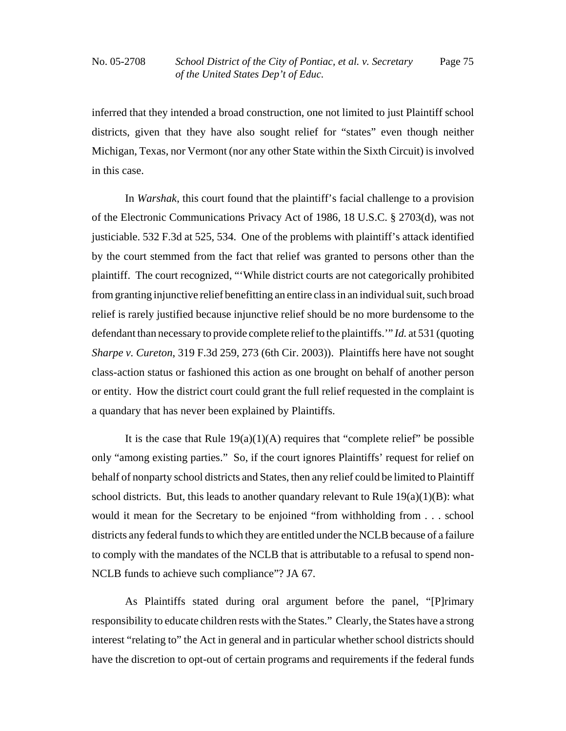inferred that they intended a broad construction, one not limited to just Plaintiff school districts, given that they have also sought relief for "states" even though neither Michigan, Texas, nor Vermont (nor any other State within the Sixth Circuit) is involved in this case.

In *Warshak*, this court found that the plaintiff's facial challenge to a provision of the Electronic Communications Privacy Act of 1986, 18 U.S.C. § 2703(d), was not justiciable. 532 F.3d at 525, 534. One of the problems with plaintiff's attack identified by the court stemmed from the fact that relief was granted to persons other than the plaintiff. The court recognized, "'While district courts are not categorically prohibited from granting injunctive relief benefitting an entire class in an individual suit, such broad relief is rarely justified because injunctive relief should be no more burdensome to the defendant than necessary to provide complete relief to the plaintiffs.'" *Id.* at 531 (quoting *Sharpe v. Cureton*, 319 F.3d 259, 273 (6th Cir. 2003)). Plaintiffs here have not sought class-action status or fashioned this action as one brought on behalf of another person or entity. How the district court could grant the full relief requested in the complaint is a quandary that has never been explained by Plaintiffs.

It is the case that Rule  $19(a)(1)(A)$  requires that "complete relief" be possible only "among existing parties." So, if the court ignores Plaintiffs' request for relief on behalf of nonparty school districts and States, then any relief could be limited to Plaintiff school districts. But, this leads to another quandary relevant to Rule  $19(a)(1)(B)$ : what would it mean for the Secretary to be enjoined "from withholding from . . . school districts any federal funds to which they are entitled under the NCLB because of a failure to comply with the mandates of the NCLB that is attributable to a refusal to spend non-NCLB funds to achieve such compliance"? JA 67.

As Plaintiffs stated during oral argument before the panel, "[P]rimary responsibility to educate children rests with the States." Clearly, the States have a strong interest "relating to" the Act in general and in particular whether school districts should have the discretion to opt-out of certain programs and requirements if the federal funds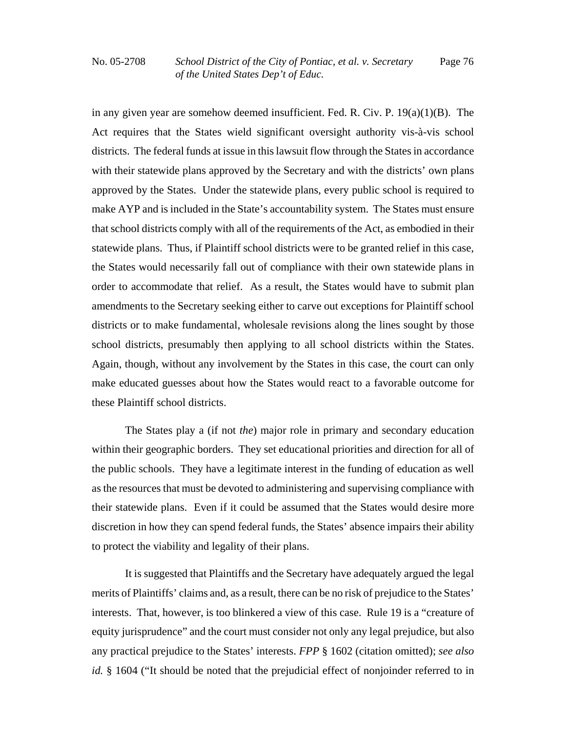in any given year are somehow deemed insufficient. Fed. R. Civ. P. 19(a)(1)(B). The Act requires that the States wield significant oversight authority vis-à-vis school districts. The federal funds at issue in this lawsuit flow through the States in accordance with their statewide plans approved by the Secretary and with the districts' own plans approved by the States. Under the statewide plans, every public school is required to make AYP and is included in the State's accountability system. The States must ensure that school districts comply with all of the requirements of the Act, as embodied in their statewide plans. Thus, if Plaintiff school districts were to be granted relief in this case, the States would necessarily fall out of compliance with their own statewide plans in order to accommodate that relief. As a result, the States would have to submit plan amendments to the Secretary seeking either to carve out exceptions for Plaintiff school districts or to make fundamental, wholesale revisions along the lines sought by those school districts, presumably then applying to all school districts within the States. Again, though, without any involvement by the States in this case, the court can only make educated guesses about how the States would react to a favorable outcome for these Plaintiff school districts.

The States play a (if not *the*) major role in primary and secondary education within their geographic borders. They set educational priorities and direction for all of the public schools. They have a legitimate interest in the funding of education as well as the resources that must be devoted to administering and supervising compliance with their statewide plans. Even if it could be assumed that the States would desire more discretion in how they can spend federal funds, the States' absence impairs their ability to protect the viability and legality of their plans.

It is suggested that Plaintiffs and the Secretary have adequately argued the legal merits of Plaintiffs' claims and, as a result, there can be no risk of prejudice to the States' interests. That, however, is too blinkered a view of this case. Rule 19 is a "creature of equity jurisprudence" and the court must consider not only any legal prejudice, but also any practical prejudice to the States' interests. *FPP* § 1602 (citation omitted); *see also id.* § 1604 ("It should be noted that the prejudicial effect of nonjoinder referred to in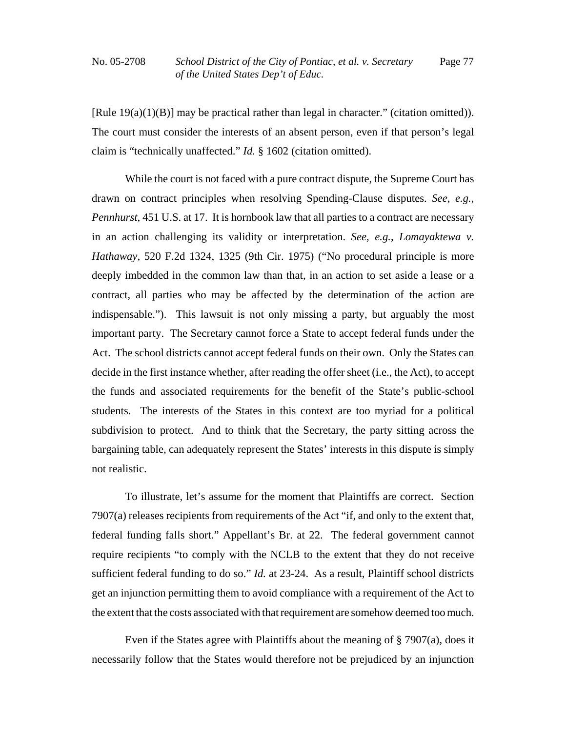[Rule  $19(a)(1)(B)$ ] may be practical rather than legal in character." (citation omitted)). The court must consider the interests of an absent person, even if that person's legal claim is "technically unaffected." *Id.* § 1602 (citation omitted).

While the court is not faced with a pure contract dispute, the Supreme Court has drawn on contract principles when resolving Spending-Clause disputes. *See, e.g.*, *Pennhurst*, 451 U.S. at 17. It is hornbook law that all parties to a contract are necessary in an action challenging its validity or interpretation. *See, e.g.*, *Lomayaktewa v. Hathaway*, 520 F.2d 1324, 1325 (9th Cir. 1975) ("No procedural principle is more deeply imbedded in the common law than that, in an action to set aside a lease or a contract, all parties who may be affected by the determination of the action are indispensable."). This lawsuit is not only missing a party, but arguably the most important party. The Secretary cannot force a State to accept federal funds under the Act. The school districts cannot accept federal funds on their own. Only the States can decide in the first instance whether, after reading the offer sheet (i.e., the Act), to accept the funds and associated requirements for the benefit of the State's public-school students. The interests of the States in this context are too myriad for a political subdivision to protect. And to think that the Secretary, the party sitting across the bargaining table, can adequately represent the States' interests in this dispute is simply not realistic.

To illustrate, let's assume for the moment that Plaintiffs are correct. Section 7907(a) releases recipients from requirements of the Act "if, and only to the extent that, federal funding falls short." Appellant's Br. at 22. The federal government cannot require recipients "to comply with the NCLB to the extent that they do not receive sufficient federal funding to do so." *Id.* at 23-24. As a result, Plaintiff school districts get an injunction permitting them to avoid compliance with a requirement of the Act to the extent that the costs associated with that requirement are somehow deemed too much.

Even if the States agree with Plaintiffs about the meaning of § 7907(a), does it necessarily follow that the States would therefore not be prejudiced by an injunction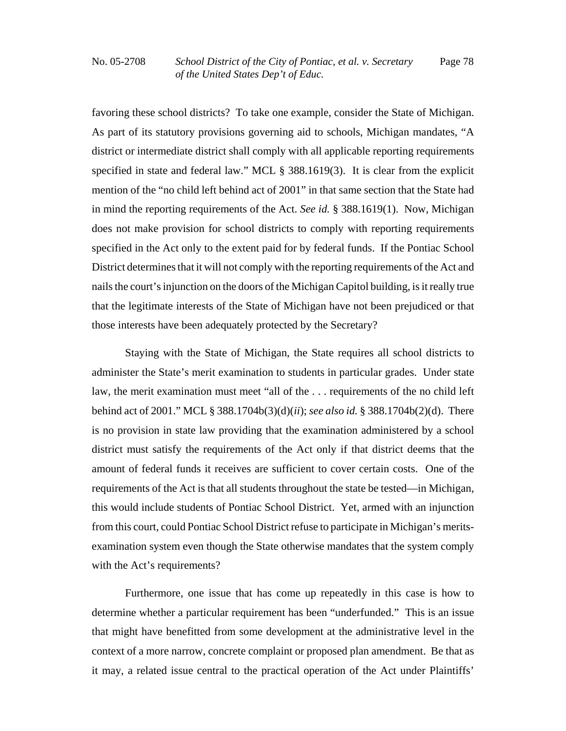favoring these school districts? To take one example, consider the State of Michigan. As part of its statutory provisions governing aid to schools, Michigan mandates, "A district or intermediate district shall comply with all applicable reporting requirements specified in state and federal law." MCL § 388.1619(3). It is clear from the explicit mention of the "no child left behind act of 2001" in that same section that the State had in mind the reporting requirements of the Act. *See id.* § 388.1619(1). Now, Michigan does not make provision for school districts to comply with reporting requirements specified in the Act only to the extent paid for by federal funds. If the Pontiac School District determines that it will not comply with the reporting requirements of the Act and nails the court's injunction on the doors of the Michigan Capitol building, is it really true that the legitimate interests of the State of Michigan have not been prejudiced or that those interests have been adequately protected by the Secretary?

Staying with the State of Michigan, the State requires all school districts to administer the State's merit examination to students in particular grades. Under state law, the merit examination must meet "all of the . . . requirements of the no child left behind act of 2001." MCL § 388.1704b(3)(d)(*ii*); *see also id.* § 388.1704b(2)(d). There is no provision in state law providing that the examination administered by a school district must satisfy the requirements of the Act only if that district deems that the amount of federal funds it receives are sufficient to cover certain costs. One of the requirements of the Act is that all students throughout the state be tested—in Michigan, this would include students of Pontiac School District. Yet, armed with an injunction from this court, could Pontiac School District refuse to participate in Michigan's meritsexamination system even though the State otherwise mandates that the system comply with the Act's requirements?

Furthermore, one issue that has come up repeatedly in this case is how to determine whether a particular requirement has been "underfunded." This is an issue that might have benefitted from some development at the administrative level in the context of a more narrow, concrete complaint or proposed plan amendment. Be that as it may, a related issue central to the practical operation of the Act under Plaintiffs'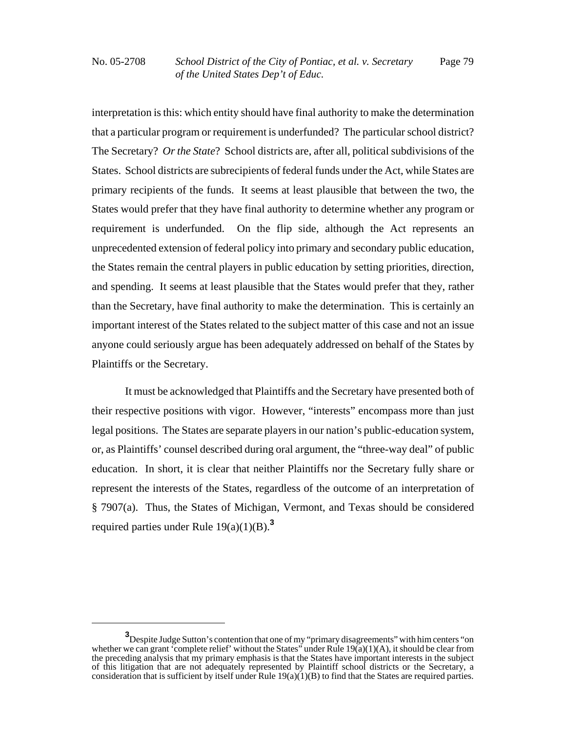interpretation is this: which entity should have final authority to make the determination that a particular program or requirement is underfunded? The particular school district? The Secretary? *Or the State*? School districts are, after all, political subdivisions of the States. School districts are subrecipients of federal funds under the Act, while States are primary recipients of the funds. It seems at least plausible that between the two, the States would prefer that they have final authority to determine whether any program or requirement is underfunded. On the flip side, although the Act represents an unprecedented extension of federal policy into primary and secondary public education, the States remain the central players in public education by setting priorities, direction, and spending. It seems at least plausible that the States would prefer that they, rather than the Secretary, have final authority to make the determination. This is certainly an important interest of the States related to the subject matter of this case and not an issue anyone could seriously argue has been adequately addressed on behalf of the States by Plaintiffs or the Secretary.

It must be acknowledged that Plaintiffs and the Secretary have presented both of their respective positions with vigor. However, "interests" encompass more than just legal positions. The States are separate players in our nation's public-education system, or, as Plaintiffs' counsel described during oral argument, the "three-way deal" of public education. In short, it is clear that neither Plaintiffs nor the Secretary fully share or represent the interests of the States, regardless of the outcome of an interpretation of § 7907(a). Thus, the States of Michigan, Vermont, and Texas should be considered required parties under Rule  $19(a)(1)(B)$ .<sup>3</sup>

**<sup>3</sup>** Despite Judge Sutton's contention that one of my "primary disagreements" with him centers "on whether we can grant 'complete relief' without the States' under Rule  $19(a)(1)(A)$ , it should be clear from the preceding analysis that my primary emphasis is that the States have important interests in the subject of this litigation that are not adequately represented by Plaintiff school districts or the Secretary, a consideration that is sufficient by itself under Rule  $19(a)(1)(B)$  to find that the States are required parties.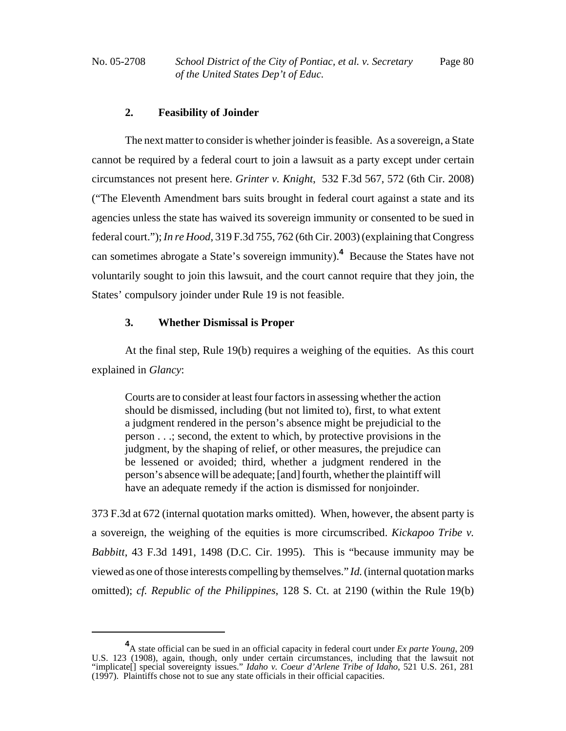## **2. Feasibility of Joinder**

The next matter to consider is whether joinder is feasible. As a sovereign, a State cannot be required by a federal court to join a lawsuit as a party except under certain circumstances not present here. *Grinter v. Knight*, 532 F.3d 567, 572 (6th Cir. 2008) ("The Eleventh Amendment bars suits brought in federal court against a state and its agencies unless the state has waived its sovereign immunity or consented to be sued in federal court."); *In re Hood*, 319 F.3d 755, 762 (6th Cir. 2003) (explaining that Congress can sometimes abrogate a State's sovereign immunity).<sup>4</sup> Because the States have not voluntarily sought to join this lawsuit, and the court cannot require that they join, the States' compulsory joinder under Rule 19 is not feasible.

## **3. Whether Dismissal is Proper**

At the final step, Rule 19(b) requires a weighing of the equities. As this court explained in *Glancy*:

Courts are to consider at least four factors in assessing whether the action should be dismissed, including (but not limited to), first, to what extent a judgment rendered in the person's absence might be prejudicial to the person . . .; second, the extent to which, by protective provisions in the judgment, by the shaping of relief, or other measures, the prejudice can be lessened or avoided; third, whether a judgment rendered in the person's absence will be adequate; [and] fourth, whether the plaintiff will have an adequate remedy if the action is dismissed for nonjoinder.

373 F.3d at 672 (internal quotation marks omitted). When, however, the absent party is a sovereign, the weighing of the equities is more circumscribed. *Kickapoo Tribe v. Babbitt*, 43 F.3d 1491, 1498 (D.C. Cir. 1995). This is "because immunity may be viewed as one of those interests compelling by themselves." *Id.* (internal quotation marks omitted); *cf. Republic of the Philippines*, 128 S. Ct. at 2190 (within the Rule 19(b)

**<sup>4</sup>** A state official can be sued in an official capacity in federal court under *Ex parte Young*, 209 U.S. 123 (1908), again, though, only under certain circumstances, including that the lawsuit not "implicate[] special sovereignty issues." *Idaho v. Coeur d'Arlene Tribe of Idaho*, 521 U.S. 261, 281 (1997). Plaintiffs chose not to sue any state officials in their official capacities.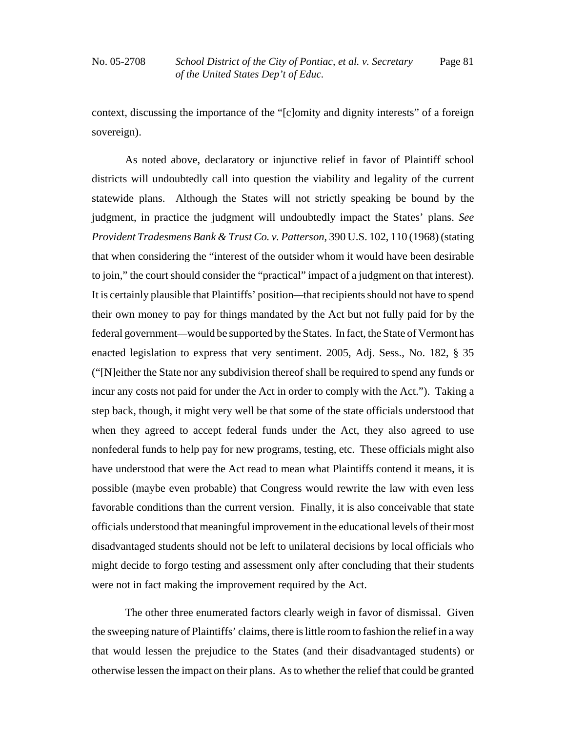context, discussing the importance of the "[c]omity and dignity interests" of a foreign sovereign).

As noted above, declaratory or injunctive relief in favor of Plaintiff school districts will undoubtedly call into question the viability and legality of the current statewide plans. Although the States will not strictly speaking be bound by the judgment, in practice the judgment will undoubtedly impact the States' plans. *See Provident Tradesmens Bank & Trust Co. v. Patterson*, 390 U.S. 102, 110 (1968) (stating that when considering the "interest of the outsider whom it would have been desirable to join," the court should consider the "practical" impact of a judgment on that interest). It is certainly plausible that Plaintiffs' position*—*that recipients should not have to spend their own money to pay for things mandated by the Act but not fully paid for by the federal government*—*would be supported by the States. In fact, the State of Vermont has enacted legislation to express that very sentiment. 2005, Adj. Sess., No. 182, § 35 ("[N]either the State nor any subdivision thereof shall be required to spend any funds or incur any costs not paid for under the Act in order to comply with the Act."). Taking a step back, though, it might very well be that some of the state officials understood that when they agreed to accept federal funds under the Act, they also agreed to use nonfederal funds to help pay for new programs, testing, etc. These officials might also have understood that were the Act read to mean what Plaintiffs contend it means, it is possible (maybe even probable) that Congress would rewrite the law with even less favorable conditions than the current version. Finally, it is also conceivable that state officials understood that meaningful improvement in the educational levels of their most disadvantaged students should not be left to unilateral decisions by local officials who might decide to forgo testing and assessment only after concluding that their students were not in fact making the improvement required by the Act.

The other three enumerated factors clearly weigh in favor of dismissal. Given the sweeping nature of Plaintiffs' claims, there is little room to fashion the relief in a way that would lessen the prejudice to the States (and their disadvantaged students) or otherwise lessen the impact on their plans. As to whether the relief that could be granted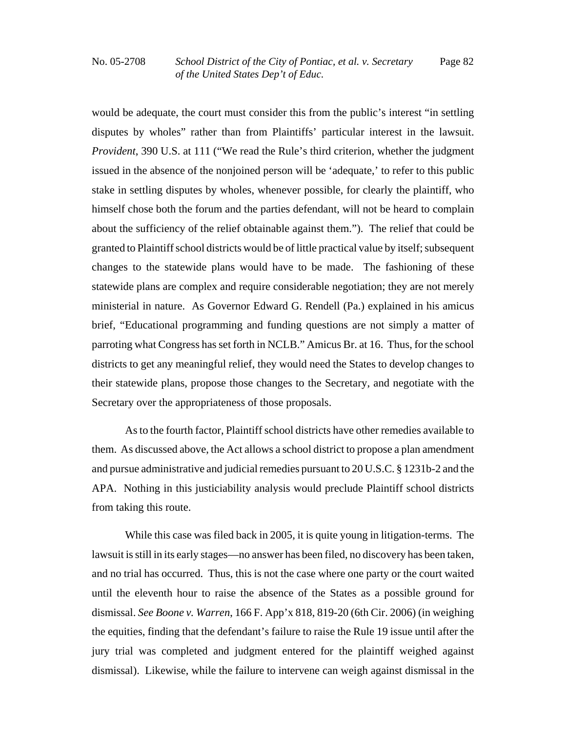would be adequate, the court must consider this from the public's interest "in settling disputes by wholes" rather than from Plaintiffs' particular interest in the lawsuit. *Provident*, 390 U.S. at 111 ("We read the Rule's third criterion, whether the judgment issued in the absence of the nonjoined person will be 'adequate,' to refer to this public stake in settling disputes by wholes, whenever possible, for clearly the plaintiff, who himself chose both the forum and the parties defendant, will not be heard to complain about the sufficiency of the relief obtainable against them."). The relief that could be granted to Plaintiff school districts would be of little practical value by itself; subsequent changes to the statewide plans would have to be made. The fashioning of these statewide plans are complex and require considerable negotiation; they are not merely ministerial in nature. As Governor Edward G. Rendell (Pa.) explained in his amicus brief, "Educational programming and funding questions are not simply a matter of parroting what Congress has set forth in NCLB." Amicus Br. at 16. Thus, for the school districts to get any meaningful relief, they would need the States to develop changes to their statewide plans, propose those changes to the Secretary, and negotiate with the Secretary over the appropriateness of those proposals.

As to the fourth factor, Plaintiff school districts have other remedies available to them. As discussed above, the Act allows a school district to propose a plan amendment and pursue administrative and judicial remedies pursuant to 20 U.S.C. § 1231b-2 and the APA. Nothing in this justiciability analysis would preclude Plaintiff school districts from taking this route.

While this case was filed back in 2005, it is quite young in litigation-terms. The lawsuit is still in its early stages—no answer has been filed, no discovery has been taken, and no trial has occurred. Thus, this is not the case where one party or the court waited until the eleventh hour to raise the absence of the States as a possible ground for dismissal. *See Boone v. Warren*, 166 F. App'x 818, 819-20 (6th Cir. 2006) (in weighing the equities, finding that the defendant's failure to raise the Rule 19 issue until after the jury trial was completed and judgment entered for the plaintiff weighed against dismissal). Likewise, while the failure to intervene can weigh against dismissal in the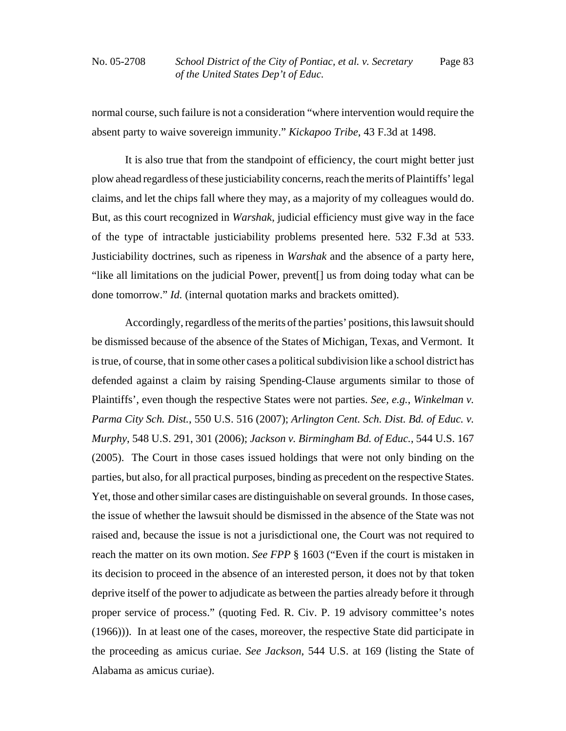normal course, such failure is not a consideration "where intervention would require the absent party to waive sovereign immunity." *Kickapoo Tribe*, 43 F.3d at 1498.

It is also true that from the standpoint of efficiency, the court might better just plow ahead regardless of these justiciability concerns, reach the merits of Plaintiffs' legal claims, and let the chips fall where they may, as a majority of my colleagues would do. But, as this court recognized in *Warshak*, judicial efficiency must give way in the face of the type of intractable justiciability problems presented here. 532 F.3d at 533. Justiciability doctrines, such as ripeness in *Warshak* and the absence of a party here, "like all limitations on the judicial Power, prevent[] us from doing today what can be done tomorrow." *Id.* (internal quotation marks and brackets omitted).

Accordingly, regardless of the merits of the parties' positions, this lawsuit should be dismissed because of the absence of the States of Michigan, Texas, and Vermont. It is true, of course, that in some other cases a political subdivision like a school district has defended against a claim by raising Spending-Clause arguments similar to those of Plaintiffs', even though the respective States were not parties. *See, e.g.*, *Winkelman v. Parma City Sch. Dist.*, 550 U.S. 516 (2007); *Arlington Cent. Sch. Dist. Bd. of Educ. v. Murphy*, 548 U.S. 291, 301 (2006); *Jackson v. Birmingham Bd. of Educ.*, 544 U.S. 167 (2005). The Court in those cases issued holdings that were not only binding on the parties, but also, for all practical purposes, binding as precedent on the respective States. Yet, those and other similar cases are distinguishable on several grounds. In those cases, the issue of whether the lawsuit should be dismissed in the absence of the State was not raised and, because the issue is not a jurisdictional one, the Court was not required to reach the matter on its own motion. *See FPP* § 1603 ("Even if the court is mistaken in its decision to proceed in the absence of an interested person, it does not by that token deprive itself of the power to adjudicate as between the parties already before it through proper service of process." (quoting Fed. R. Civ. P. 19 advisory committee's notes (1966))). In at least one of the cases, moreover, the respective State did participate in the proceeding as amicus curiae. *See Jackson*, 544 U.S. at 169 (listing the State of Alabama as amicus curiae).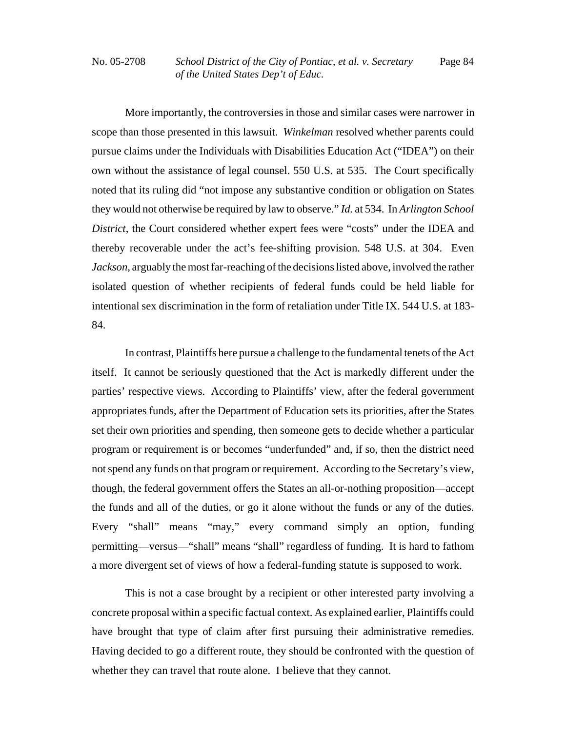More importantly, the controversies in those and similar cases were narrower in scope than those presented in this lawsuit. *Winkelman* resolved whether parents could pursue claims under the Individuals with Disabilities Education Act ("IDEA") on their own without the assistance of legal counsel. 550 U.S. at 535. The Court specifically noted that its ruling did "not impose any substantive condition or obligation on States they would not otherwise be required by law to observe." *Id.* at 534. In *Arlington School District*, the Court considered whether expert fees were "costs" under the IDEA and thereby recoverable under the act's fee-shifting provision. 548 U.S. at 304. Even *Jackson*, arguably the most far-reaching of the decisions listed above, involved the rather isolated question of whether recipients of federal funds could be held liable for intentional sex discrimination in the form of retaliation under Title IX. 544 U.S. at 183- 84.

In contrast, Plaintiffs here pursue a challenge to the fundamental tenets of the Act itself. It cannot be seriously questioned that the Act is markedly different under the parties' respective views. According to Plaintiffs' view, after the federal government appropriates funds, after the Department of Education sets its priorities, after the States set their own priorities and spending, then someone gets to decide whether a particular program or requirement is or becomes "underfunded" and, if so, then the district need not spend any funds on that program or requirement. According to the Secretary's view, though, the federal government offers the States an all-or-nothing proposition—accept the funds and all of the duties, or go it alone without the funds or any of the duties. Every "shall" means "may," every command simply an option, funding permitting—versus—"shall" means "shall" regardless of funding. It is hard to fathom a more divergent set of views of how a federal-funding statute is supposed to work.

This is not a case brought by a recipient or other interested party involving a concrete proposal within a specific factual context. As explained earlier, Plaintiffs could have brought that type of claim after first pursuing their administrative remedies. Having decided to go a different route, they should be confronted with the question of whether they can travel that route alone. I believe that they cannot.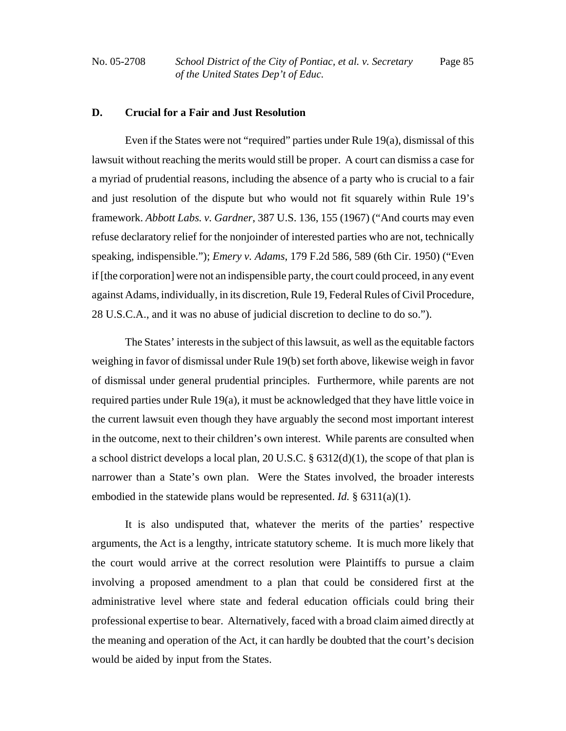## **D. Crucial for a Fair and Just Resolution**

Even if the States were not "required" parties under Rule 19(a), dismissal of this lawsuit without reaching the merits would still be proper. A court can dismiss a case for a myriad of prudential reasons, including the absence of a party who is crucial to a fair and just resolution of the dispute but who would not fit squarely within Rule 19's framework. *Abbott Labs. v. Gardner*, 387 U.S. 136, 155 (1967) ("And courts may even refuse declaratory relief for the nonjoinder of interested parties who are not, technically speaking, indispensible."); *Emery v. Adams*, 179 F.2d 586, 589 (6th Cir. 1950) ("Even if [the corporation] were not an indispensible party, the court could proceed, in any event against Adams, individually, in its discretion, Rule 19, Federal Rules of Civil Procedure, 28 U.S.C.A., and it was no abuse of judicial discretion to decline to do so.").

The States' interests in the subject of this lawsuit, as well as the equitable factors weighing in favor of dismissal under Rule 19(b) set forth above, likewise weigh in favor of dismissal under general prudential principles. Furthermore, while parents are not required parties under Rule 19(a), it must be acknowledged that they have little voice in the current lawsuit even though they have arguably the second most important interest in the outcome, next to their children's own interest. While parents are consulted when a school district develops a local plan, 20 U.S.C. § 6312(d)(1), the scope of that plan is narrower than a State's own plan. Were the States involved, the broader interests embodied in the statewide plans would be represented. *Id.* § 6311(a)(1).

It is also undisputed that, whatever the merits of the parties' respective arguments, the Act is a lengthy, intricate statutory scheme. It is much more likely that the court would arrive at the correct resolution were Plaintiffs to pursue a claim involving a proposed amendment to a plan that could be considered first at the administrative level where state and federal education officials could bring their professional expertise to bear. Alternatively, faced with a broad claim aimed directly at the meaning and operation of the Act, it can hardly be doubted that the court's decision would be aided by input from the States.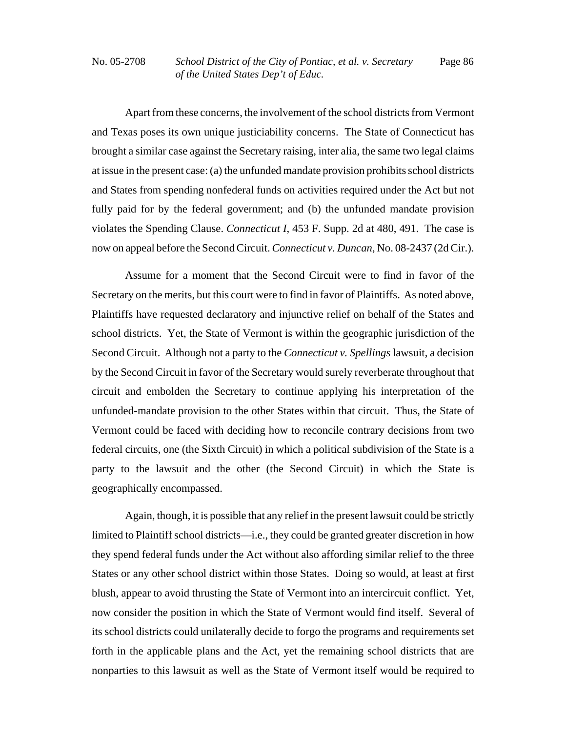Apart from these concerns, the involvement of the school districts from Vermont and Texas poses its own unique justiciability concerns. The State of Connecticut has brought a similar case against the Secretary raising, inter alia, the same two legal claims at issue in the present case: (a) the unfunded mandate provision prohibits school districts and States from spending nonfederal funds on activities required under the Act but not fully paid for by the federal government; and (b) the unfunded mandate provision violates the Spending Clause. *Connecticut I*, 453 F. Supp. 2d at 480, 491. The case is now on appeal before the Second Circuit. *Connecticut v. Duncan*, No. 08-2437 (2d Cir.).

Assume for a moment that the Second Circuit were to find in favor of the Secretary on the merits, but this court were to find in favor of Plaintiffs. As noted above, Plaintiffs have requested declaratory and injunctive relief on behalf of the States and school districts. Yet, the State of Vermont is within the geographic jurisdiction of the Second Circuit. Although not a party to the *Connecticut v. Spellings* lawsuit, a decision by the Second Circuit in favor of the Secretary would surely reverberate throughout that circuit and embolden the Secretary to continue applying his interpretation of the unfunded-mandate provision to the other States within that circuit. Thus, the State of Vermont could be faced with deciding how to reconcile contrary decisions from two federal circuits, one (the Sixth Circuit) in which a political subdivision of the State is a party to the lawsuit and the other (the Second Circuit) in which the State is geographically encompassed.

Again, though, it is possible that any relief in the present lawsuit could be strictly limited to Plaintiff school districts—i.e., they could be granted greater discretion in how they spend federal funds under the Act without also affording similar relief to the three States or any other school district within those States. Doing so would, at least at first blush, appear to avoid thrusting the State of Vermont into an intercircuit conflict. Yet, now consider the position in which the State of Vermont would find itself. Several of its school districts could unilaterally decide to forgo the programs and requirements set forth in the applicable plans and the Act, yet the remaining school districts that are nonparties to this lawsuit as well as the State of Vermont itself would be required to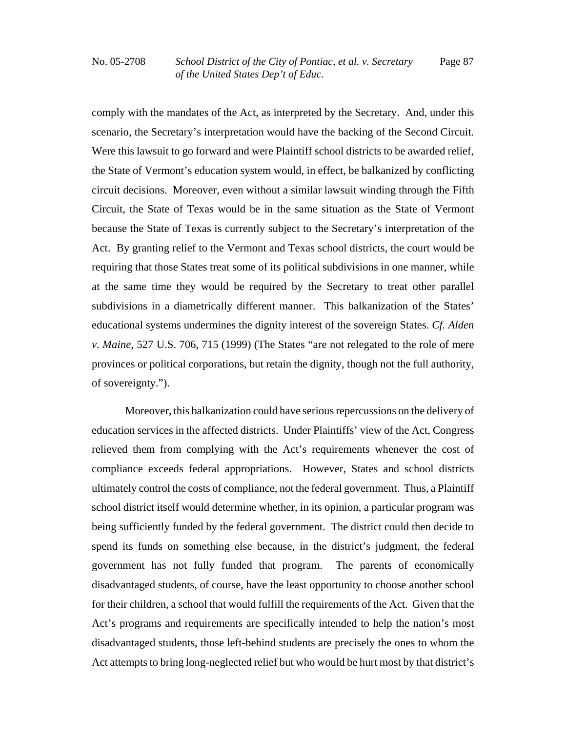comply with the mandates of the Act, as interpreted by the Secretary. And, under this scenario, the Secretary's interpretation would have the backing of the Second Circuit*.* Were this lawsuit to go forward and were Plaintiff school districts to be awarded relief, the State of Vermont's education system would, in effect, be balkanized by conflicting circuit decisions. Moreover, even without a similar lawsuit winding through the Fifth Circuit, the State of Texas would be in the same situation as the State of Vermont because the State of Texas is currently subject to the Secretary's interpretation of the Act. By granting relief to the Vermont and Texas school districts, the court would be requiring that those States treat some of its political subdivisions in one manner, while at the same time they would be required by the Secretary to treat other parallel subdivisions in a diametrically different manner. This balkanization of the States' educational systems undermines the dignity interest of the sovereign States. *Cf. Alden v. Maine*, 527 U.S. 706, 715 (1999) (The States "are not relegated to the role of mere provinces or political corporations, but retain the dignity, though not the full authority, of sovereignty.").

Moreover, this balkanization could have serious repercussions on the delivery of education services in the affected districts. Under Plaintiffs' view of the Act, Congress relieved them from complying with the Act's requirements whenever the cost of compliance exceeds federal appropriations. However, States and school districts ultimately control the costs of compliance, not the federal government. Thus, a Plaintiff school district itself would determine whether, in its opinion, a particular program was being sufficiently funded by the federal government. The district could then decide to spend its funds on something else because, in the district's judgment, the federal government has not fully funded that program. The parents of economically disadvantaged students, of course, have the least opportunity to choose another school for their children, a school that would fulfill the requirements of the Act. Given that the Act's programs and requirements are specifically intended to help the nation's most disadvantaged students, those left-behind students are precisely the ones to whom the Act attempts to bring long-neglected relief but who would be hurt most by that district's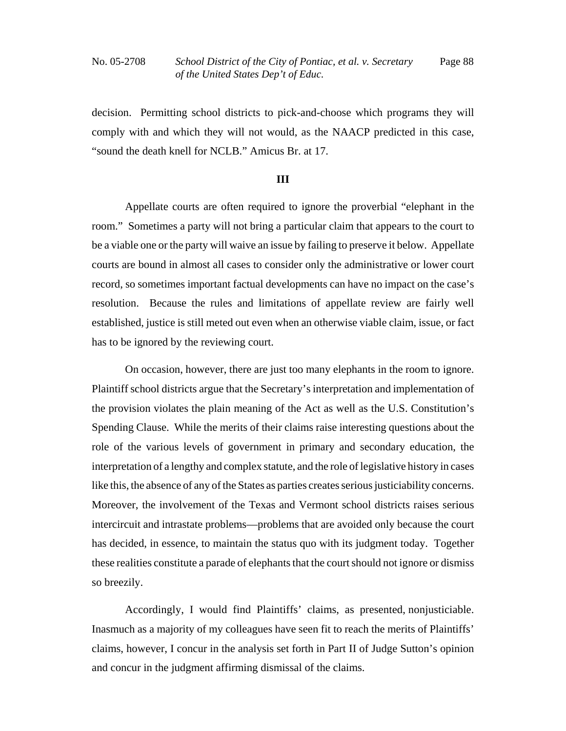decision. Permitting school districts to pick-and-choose which programs they will comply with and which they will not would, as the NAACP predicted in this case, "sound the death knell for NCLB." Amicus Br. at 17.

#### **III**

Appellate courts are often required to ignore the proverbial "elephant in the room." Sometimes a party will not bring a particular claim that appears to the court to be a viable one or the party will waive an issue by failing to preserve it below. Appellate courts are bound in almost all cases to consider only the administrative or lower court record, so sometimes important factual developments can have no impact on the case's resolution. Because the rules and limitations of appellate review are fairly well established, justice is still meted out even when an otherwise viable claim, issue, or fact has to be ignored by the reviewing court.

On occasion, however, there are just too many elephants in the room to ignore. Plaintiff school districts argue that the Secretary's interpretation and implementation of the provision violates the plain meaning of the Act as well as the U.S. Constitution's Spending Clause. While the merits of their claims raise interesting questions about the role of the various levels of government in primary and secondary education, the interpretation of a lengthy and complex statute, and the role of legislative history in cases like this, the absence of any of the States as parties creates serious justiciability concerns. Moreover, the involvement of the Texas and Vermont school districts raises serious intercircuit and intrastate problems—problems that are avoided only because the court has decided, in essence, to maintain the status quo with its judgment today. Together these realities constitute a parade of elephants that the court should not ignore or dismiss so breezily.

 Accordingly, I would find Plaintiffs' claims, as presented, nonjusticiable. Inasmuch as a majority of my colleagues have seen fit to reach the merits of Plaintiffs' claims, however, I concur in the analysis set forth in Part II of Judge Sutton's opinion and concur in the judgment affirming dismissal of the claims.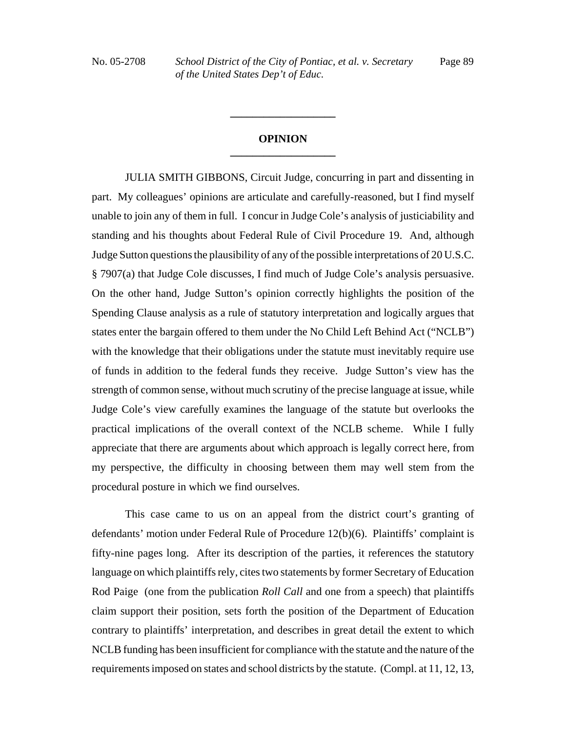# **OPINION \_\_\_\_\_\_\_\_\_\_\_\_\_\_\_\_\_\_\_**

**\_\_\_\_\_\_\_\_\_\_\_\_\_\_\_\_\_\_\_**

JULIA SMITH GIBBONS, Circuit Judge, concurring in part and dissenting in part. My colleagues' opinions are articulate and carefully-reasoned, but I find myself unable to join any of them in full. I concur in Judge Cole's analysis of justiciability and standing and his thoughts about Federal Rule of Civil Procedure 19. And, although Judge Sutton questions the plausibility of any of the possible interpretations of 20 U.S.C. § 7907(a) that Judge Cole discusses, I find much of Judge Cole's analysis persuasive. On the other hand, Judge Sutton's opinion correctly highlights the position of the Spending Clause analysis as a rule of statutory interpretation and logically argues that states enter the bargain offered to them under the No Child Left Behind Act ("NCLB") with the knowledge that their obligations under the statute must inevitably require use of funds in addition to the federal funds they receive. Judge Sutton's view has the strength of common sense, without much scrutiny of the precise language at issue, while Judge Cole's view carefully examines the language of the statute but overlooks the practical implications of the overall context of the NCLB scheme. While I fully appreciate that there are arguments about which approach is legally correct here, from my perspective, the difficulty in choosing between them may well stem from the procedural posture in which we find ourselves.

This case came to us on an appeal from the district court's granting of defendants' motion under Federal Rule of Procedure 12(b)(6). Plaintiffs' complaint is fifty-nine pages long. After its description of the parties, it references the statutory language on which plaintiffs rely, cites two statements by former Secretary of Education Rod Paige (one from the publication *Roll Call* and one from a speech) that plaintiffs claim support their position, sets forth the position of the Department of Education contrary to plaintiffs' interpretation, and describes in great detail the extent to which NCLB funding has been insufficient for compliance with the statute and the nature of the requirements imposed on states and school districts by the statute. (Compl. at 11, 12, 13,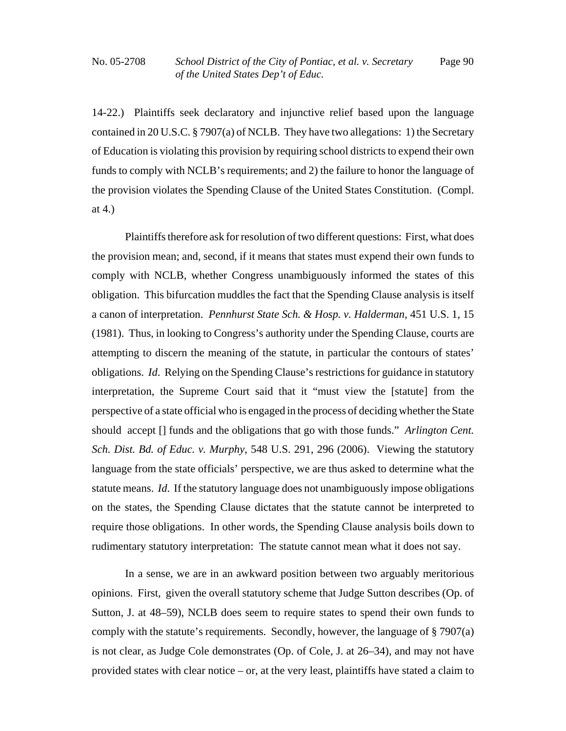14-22.) Plaintiffs seek declaratory and injunctive relief based upon the language contained in 20 U.S.C. § 7907(a) of NCLB. They have two allegations: 1) the Secretary of Education is violating this provision by requiring school districts to expend their own funds to comply with NCLB's requirements; and 2) the failure to honor the language of the provision violates the Spending Clause of the United States Constitution. (Compl. at 4.)

Plaintiffs therefore ask for resolution of two different questions: First, what does the provision mean; and, second, if it means that states must expend their own funds to comply with NCLB, whether Congress unambiguously informed the states of this obligation. This bifurcation muddles the fact that the Spending Clause analysis is itself a canon of interpretation. *Pennhurst State Sch. & Hosp. v. Halderman*, 451 U.S. 1, 15 (1981). Thus, in looking to Congress's authority under the Spending Clause, courts are attempting to discern the meaning of the statute, in particular the contours of states' obligations. *Id*. Relying on the Spending Clause's restrictions for guidance in statutory interpretation, the Supreme Court said that it "must view the [statute] from the perspective of a state official who is engaged in the process of deciding whether the State should accept [] funds and the obligations that go with those funds." *Arlington Cent. Sch. Dist. Bd. of Educ. v. Murphy*, 548 U.S. 291, 296 (2006). Viewing the statutory language from the state officials' perspective, we are thus asked to determine what the statute means. *Id*. If the statutory language does not unambiguously impose obligations on the states, the Spending Clause dictates that the statute cannot be interpreted to require those obligations. In other words, the Spending Clause analysis boils down to rudimentary statutory interpretation: The statute cannot mean what it does not say.

In a sense, we are in an awkward position between two arguably meritorious opinions. First, given the overall statutory scheme that Judge Sutton describes (Op. of Sutton, J. at 48–59), NCLB does seem to require states to spend their own funds to comply with the statute's requirements. Secondly, however, the language of § 7907(a) is not clear, as Judge Cole demonstrates (Op. of Cole, J. at 26–34), and may not have provided states with clear notice – or, at the very least, plaintiffs have stated a claim to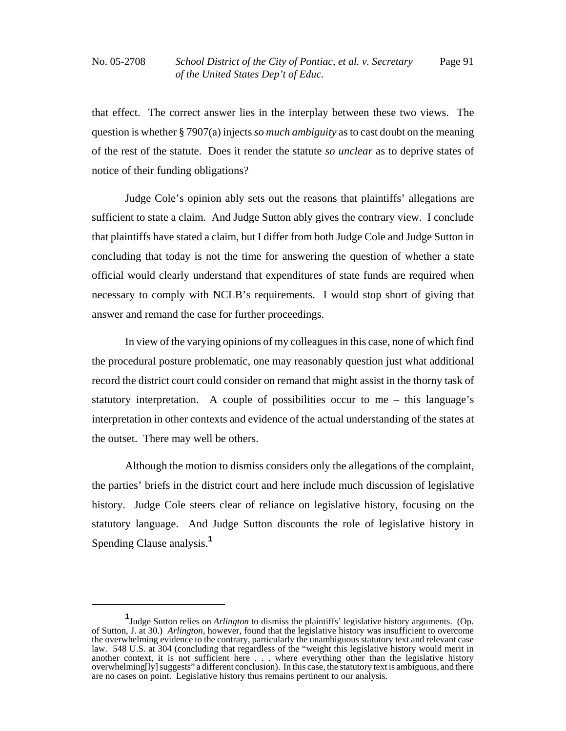that effect. The correct answer lies in the interplay between these two views. The question is whether § 7907(a) injects *so much ambiguity* as to cast doubt on the meaning of the rest of the statute. Does it render the statute *so unclear* as to deprive states of notice of their funding obligations?

Judge Cole's opinion ably sets out the reasons that plaintiffs' allegations are sufficient to state a claim. And Judge Sutton ably gives the contrary view. I conclude that plaintiffs have stated a claim, but I differ from both Judge Cole and Judge Sutton in concluding that today is not the time for answering the question of whether a state official would clearly understand that expenditures of state funds are required when necessary to comply with NCLB's requirements. I would stop short of giving that answer and remand the case for further proceedings.

In view of the varying opinions of my colleagues in this case, none of which find the procedural posture problematic, one may reasonably question just what additional record the district court could consider on remand that might assist in the thorny task of statutory interpretation. A couple of possibilities occur to me – this language's interpretation in other contexts and evidence of the actual understanding of the states at the outset. There may well be others.

Although the motion to dismiss considers only the allegations of the complaint, the parties' briefs in the district court and here include much discussion of legislative history. Judge Cole steers clear of reliance on legislative history, focusing on the statutory language. And Judge Sutton discounts the role of legislative history in Spending Clause analysis.**<sup>1</sup>**

**<sup>1</sup>** Judge Sutton relies on *Arlington* to dismiss the plaintiffs' legislative history arguments. (Op. of Sutton, J. at 30.) *Arlington*, however, found that the legislative history was insufficient to overcome the overwhelming evidence to the contrary, particularly the unambiguous statutory text and relevant case law. 548 U.S. at 304 (concluding that regardless of the "weight this legislative history would merit in another context, it is not sufficient here . . . where everything other than the legislative history overwhelming[ly] suggests" a different conclusion). In this case, the statutory text is ambiguous, and there are no cases on point. Legislative history thus remains pertinent to our analysis.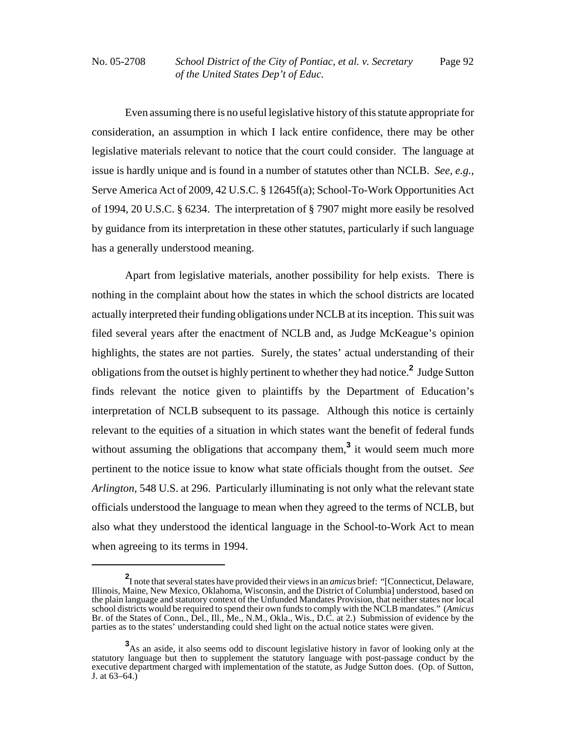Even assuming there is no useful legislative history of this statute appropriate for consideration, an assumption in which I lack entire confidence, there may be other legislative materials relevant to notice that the court could consider. The language at issue is hardly unique and is found in a number of statutes other than NCLB. *See, e.g.*, Serve America Act of 2009, 42 U.S.C. § 12645f(a); School-To-Work Opportunities Act of 1994, 20 U.S.C. § 6234. The interpretation of § 7907 might more easily be resolved by guidance from its interpretation in these other statutes, particularly if such language has a generally understood meaning.

Apart from legislative materials, another possibility for help exists. There is nothing in the complaint about how the states in which the school districts are located actually interpreted their funding obligations under NCLB at its inception. This suit was filed several years after the enactment of NCLB and, as Judge McKeague's opinion highlights, the states are not parties. Surely, the states' actual understanding of their obligations from the outset is highly pertinent to whether they had notice.**<sup>2</sup>** Judge Sutton finds relevant the notice given to plaintiffs by the Department of Education's interpretation of NCLB subsequent to its passage. Although this notice is certainly relevant to the equities of a situation in which states want the benefit of federal funds without assuming the obligations that accompany them,<sup>3</sup> it would seem much more pertinent to the notice issue to know what state officials thought from the outset. *See Arlington*, 548 U.S. at 296. Particularly illuminating is not only what the relevant state officials understood the language to mean when they agreed to the terms of NCLB, but also what they understood the identical language in the School-to-Work Act to mean when agreeing to its terms in 1994.

**<sup>2</sup>** I note that several states have provided their views in an *amicus* brief: "[Connecticut, Delaware, Illinois, Maine, New Mexico, Oklahoma, Wisconsin, and the District of Columbia] understood, based on the plain language and statutory context of the Unfunded Mandates Provision, that neither states nor local school districts would be required to spend their own funds to comply with the NCLB mandates." (*Amicus* Br. of the States of Conn., Del., Ill., Me., N.M., Okla., Wis., D.C. at 2.) Submission of evidence by the parties as to the states' understanding could shed light on the actual notice states were given.

<sup>&</sup>lt;sup>3</sup>As an aside, it also seems odd to discount legislative history in favor of looking only at the statutory language but then to supplement the statutory language with post-passage conduct by the executive department charged with implementation of the statute, as Judge Sutton does. (Op. of Sutton, J. at 63–64.)